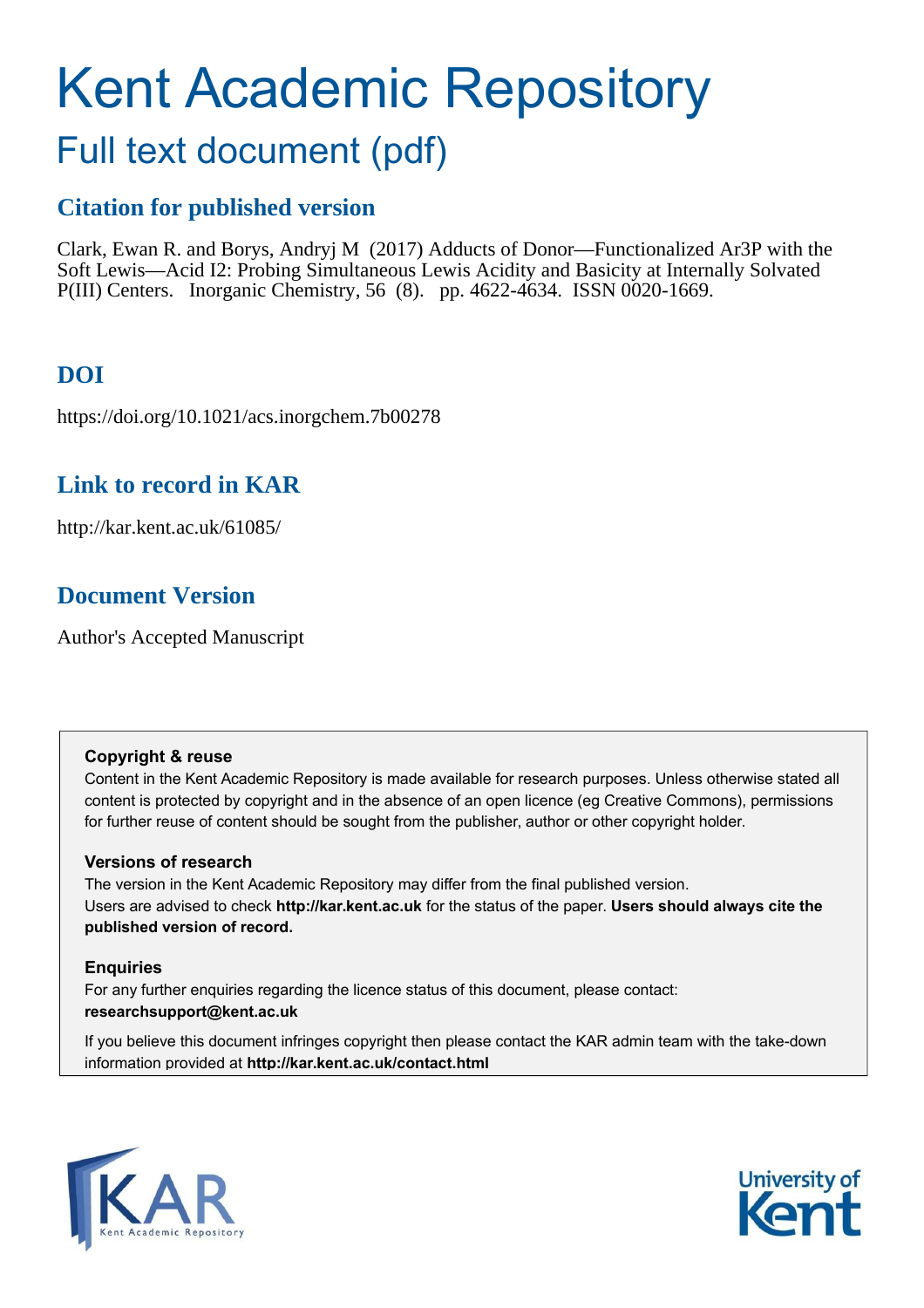# Kent Academic Repository

## Full text document (pdf)

### **Citation for published version**

Clark, Ewan R. and Borys, Andryj M (2017) Adducts of Donor—Functionalized Ar3P with the Soft Lewis—Acid I2: Probing Simultaneous Lewis Acidity and Basicity at Internally Solvated P(III) Centers. Inorganic Chemistry, 56 (8). pp. 4622-4634. ISSN 0020-1669.

## **DOI**

https://doi.org/10.1021/acs.inorgchem.7b00278

### **Link to record in KAR**

http://kar.kent.ac.uk/61085/

## **Document Version**

Author's Accepted Manuscript

#### **Copyright & reuse**

Content in the Kent Academic Repository is made available for research purposes. Unless otherwise stated all content is protected by copyright and in the absence of an open licence (eg Creative Commons), permissions for further reuse of content should be sought from the publisher, author or other copyright holder.

#### **Versions of research**

The version in the Kent Academic Repository may differ from the final published version. Users are advised to check **http://kar.kent.ac.uk** for the status of the paper. **Users should always cite the published version of record.**

#### **Enquiries**

For any further enquiries regarding the licence status of this document, please contact: **researchsupport@kent.ac.uk**

If you believe this document infringes copyright then please contact the KAR admin team with the take-down information provided at **http://kar.kent.ac.uk/contact.html**



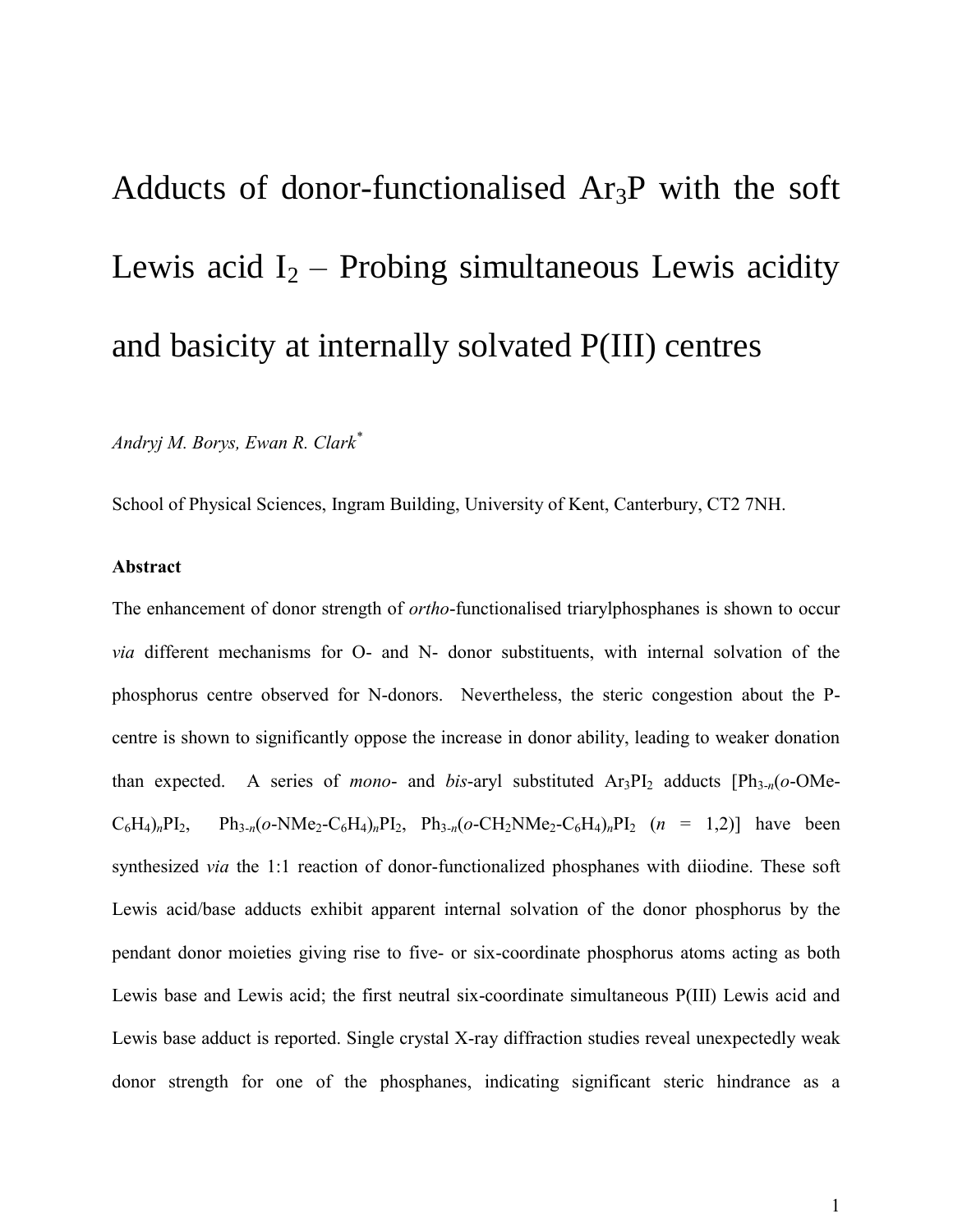## Adducts of donor-functionalised Ar3P with the soft Lewis acid  $I_2$  – Probing simultaneous Lewis acidity and basicity at internally solvated P(III) centres

*Andryj M. Borys, Ewan R. Clark\**

School of Physical Sciences, Ingram Building, University of Kent, Canterbury, CT2 7NH.

#### **Abstract**

The enhancement of donor strength of *ortho*-functionalised triarylphosphanes is shown to occur *via* different mechanisms for O- and N- donor substituents, with internal solvation of the phosphorus centre observed for N-donors. Nevertheless, the steric congestion about the Pcentre is shown to significantly oppose the increase in donor ability, leading to weaker donation than expected. A series of *mono*- and *bis*-aryl substituted  $Ar_3PI_2$  adducts  $[Ph_{3-n}(o-OMe C_6H_4$ <sub>*n*</sub>PI<sub>2</sub>, Ph<sub>3-*n*</sub>(*o*-NMe<sub>2</sub>-C<sub>6</sub>H<sub>4</sub>)<sub>*n*</sub>PI<sub>2</sub>, Ph<sub>3-*n*</sub>(*o*-CH<sub>2</sub>NMe<sub>2</sub>-C<sub>6</sub>H<sub>4</sub>)<sub>*n*</sub>PI<sub>2</sub> (*n* = 1,2)] have been synthesized *via* the 1:1 reaction of donor-functionalized phosphanes with diiodine. These soft Lewis acid/base adducts exhibit apparent internal solvation of the donor phosphorus by the pendant donor moieties giving rise to five- or six-coordinate phosphorus atoms acting as both Lewis base and Lewis acid; the first neutral six-coordinate simultaneous P(III) Lewis acid and Lewis base adduct is reported. Single crystal X-ray diffraction studies reveal unexpectedly weak donor strength for one of the phosphanes, indicating significant steric hindrance as a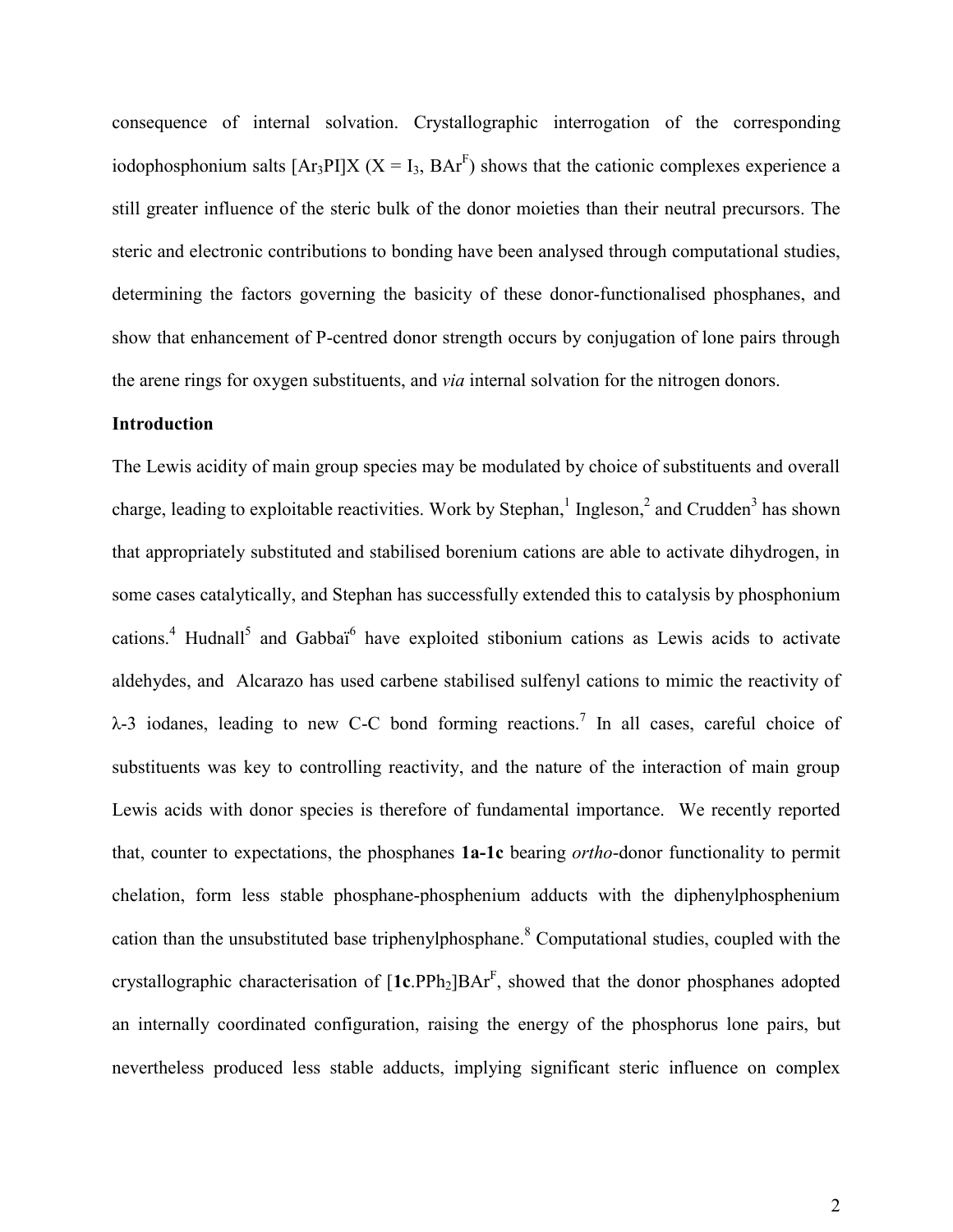consequence of internal solvation. Crystallographic interrogation of the corresponding iodophosphonium salts  $[Ar_3PI]X (X = I_3, BAr^F)$  shows that the cationic complexes experience a still greater influence of the steric bulk of the donor moieties than their neutral precursors. The steric and electronic contributions to bonding have been analysed through computational studies, determining the factors governing the basicity of these donor-functionalised phosphanes, and show that enhancement of P-centred donor strength occurs by conjugation of lone pairs through the arene rings for oxygen substituents, and *via* internal solvation for the nitrogen donors.

#### **Introduction**

The Lewis acidity of main group species may be modulated by choice of substituents and overall charge, leading to exploitable reactivities. Work by Stephan,<sup>1</sup> Ingleson,<sup>2</sup> and Crudden<sup>3</sup> has shown that appropriately substituted and stabilised borenium cations are able to activate dihydrogen, in some cases catalytically, and Stephan has successfully extended this to catalysis by phosphonium cations.<sup>4</sup> Hudnall<sup>5</sup> and Gabbai<sup>6</sup> have exploited stibonium cations as Lewis acids to activate aldehydes, and Alcarazo has used carbene stabilised sulfenyl cations to mimic the reactivity of  $\lambda$ -3 iodanes, leading to new C-C bond forming reactions.<sup>7</sup> In all cases, careful choice of substituents was key to controlling reactivity, and the nature of the interaction of main group Lewis acids with donor species is therefore of fundamental importance. We recently reported that, counter to expectations, the phosphanes **1a-1c** bearing *ortho*-donor functionality to permit chelation, form less stable phosphane-phosphenium adducts with the diphenylphosphenium cation than the unsubstituted base triphenylphosphane.<sup>8</sup> Computational studies, coupled with the crystallographic characterisation of [1c.PPh<sub>2</sub>]BAr<sup>F</sup>, showed that the donor phosphanes adopted an internally coordinated configuration, raising the energy of the phosphorus lone pairs, but nevertheless produced less stable adducts, implying significant steric influence on complex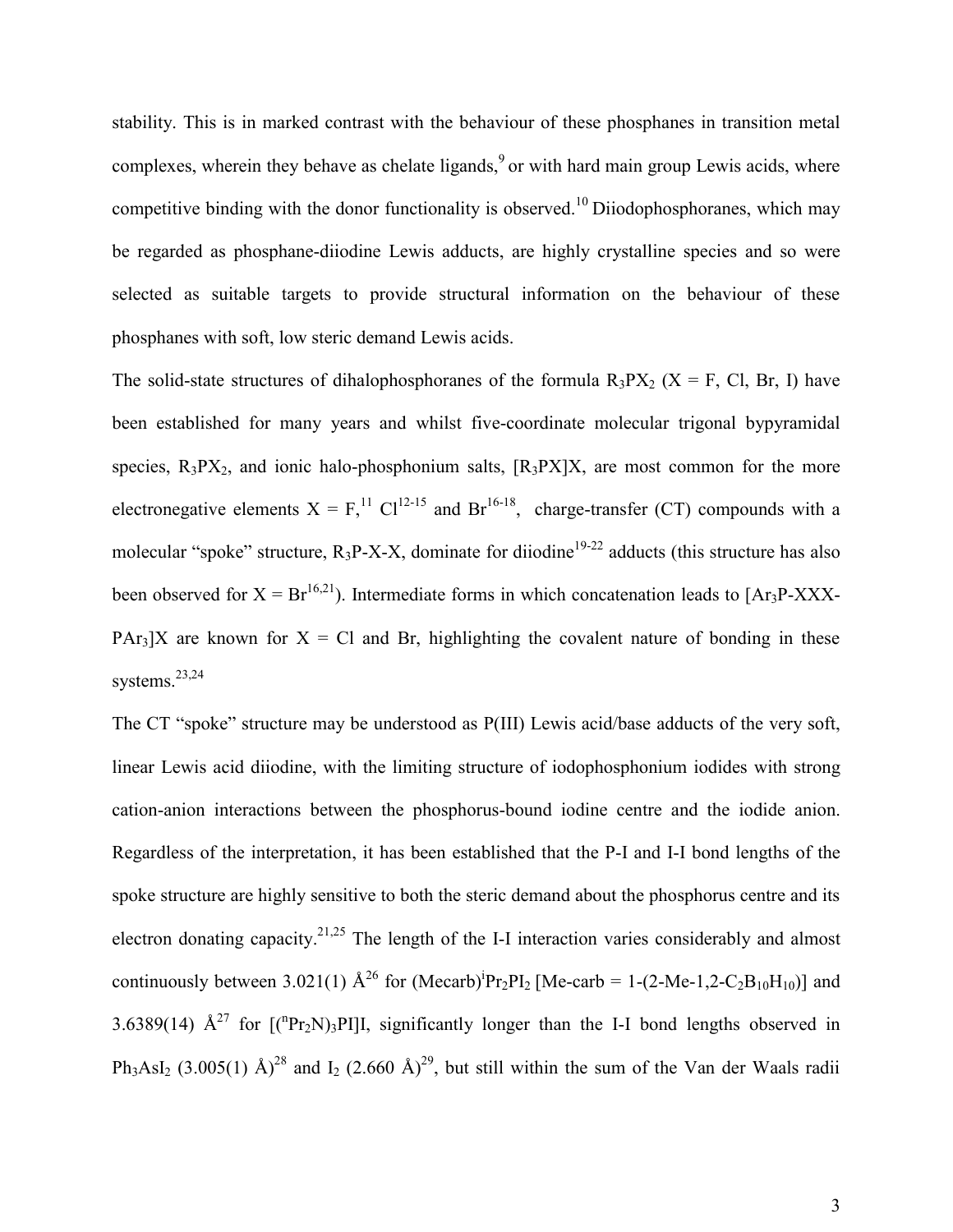stability. This is in marked contrast with the behaviour of these phosphanes in transition metal complexes, wherein they behave as chelate ligands, $9$  or with hard main group Lewis acids, where competitive binding with the donor functionality is observed.<sup>10</sup> Diiodophosphoranes, which may be regarded as phosphane-diiodine Lewis adducts, are highly crystalline species and so were selected as suitable targets to provide structural information on the behaviour of these phosphanes with soft, low steric demand Lewis acids.

The solid-state structures of dihalophosphoranes of the formula  $R_3PX_2$  (X = F, Cl, Br, I) have been established for many years and whilst five-coordinate molecular trigonal bypyramidal species,  $R_3PX_2$ , and ionic halo-phosphonium salts,  $[R_3PX]X$ , are most common for the more electronegative elements  $X = F<sub>1</sub><sup>11</sup> Cl<sub>12-15</sub>$  and Br<sup>16-18</sup>, charge-transfer (CT) compounds with a molecular "spoke" structure,  $R_3P-X-X$ , dominate for diiodine<sup>19-22</sup> adducts (this structure has also been observed for  $X = Br^{16,21}$ ). Intermediate forms in which concatenation leads to [Ar<sub>3</sub>P-XXX-PAr<sub>3</sub>]X are known for  $X = C1$  and Br, highlighting the covalent nature of bonding in these systems.<sup>23,24</sup>

The CT "spoke" structure may be understood as P(III) Lewis acid/base adducts of the very soft, linear Lewis acid diiodine, with the limiting structure of iodophosphonium iodides with strong cation-anion interactions between the phosphorus-bound iodine centre and the iodide anion. Regardless of the interpretation, it has been established that the P-I and I-I bond lengths of the spoke structure are highly sensitive to both the steric demand about the phosphorus centre and its electron donating capacity.<sup>21,25</sup> The length of the I-I interaction varies considerably and almost continuously between 3.021(1)  $\mathring{A}^{26}$  for (Mecarb)<sup>i</sup>Pr<sub>2</sub>PI<sub>2</sub> [Me-carb = 1-(2-Me-1,2-C<sub>2</sub>B<sub>10</sub>H<sub>10</sub>)] and 3.6389(14)  $\mathring{A}^{27}$  for  $[({}^{n}Pr_{2}N)_{3}PI]I$ , significantly longer than the I-I bond lengths observed in Ph<sub>3</sub>AsI<sub>2</sub> (3.005(1) Å)<sup>28</sup> and I<sub>2</sub> (2.660 Å)<sup>29</sup>, but still within the sum of the Van der Waals radii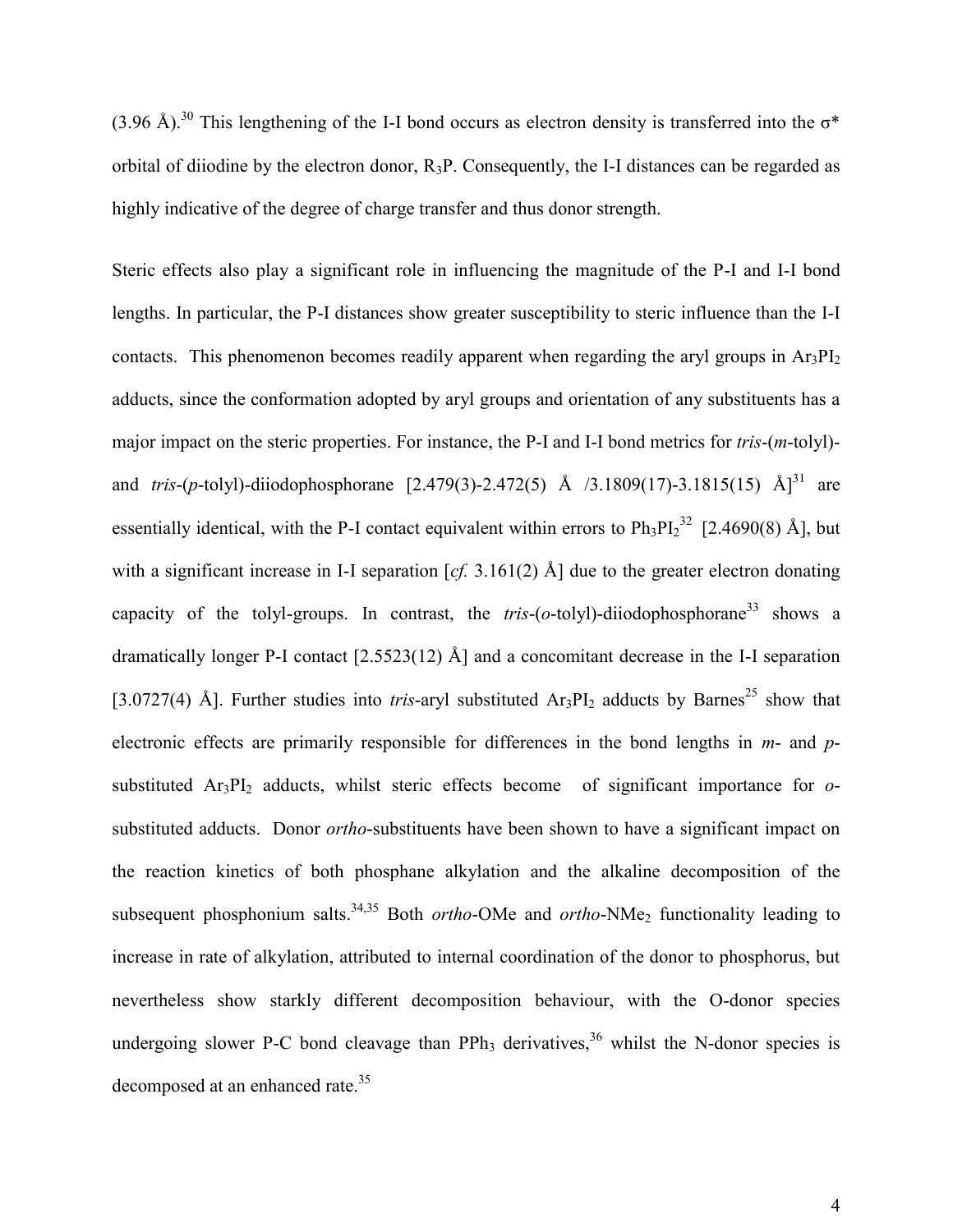$(3.96 \text{ Å})^{30}$  This lengthening of the I-I bond occurs as electron density is transferred into the  $\sigma^*$ orbital of diiodine by the electron donor,  $R_3P$ . Consequently, the I-I distances can be regarded as highly indicative of the degree of charge transfer and thus donor strength.

Steric effects also play a significant role in influencing the magnitude of the P-I and I-I bond lengths. In particular, the P-I distances show greater susceptibility to steric influence than the I-I contacts. This phenomenon becomes readily apparent when regarding the aryl groups in  $Ar_3PI_2$ adducts, since the conformation adopted by aryl groups and orientation of any substituents has a major impact on the steric properties. For instance, the P-I and I-I bond metrics for *tris*-(*m*-tolyl) and *tris*-(*p*-tolyl)-diiodophosphorane [2.479(3)-2.472(5) Å  $/3.1809(17)$ -3.1815(15) Å]<sup>31</sup> are essentially identical, with the P-I contact equivalent within errors to  $Ph_3PL_2^{32}$  [2.4690(8) Å], but with a significant increase in I-I separation [*cf.* 3.161(2) Å] due to the greater electron donating capacity of the tolyl-groups. In contrast, the  $tris-(o-tolyl)$ -diiodophosphorane<sup>33</sup> shows a dramatically longer P-I contact [2.5523(12) Å] and a concomitant decrease in the I-I separation [3.0727(4) Å]. Further studies into *tris*-aryl substituted  $Ar_3PI_2$  adducts by Barnes<sup>25</sup> show that electronic effects are primarily responsible for differences in the bond lengths in *m*- and *p*substituted Ar<sub>3</sub>PI<sub>2</sub> adducts, whilst steric effects become of significant importance for *o*substituted adducts. Donor *ortho*-substituents have been shown to have a significant impact on the reaction kinetics of both phosphane alkylation and the alkaline decomposition of the subsequent phosphonium salts.<sup>34,35</sup> Both *ortho*-OMe and *ortho*-NMe<sub>2</sub> functionality leading to increase in rate of alkylation, attributed to internal coordination of the donor to phosphorus, but nevertheless show starkly different decomposition behaviour, with the O-donor species undergoing slower P-C bond cleavage than PPh<sub>3</sub> derivatives,<sup>36</sup> whilst the N-donor species is decomposed at an enhanced rate.<sup>35</sup>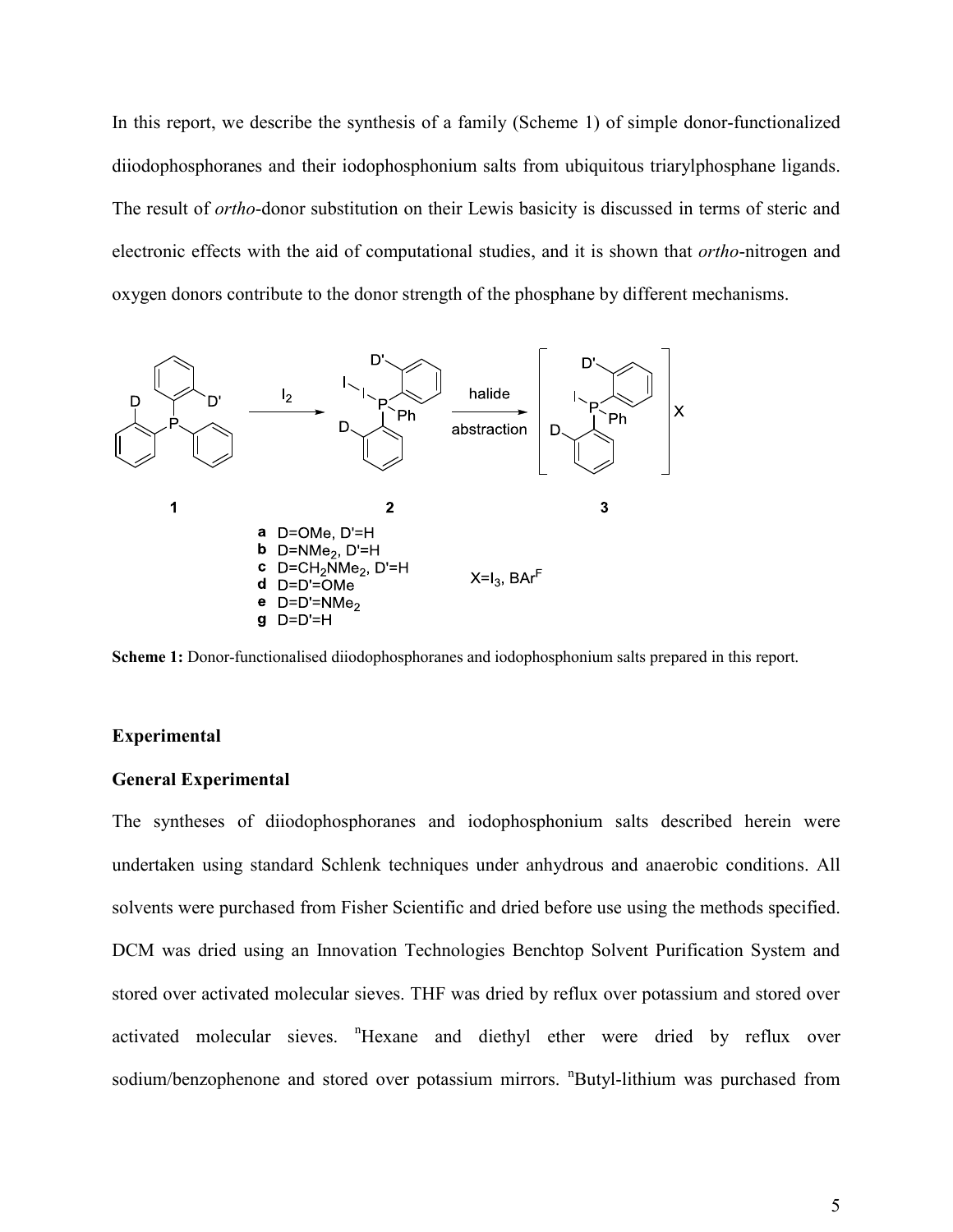In this report, we describe the synthesis of a family (Scheme 1) of simple donor-functionalized diiodophosphoranes and their iodophosphonium salts from ubiquitous triarylphosphane ligands. The result of *ortho*-donor substitution on their Lewis basicity is discussed in terms of steric and electronic effects with the aid of computational studies, and it is shown that *ortho*-nitrogen and oxygen donors contribute to the donor strength of the phosphane by different mechanisms.



**Scheme 1:** Donor-functionalised diiodophosphoranes and iodophosphonium salts prepared in this report.

#### **Experimental**

#### **General Experimental**

The syntheses of diiodophosphoranes and iodophosphonium salts described herein were undertaken using standard Schlenk techniques under anhydrous and anaerobic conditions. All solvents were purchased from Fisher Scientific and dried before use using the methods specified. DCM was dried using an Innovation Technologies Benchtop Solvent Purification System and stored over activated molecular sieves. THF was dried by reflux over potassium and stored over activated molecular sieves. "Hexane and diethyl ether were dried by reflux over sodium/benzophenone and stored over potassium mirrors. "Butyl-lithium was purchased from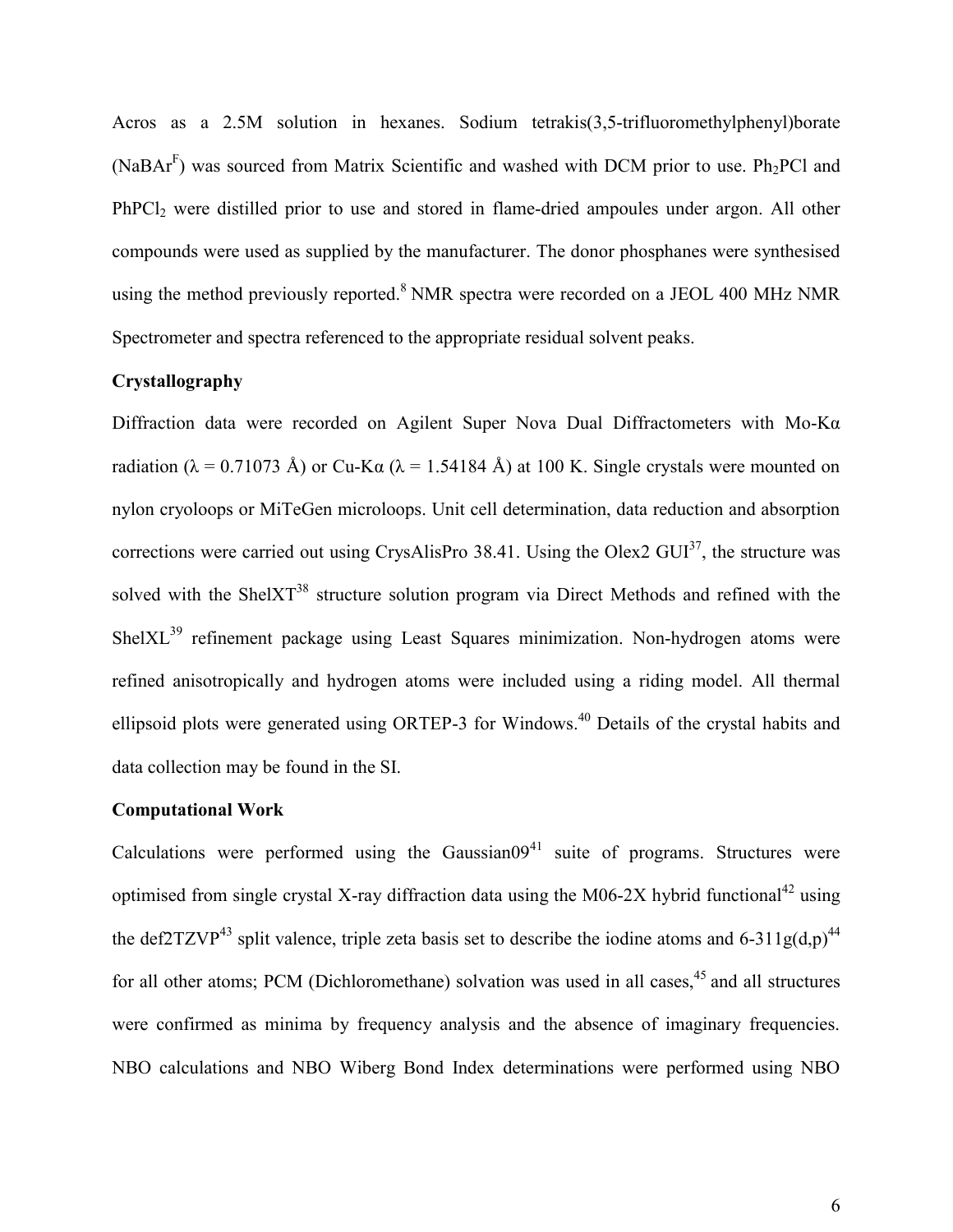Acros as a 2.5M solution in hexanes. Sodium tetrakis(3,5-trifluoromethylphenyl)borate (NaBA $r<sup>F</sup>$ ) was sourced from Matrix Scientific and washed with DCM prior to use. Ph<sub>2</sub>PCl and PhPCl<sub>2</sub> were distilled prior to use and stored in flame-dried ampoules under argon. All other compounds were used as supplied by the manufacturer. The donor phosphanes were synthesised using the method previously reported. $8$  NMR spectra were recorded on a JEOL 400 MHz NMR Spectrometer and spectra referenced to the appropriate residual solvent peaks.

#### **Crystallography**

Diffraction data were recorded on Agilent Super Nova Dual Diffractometers with  $Mo-K\alpha$ radiation ( $\lambda = 0.71073$  Å) or Cu-Kg ( $\lambda = 1.54184$  Å) at 100 K. Single crystals were mounted on nylon cryoloops or MiTeGen microloops. Unit cell determination, data reduction and absorption corrections were carried out using CrysAlisPro 38.41. Using the Olex2  $GUI^{37}$ , the structure was solved with the ShelXT<sup>38</sup> structure solution program via Direct Methods and refined with the ShelXL<sup>39</sup> refinement package using Least Squares minimization. Non-hydrogen atoms were refined anisotropically and hydrogen atoms were included using a riding model. All thermal ellipsoid plots were generated using ORTEP-3 for Windows.<sup>40</sup> Details of the crystal habits and data collection may be found in the SI.

#### **Computational Work**

Calculations were performed using the Gaussian $0.0941$  suite of programs. Structures were optimised from single crystal X-ray diffraction data using the M06-2X hybrid functional<sup>42</sup> using the def2TZVP<sup>43</sup> split valence, triple zeta basis set to describe the iodine atoms and 6-311g(d,p)<sup>44</sup> for all other atoms; PCM (Dichloromethane) solvation was used in all cases,<sup>45</sup> and all structures were confirmed as minima by frequency analysis and the absence of imaginary frequencies. NBO calculations and NBO Wiberg Bond Index determinations were performed using NBO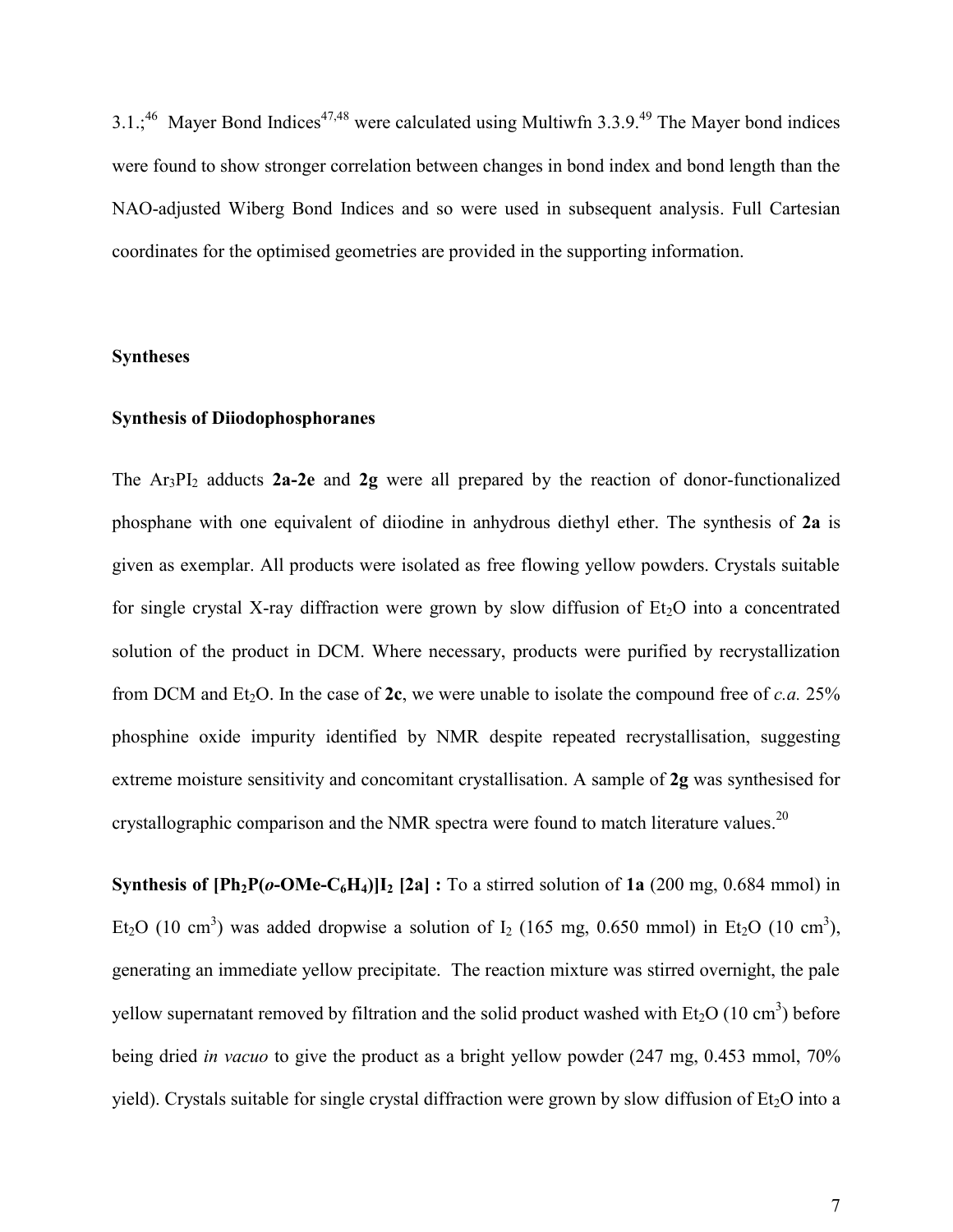$3.1$ :<sup>46</sup> Mayer Bond Indices<sup>47,48</sup> were calculated using Multiwfn 3.3.9<sup>49</sup> The Mayer bond indices were found to show stronger correlation between changes in bond index and bond length than the NAO-adjusted Wiberg Bond Indices and so were used in subsequent analysis. Full Cartesian coordinates for the optimised geometries are provided in the supporting information.

#### **Syntheses**

#### **Synthesis of Diiodophosphoranes**

The Ar3PI2 adducts **2a-2e** and **2g** were all prepared by the reaction of donor-functionalized phosphane with one equivalent of diiodine in anhydrous diethyl ether. The synthesis of **2a** is given as exemplar. All products were isolated as free flowing yellow powders. Crystals suitable for single crystal X-ray diffraction were grown by slow diffusion of  $Et_2O$  into a concentrated solution of the product in DCM. Where necessary, products were purified by recrystallization from DCM and Et<sub>2</sub>O. In the case of **2c**, we were unable to isolate the compound free of *c.a.* 25% phosphine oxide impurity identified by NMR despite repeated recrystallisation, suggesting extreme moisture sensitivity and concomitant crystallisation. A sample of **2g** was synthesised for crystallographic comparison and the NMR spectra were found to match literature values.<sup>20</sup>

**Synthesis of**  $\text{[Ph}_2\text{P}(o\text{-OMe-C}_6\text{H}_4)\text{]}$  **[2a] : To a stirred solution of 1a (200 mg, 0.684 mmol) in** Et<sub>2</sub>O (10 cm<sup>3</sup>) was added dropwise a solution of  $I_2$  (165 mg, 0.650 mmol) in Et<sub>2</sub>O (10 cm<sup>3</sup>), generating an immediate yellow precipitate. The reaction mixture was stirred overnight, the pale yellow supernatant removed by filtration and the solid product washed with  $Et_2O(10 \text{ cm}^3)$  before being dried *in vacuo* to give the product as a bright yellow powder (247 mg, 0.453 mmol, 70% yield). Crystals suitable for single crystal diffraction were grown by slow diffusion of  $Et<sub>2</sub>O$  into a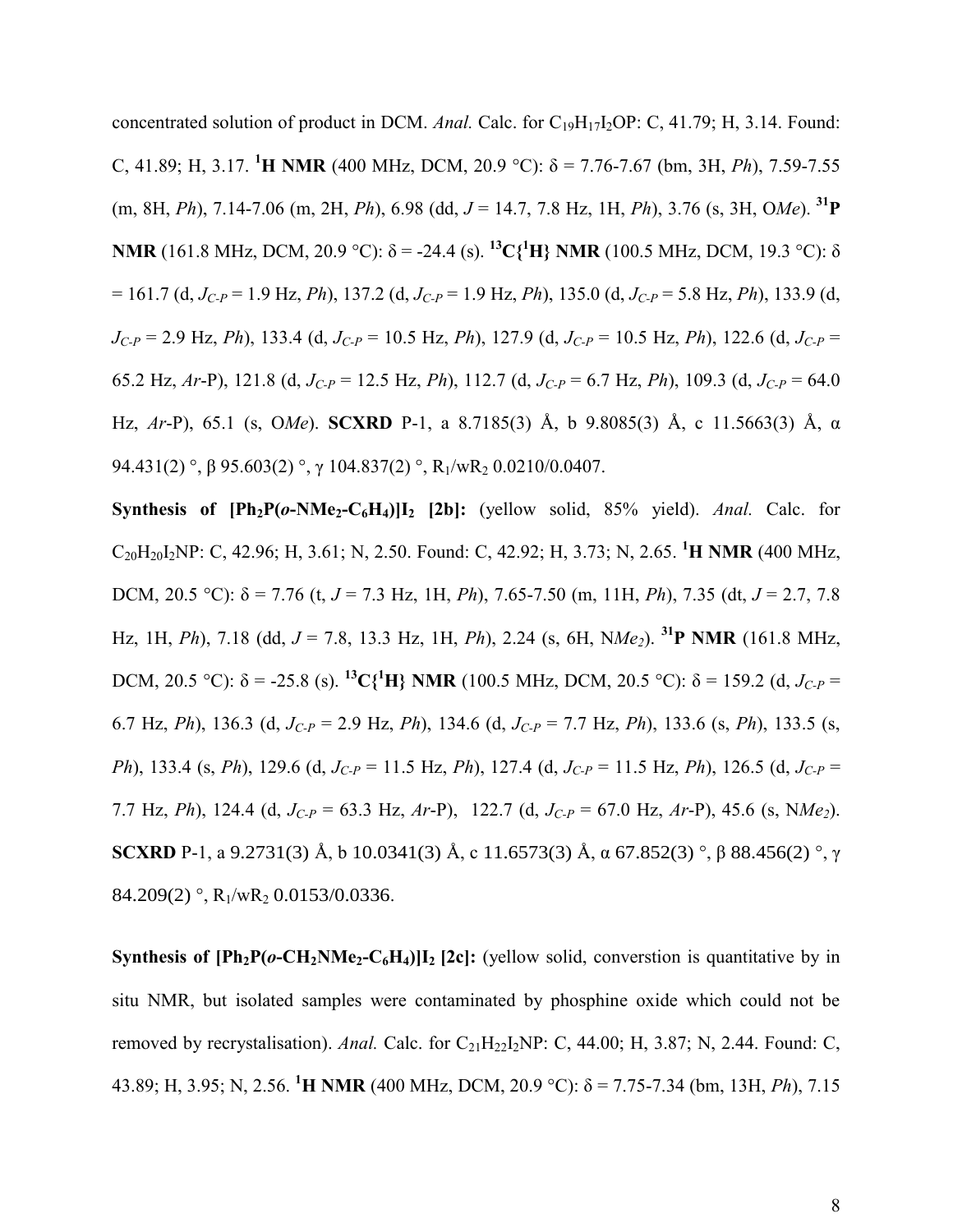concentrated solution of product in DCM. *Anal.* Calc. for C<sub>19</sub>H<sub>17</sub>I<sub>2</sub>OP: C, 41.79; H, 3.14. Found: C, 41.89; H, 3.17. **<sup>1</sup>H NMR** (400 MHz, DCM, 20.9 °C):  $\delta$  = 7.76-7.67 (bm, 3H, *Ph*), 7.59-7.55 (m, 8H, *Ph*), 7.14-7.06 (m, 2H, *Ph*), 6.98 (dd, *J* = 14.7, 7.8 Hz, 1H, *Ph*), 3.76 (s, 3H, O*Me*). **<sup>31</sup>P NMR** (161.8 MHz, DCM, 20.9 °C):  $\delta$  = -24.4 (s). <sup>13</sup>C{<sup>1</sup>H} **NMR** (100.5 MHz, DCM, 19.3 °C):  $\delta$ = 161.7 (d, *JC-P* = 1.9 Hz, *Ph*), 137.2 (d, *JC-P* = 1.9 Hz, *Ph*), 135.0 (d, *JC-P* = 5.8 Hz, *Ph*), 133.9 (d, *JC-P* = 2.9 Hz, *Ph*), 133.4 (d, *JC-P* = 10.5 Hz, *Ph*), 127.9 (d, *JC-P* = 10.5 Hz, *Ph*), 122.6 (d, *JC-P* = 65.2 Hz, *Ar*-P), 121.8 (d,  $J_{C-P} = 12.5$  Hz, *Ph*), 112.7 (d,  $J_{C-P} = 6.7$  Hz, *Ph*), 109.3 (d,  $J_{C-P} = 64.0$ Hz, *Ar*-P), 65.1 (s, O*Me*). **SCXRD** P-1, a 8.7185(3) Å, b 9.8085(3) Å, c 11.5663(3) Å, g 94.431(2) °,  $\beta$  95.603(2) °,  $\gamma$  104.837(2) °, R<sub>1</sub>/wR<sub>2</sub> 0.0210/0.0407.

**Synthesis of**  $\text{[Ph}_2\text{P}(o\text{-}N\text{M}e_2\text{-}C_6\text{H}_4)\text{]}$  **[2b]: (yellow solid, 85% yield).** *Anal.* **Calc. for** C20H20I2NP: C, 42.96; H, 3.61; N, 2.50. Found: C, 42.92; H, 3.73; N, 2.65. **<sup>1</sup>H NMR** (400 MHz, DCM, 20.5 °C):  $\delta$  = 7.76 (t, *J* = 7.3 Hz, 1H, *Ph*), 7.65-7.50 (m, 11H, *Ph*), 7.35 (dt, *J* = 2.7, 7.8 Hz, 1H, *Ph*), 7.18 (dd, *J* = 7.8, 13.3 Hz, 1H, *Ph*), 2.24 (s, 6H, N*Me2*). **<sup>31</sup>P NMR** (161.8 MHz, DCM, 20.5 °C): δ = -25.8 (s). <sup>13</sup>C{<sup>1</sup>H} NMR (100.5 MHz, DCM, 20.5 °C): δ = 159.2 (d, *J<sub>C-P</sub>* = 6.7 Hz, *Ph*), 136.3 (d, *JC-P* = 2.9 Hz, *Ph*), 134.6 (d, *JC-P* = 7.7 Hz, *Ph*), 133.6 (s, *Ph*), 133.5 (s, *Ph*), 133.4 (s, *Ph*), 129.6 (d, *JC-P* = 11.5 Hz, *Ph*), 127.4 (d, *JC-P* = 11.5 Hz, *Ph*), 126.5 (d, *JC-P* = 7.7 Hz, *Ph*), 124.4 (d, *JC-P* = 63.3 Hz, *Ar*-P), 122.7 (d, *JC-P* = 67.0 Hz, *Ar*-P), 45.6 (s, N*Me2*). **SCXRD** P-1, a 9.2731(3) Å, b 10.0341(3) Å, c 11.6573(3) Å,  $\alpha$  67.852(3) °,  $\beta$  88.456(2) °,  $\gamma$ 84.209(2) °,  $R_1/wR_2$  0.0153/0.0336.

**Synthesis of**  $\text{[Ph}_2\text{P}(o\text{-CH}_2\text{NMe}_2\text{-}C_6\text{H}_4)\text{]}$  **[2c]: (yellow solid, converstion is quantitative by in** situ NMR, but isolated samples were contaminated by phosphine oxide which could not be removed by recrystalisation). Anal. Calc. for  $C_{21}H_{22}I_2NP$ : C, 44.00; H, 3.87; N, 2.44. Found: C, 43.89; H, 3.95; N, 2.56. <sup>1</sup>**H NMR** (400 MHz, DCM, 20.9 °C):  $\delta$  = 7.75-7.34 (bm, 13H, *Ph*), 7.15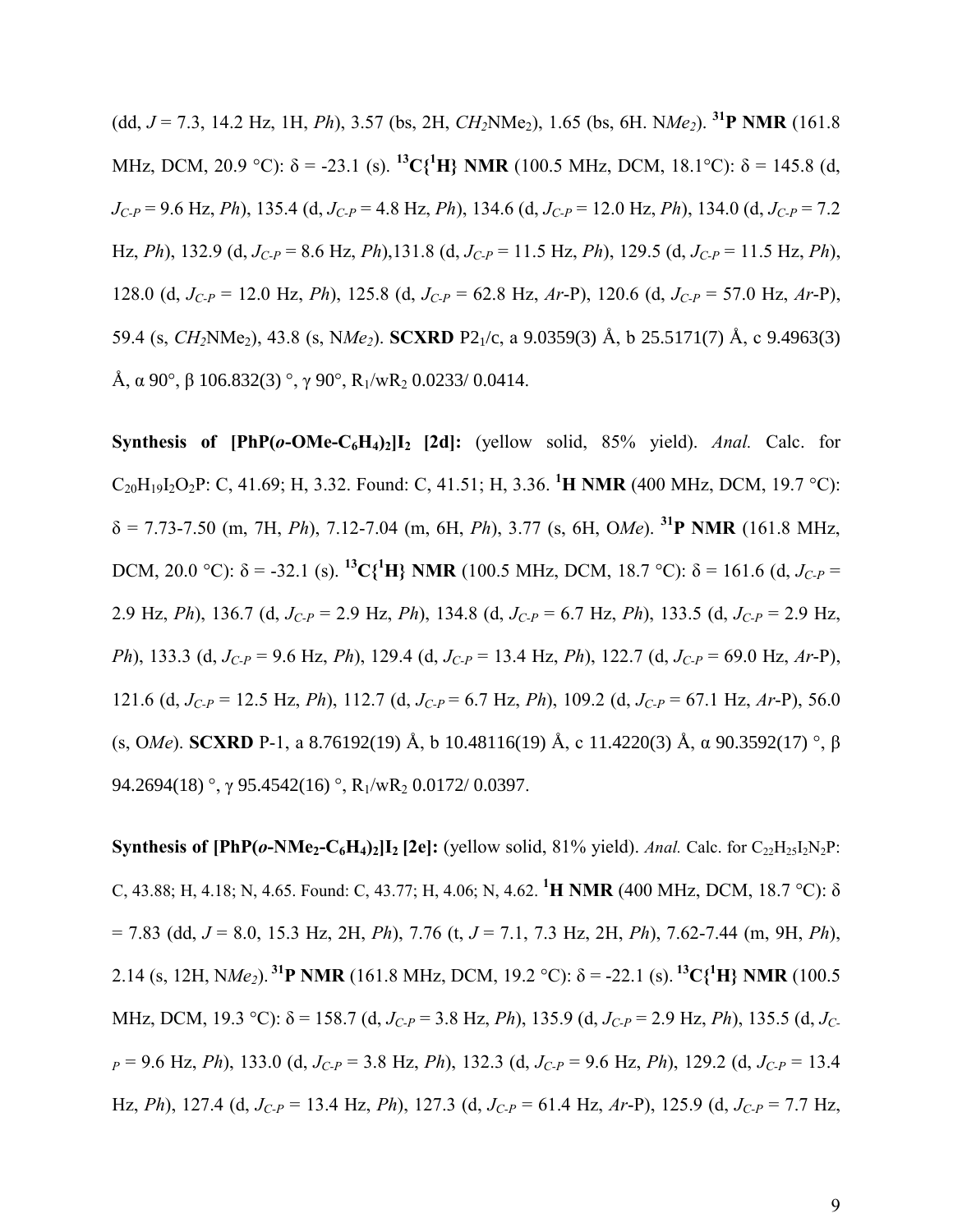(dd,  $J = 7.3$ , 14.2 Hz, 1H, *Ph*), 3.57 (bs, 2H, *CH*<sub>2</sub>NMe<sub>2</sub>), 1.65 (bs, 6H, N*Me*<sub>2</sub>). <sup>31</sup>**P** NMR (161.8) MHz, DCM, 20.9 °C):  $\delta$  = -23.1 (s). <sup>13</sup>C{<sup>1</sup>H} NMR (100.5 MHz, DCM, 18.1°C):  $\delta$  = 145.8 (d, *JC-P* = 9.6 Hz, *Ph*), 135.4 (d, *JC-P* = 4.8 Hz, *Ph*), 134.6 (d, *JC-P* = 12.0 Hz, *Ph*), 134.0 (d, *JC-P* = 7.2 Hz, *Ph*), 132.9 (d, *JC-P* = 8.6 Hz, *Ph*),131.8 (d, *JC-P* = 11.5 Hz, *Ph*), 129.5 (d, *JC-P* = 11.5 Hz, *Ph*), 128.0 (d,  $J_{C-P}$  = 12.0 Hz, *Ph*), 125.8 (d,  $J_{C-P}$  = 62.8 Hz, *Ar*-P), 120.6 (d,  $J_{C-P}$  = 57.0 Hz, *Ar*-P), 59.4 (s, *CH2*NMe2), 43.8 (s, N*Me2*). **SCXRD** P21/c, a 9.0359(3) Å, b 25.5171(7) Å, c 9.4963(3) Å,  $\alpha$  90°,  $\beta$  106.832(3) °,  $\gamma$  90°, R<sub>1</sub>/wR<sub>2</sub> 0.0233/ 0.0414.

**Synthesis of [PhP(** $o$ **-OMe-C<sub>6</sub>H**<sub>4</sub>)<sub>2</sub>]<sub>I<sub>2</sub> [2d]: (yellow solid, 85% yield). *Anal.* Calc. for</sub> C20H19I2O2P: C, 41.69; H, 3.32. Found: C, 41.51; H, 3.36. **<sup>1</sup>H NMR** (400 MHz, DCM, 19.7 °C):  $\delta$  = 7.73-7.50 (m, 7H, *Ph*), 7.12-7.04 (m, 6H, *Ph*), 3.77 (s, 6H, O*Me*). <sup>31</sup>**P** NMR (161.8 MHz, DCM, 20.0 °C):  $\delta$  = -32.1 (s). <sup>13</sup>C{<sup>1</sup>H} NMR (100.5 MHz, DCM, 18.7 °C):  $\delta$  = 161.6 (d, *J<sub>C-P</sub>* = 2.9 Hz, *Ph*), 136.7 (d, *JC-P* = 2.9 Hz, *Ph*), 134.8 (d, *JC-P* = 6.7 Hz, *Ph*), 133.5 (d, *JC-P* = 2.9 Hz, *Ph*), 133.3 (d, *JC-P* = 9.6 Hz, *Ph*), 129.4 (d, *JC-P* = 13.4 Hz, *Ph*), 122.7 (d, *JC-P* = 69.0 Hz, *Ar*-P), 121.6 (d, *JC-P* = 12.5 Hz, *Ph*), 112.7 (d, *JC-P* = 6.7 Hz, *Ph*), 109.2 (d, *JC-P* = 67.1 Hz, *Ar*-P), 56.0 (s, OMe). **SCXRD** P-1, a 8.76192(19) Å, b 10.48116(19) Å, c 11.4220(3) Å,  $\alpha$  90.3592(17) °,  $\beta$ 94.2694(18) °,  $\gamma$  95.4542(16) °, R<sub>1</sub>/wR<sub>2</sub> 0.0172/ 0.0397.

**Synthesis of**  $\text{[PhP(0-NMe}_2-\text{C}_6\text{H}_4)_2\text{I}_2$  **[2e]:** (yellow solid, 81% yield). *Anal.* Calc. for  $\text{C}_{22}\text{H}_{25}\text{I}_2\text{N}_2\text{P}$ : C, 43.88; H, 4.18; N, 4.65. Found: C, 43.77; H, 4.06; N, 4.62. **<sup>1</sup>H NMR** (400 MHz, DCM, 18.7 °C): h = 7.83 (dd, *J* = 8.0, 15.3 Hz, 2H, *Ph*), 7.76 (t, *J* = 7.1, 7.3 Hz, 2H, *Ph*), 7.62-7.44 (m, 9H, *Ph*), 2.14 (s, 12H, NMe<sub>2</sub>). <sup>31</sup>**P** NMR (161.8 MHz, DCM, 19.2 °C):  $\delta$  = -22.1 (s). <sup>13</sup>C{<sup>1</sup>H} NMR (100.5 MHz, DCM, 19.3 °C):  $\delta$  = 158.7 (d, *J<sub>C-P</sub>* = 3.8 Hz, *Ph*), 135.9 (d, *J<sub>C-P</sub>* = 2.9 Hz, *Ph*), 135.5 (d, *J<sub>C-</sub> <sup>P</sup>* = 9.6 Hz, *Ph*), 133.0 (d, *JC-P* = 3.8 Hz, *Ph*), 132.3 (d, *JC-P* = 9.6 Hz, *Ph*), 129.2 (d, *JC-P* = 13.4 Hz, *Ph*), 127.4 (d, *JC-P* = 13.4 Hz, *Ph*), 127.3 (d, *JC-P* = 61.4 Hz, *Ar*-P), 125.9 (d, *JC-P* = 7.7 Hz,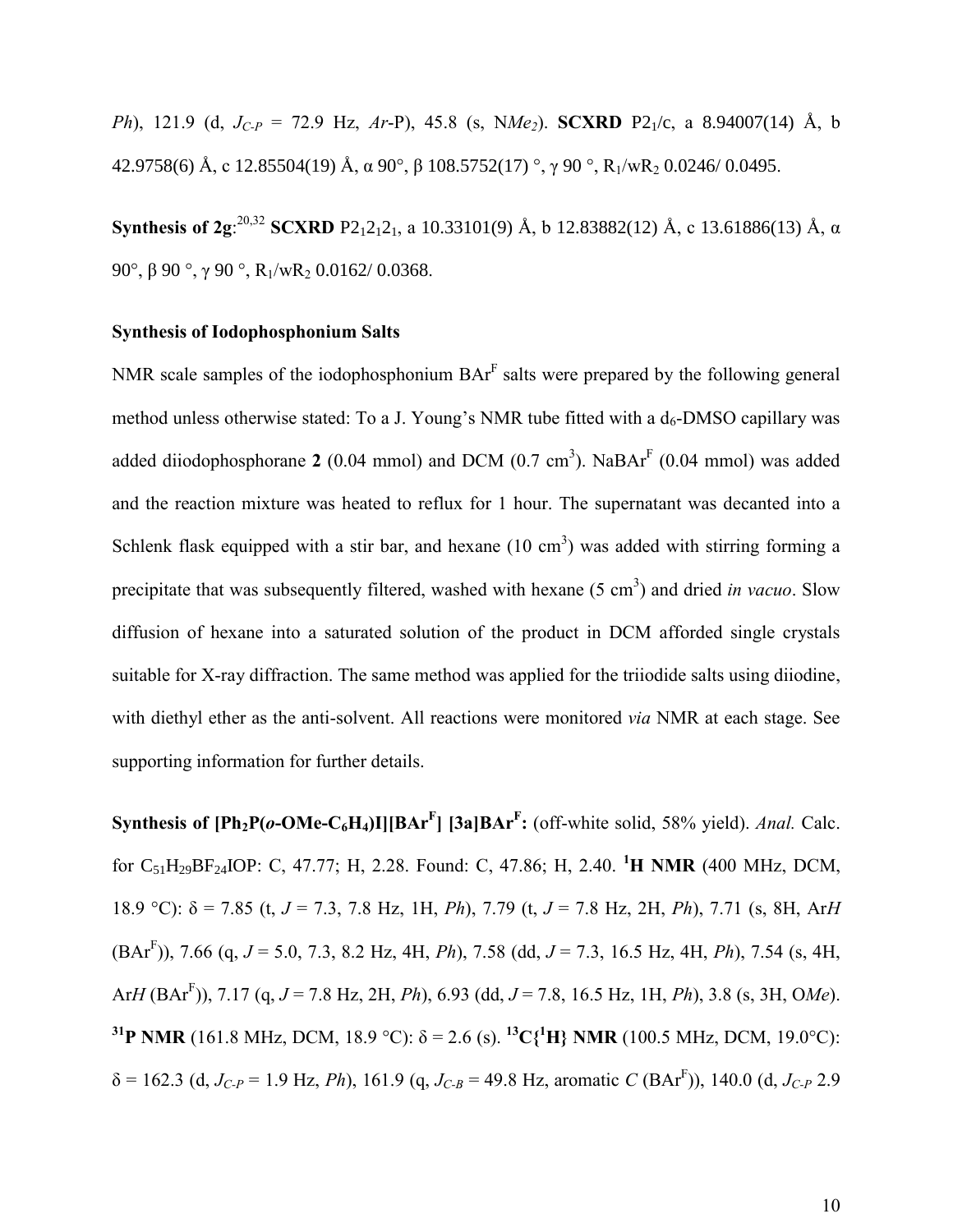*Ph*), 121.9 (d, *JC-P* = 72.9 Hz, *Ar*-P), 45.8 (s, N*Me2*). **SCXRD** P21/c, a 8.94007(14) Å, b 42.9758(6) Å, c 12.85504(19) Å,  $\alpha$  90°,  $\beta$  108.5752(17) °,  $\gamma$  90 °, R<sub>1</sub>/wR<sub>2</sub> 0.0246/ 0.0495.

**Synthesis of 2g**:<sup>20,32</sup> **SCXRD** P2<sub>1</sub>2<sub>1</sub>2<sub>1</sub>, a 10.33101(9) Å, b 12.83882(12) Å, c 13.61886(13) Å, α 90°,  $\beta$  90°,  $\gamma$  90°, R<sub>1</sub>/wR<sub>2</sub> 0.0162/ 0.0368.

#### **Synthesis of Iodophosphonium Salts**

NMR scale samples of the iodophosphonium  $BAr<sup>F</sup>$  salts were prepared by the following general method unless otherwise stated: To a J. Young's NMR tube fitted with a  $d_6$ -DMSO capillary was added diiodophosphorane 2 (0.04 mmol) and DCM (0.7 cm<sup>3</sup>). NaBAr<sup>F</sup> (0.04 mmol) was added and the reaction mixture was heated to reflux for 1 hour. The supernatant was decanted into a Schlenk flask equipped with a stir bar, and hexane  $(10 \text{ cm}^3)$  was added with stirring forming a precipitate that was subsequently filtered, washed with hexane (5 cm<sup>3</sup>) and dried *in vacuo*. Slow diffusion of hexane into a saturated solution of the product in DCM afforded single crystals suitable for X-ray diffraction. The same method was applied for the triiodide salts using diiodine, with diethyl ether as the anti-solvent. All reactions were monitored *via* NMR at each stage. See supporting information for further details.

**Synthesis of**  $[Ph_2P(o-OMe-C_6H_4)I][BAr^F]$  $[3a]BAr^F$ **:** (off-white solid, 58% yield). *Anal.* Calc. for C51H29BF24IOP: C, 47.77; H, 2.28. Found: C, 47.86; H, 2.40. **<sup>1</sup>H NMR** (400 MHz, DCM, 18.9 °C): h = 7.85 (t, *J* = 7.3, 7.8 Hz, 1H, *Ph*), 7.79 (t, *J* = 7.8 Hz, 2H, *Ph*), 7.71 (s, 8H, Ar*H* (BAr<sup>F</sup> )), 7.66 (q, *J* = 5.0, 7.3, 8.2 Hz, 4H, *Ph*), 7.58 (dd, *J* = 7.3, 16.5 Hz, 4H, *Ph*), 7.54 (s, 4H, Ar*H* (BAr<sup>F</sup> )), 7.17 (q, *J* = 7.8 Hz, 2H, *Ph*), 6.93 (dd, *J* = 7.8, 16.5 Hz, 1H, *Ph*), 3.8 (s, 3H, O*Me*). **<sup>31</sup>P NMR** (161.8 MHz, DCM, 18.9 °C):  $\delta = 2.6$  (s). <sup>13</sup>C{<sup>1</sup>H} NMR (100.5 MHz, DCM, 19.0°C):  $\delta$  = 162.3 (d, *J<sub>C-P</sub>* = 1.9 Hz, *Ph*), 161.9 (q, *J<sub>C-B</sub>* = 49.8 Hz, aromatic *C* (BAr<sup>F</sup>)), 140.0 (d, *J<sub>C-P</sub>* 2.9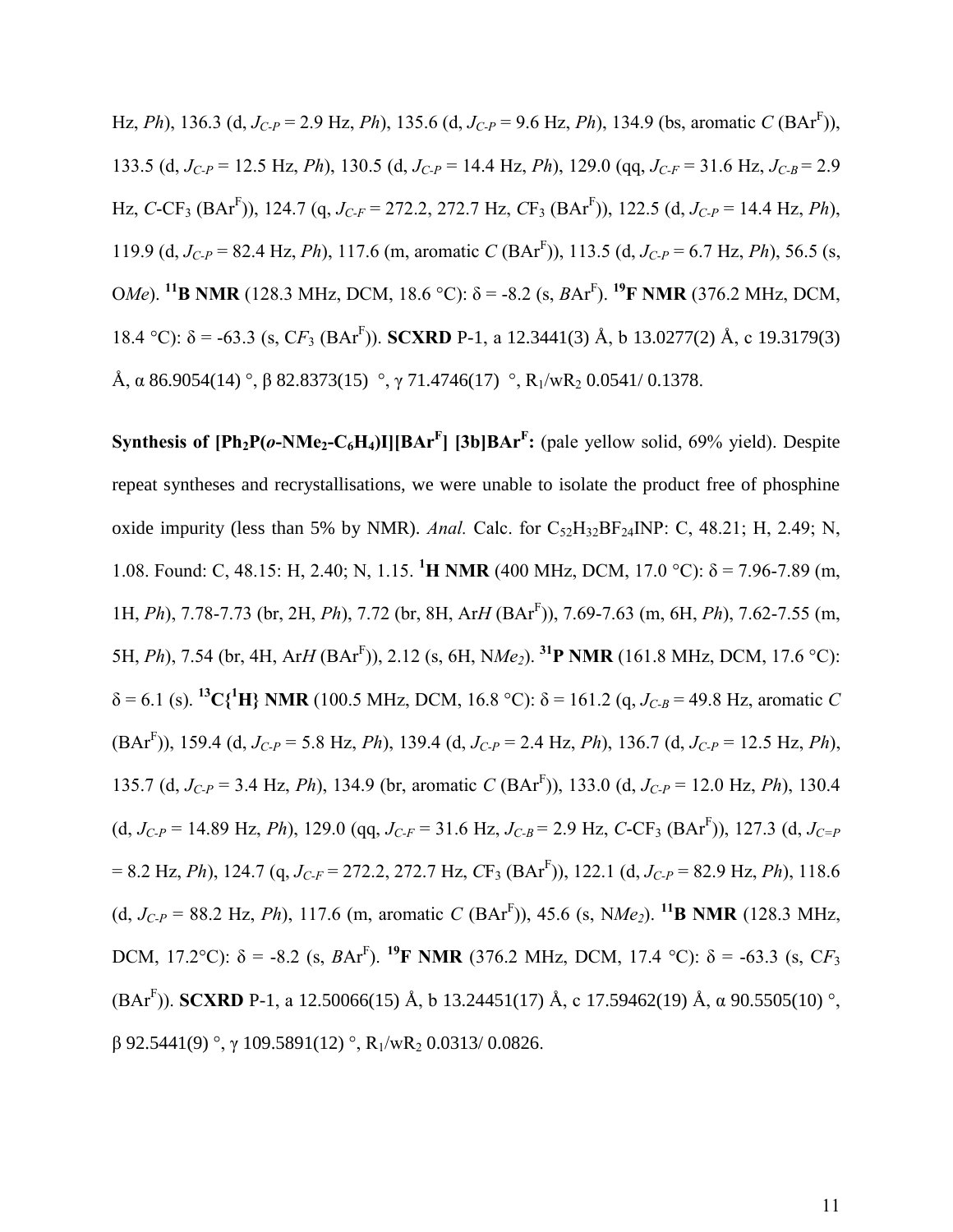Hz, *Ph*), 136.3 (d,  $J_{C-P}$  = 2.9 Hz, *Ph*), 135.6 (d,  $J_{C-P}$  = 9.6 Hz, *Ph*), 134.9 (bs, aromatic *C* (BAr<sup>F</sup>)), 133.5 (d,  $J_{C-P}$  = 12.5 Hz, *Ph*), 130.5 (d,  $J_{C-P}$  = 14.4 Hz, *Ph*), 129.0 (qq,  $J_{C-F}$  = 31.6 Hz,  $J_{C-B}$  = 2.9 Hz, *C*-CF3 (BAr<sup>F</sup> )), 124.7 (q, *JC-F* = 272.2, 272.7 Hz, *C*F3 (BAr<sup>F</sup> )), 122.5 (d, *JC-P* = 14.4 Hz, *Ph*), 119.9 (d, *JC-P* = 82.4 Hz, *Ph*), 117.6 (m, aromatic *C* (BAr<sup>F</sup> )), 113.5 (d, *JC-P* = 6.7 Hz, *Ph*), 56.5 (s, OMe). <sup>11</sup>**B** NMR (128.3 MHz, DCM, 18.6 °C):  $\delta$  = -8.2 (s, *B*Ar<sup>F</sup>). <sup>19</sup>**F** NMR (376.2 MHz, DCM, 18.4 °C):  $\delta$  = -63.3 (s, CF<sub>3</sub> (BAr<sup>F</sup>)). **SCXRD** P-1, a 12.3441(3) Å, b 13.0277(2) Å, c 19.3179(3) Å,  $\alpha$  86.9054(14) °,  $\beta$  82.8373(15) °,  $\gamma$  71.4746(17) °, R<sub>1</sub>/wR<sub>2</sub> 0.0541/ 0.1378.

**Synthesis of**  $[Ph_2P(o-NMe_2-C_6H_4)I][BAr^F]$  $[3b]BAr^F$ **: (pale yellow solid, 69% yield). Despite** repeat syntheses and recrystallisations, we were unable to isolate the product free of phosphine oxide impurity (less than 5% by NMR). *Anal.* Calc. for  $C_{52}H_{32}BF_{24}NP$ : C, 48.21; H, 2.49; N, 1.08. Found: C, 48.15: H, 2.40; N, 1.15. <sup>1</sup>**H NMR** (400 MHz, DCM, 17.0 °C):  $\delta$  = 7.96-7.89 (m, 1H, *Ph*), 7.78-7.73 (br, 2H, *Ph*), 7.72 (br, 8H, Ar*H* (BAr<sup>F</sup> )), 7.69-7.63 (m, 6H, *Ph*), 7.62-7.55 (m, 5H, *Ph*), 7.54 (br, 4H, Ar*H* (BAr<sup>F</sup> )), 2.12 (s, 6H, N*Me2*). **<sup>31</sup>P NMR** (161.8 MHz, DCM, 17.6 °C):  $\delta = 6.1$  (s). <sup>13</sup>C{<sup>1</sup>H} NMR (100.5 MHz, DCM, 16.8 °C):  $\delta = 161.2$  (q,  $J_{C-B} = 49.8$  Hz, aromatic *C* (BAr<sup>F</sup> )), 159.4 (d, *JC-P* = 5.8 Hz, *Ph*), 139.4 (d, *JC-P* = 2.4 Hz, *Ph*), 136.7 (d, *JC-P* = 12.5 Hz, *Ph*), 135.7 (d,  $J_{C-P}$  = 3.4 Hz, *Ph*), 134.9 (br, aromatic *C* (BAr<sup>F</sup>)), 133.0 (d,  $J_{C-P}$  = 12.0 Hz, *Ph*), 130.4 (d,  $J_{C-P}$  = 14.89 Hz, *Ph*), 129.0 (qq,  $J_{C-F}$  = 31.6 Hz,  $J_{C-B}$  = 2.9 Hz,  $C$ -CF<sub>3</sub> (BAr<sup>F</sup>)), 127.3 (d,  $J_{C=P}$ = 8.2 Hz, *Ph*), 124.7 (q, *JC-F* = 272.2, 272.7 Hz, *C*F3 (BAr<sup>F</sup> )), 122.1 (d, *JC-P* = 82.9 Hz, *Ph*), 118.6 (d,  $J_{C-P}$  = 88.2 Hz, *Ph*), 117.6 (m, aromatic *C* (BAr<sup>F</sup>)), 45.6 (s, N*Me*<sub>2</sub>). <sup>11</sup>**B NMR** (128.3 MHz, DCM, 17.2°C):  $\delta$  = -8.2 (s, *B*Ar<sup>F</sup>). <sup>19</sup>**F NMR** (376.2 MHz, DCM, 17.4 °C):  $\delta$  = -63.3 (s, C*F*<sub>3</sub> (BAr<sup>F</sup>)). **SCXRD** P-1, a 12.50066(15) Å, b 13.24451(17) Å, c 17.59462(19) Å,  $\alpha$  90.5505(10) °,  $\beta$  92.5441(9) °,  $\gamma$  109.5891(12) °, R<sub>1</sub>/wR<sub>2</sub> 0.0313/ 0.0826.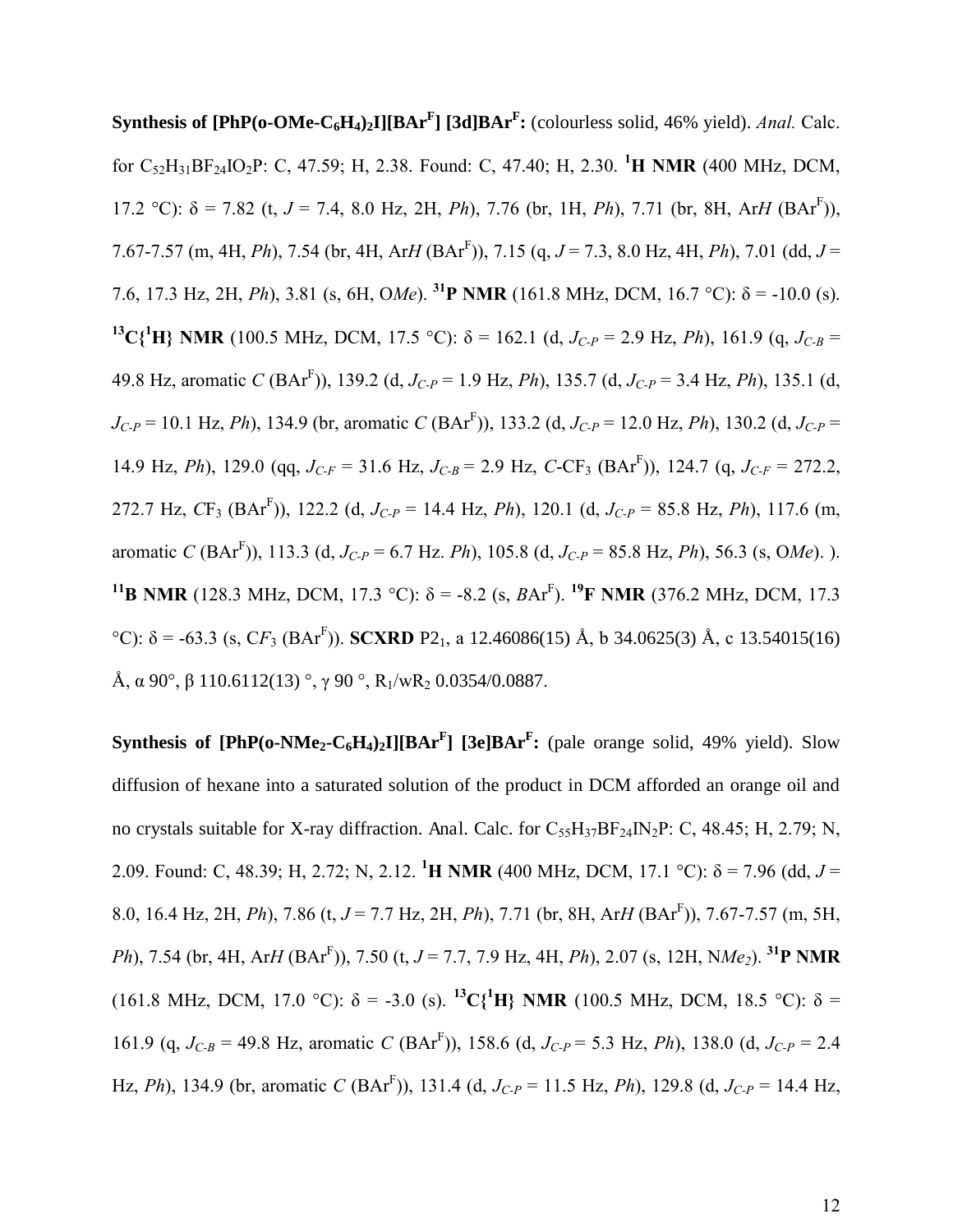**Synthesis of [PhP(o-OMe-C6H4)2I][BAr<sup>F</sup> ] [3d]BAr<sup>F</sup> :** (colourless solid, 46% yield). *Anal.* Calc. for C52H31BF24IO2P: C, 47.59; H, 2.38. Found: C, 47.40; H, 2.30. **<sup>1</sup>H NMR** (400 MHz, DCM, 17.2 °C):  $\delta$  = 7.82 (t, *J* = 7.4, 8.0 Hz, 2H, *Ph*), 7.76 (br, 1H, *Ph*), 7.71 (br, 8H, Ar*H* (BAr<sup>F</sup>)), 7.67-7.57 (m, 4H, *Ph*), 7.54 (br, 4H, Ar*H* (BAr<sup>F</sup> )), 7.15 (q, *J* = 7.3, 8.0 Hz, 4H, *Ph*), 7.01 (dd, *J* = 7.6, 17.3 Hz, 2H, *Ph*), 3.81 (s, 6H, *OMe*). <sup>31</sup>**P** NMR (161.8 MHz, DCM, 16.7 °C):  $\delta$  = -10.0 (s). **<sup>13</sup>C{<sup>1</sup>H} NMR** (100.5 MHz, DCM, 17.5 °C):  $\delta$  = 162.1 (d, *J<sub>C-P</sub>* = 2.9 Hz, *Ph*), 161.9 (q, *J<sub>C-B</sub>* = 49.8 Hz, aromatic *C* (BAr<sup>F</sup> )), 139.2 (d, *JC-P* = 1.9 Hz, *Ph*), 135.7 (d, *JC-P* = 3.4 Hz, *Ph*), 135.1 (d,  $J_{C-P}$  = 10.1 Hz, *Ph*), 134.9 (br, aromatic *C* (BAr<sup>F</sup>)), 133.2 (d,  $J_{C-P}$  = 12.0 Hz, *Ph*), 130.2 (d,  $J_{C-P}$  = 14.9 Hz, *Ph*), 129.0 (qq,  $J_{C-F}$  = 31.6 Hz,  $J_{C-B}$  = 2.9 Hz, *C*-CF<sub>3</sub> (BAr<sup>F</sup>)), 124.7 (q,  $J_{C-F}$  = 272.2, 272.7 Hz, *C*F3 (BAr<sup>F</sup> )), 122.2 (d, *JC-P* = 14.4 Hz, *Ph*), 120.1 (d, *JC-P* = 85.8 Hz, *Ph*), 117.6 (m, aromatic *C* (BAr<sup>F</sup> )), 113.3 (d, *JC-P* = 6.7 Hz. *Ph*), 105.8 (d, *JC-P* = 85.8 Hz, *Ph*), 56.3 (s, O*Me*). ). **<sup>11</sup>B NMR** (128.3 MHz, DCM, 17.3 °C):  $\delta$  = -8.2 (s, *BAr<sup>F</sup>)*. <sup>19</sup>**F NMR** (376.2 MHz, DCM, 17.3  $^{\circ}$ C):  $\delta$  = -63.3 (s, CF<sub>3</sub> (BAr<sup>F</sup>)). **SCXRD** P2<sub>1</sub>, a 12.46086(15) Å, b 34.0625(3) Å, c 13.54015(16) Å,  $\alpha$  90°,  $\beta$  110.6112(13) °,  $\gamma$  90 °, R<sub>1</sub>/wR<sub>2</sub> 0.0354/0.0887.

**Synthesis of [PhP(o-NMe<sub>2</sub>-C<sub>6</sub>H<sub>4</sub>)<sub>2</sub>I][BAr<sup>F</sup>] [3e]BAr<sup>F</sup>: (pale orange solid, 49% yield). Slow** diffusion of hexane into a saturated solution of the product in DCM afforded an orange oil and no crystals suitable for X-ray diffraction. Anal. Calc. for  $C_{55}H_{37}BF_{24}IN_{2}P$ : C, 48.45; H, 2.79; N, 2.09. Found: C, 48.39; H, 2.72; N, 2.12. <sup>1</sup>**H NMR** (400 MHz, DCM, 17.1 °C):  $\delta$  = 7.96 (dd, *J* = 8.0, 16.4 Hz, 2H, *Ph*), 7.86 (t, *J* = 7.7 Hz, 2H, *Ph*), 7.71 (br, 8H, Ar*H* (BAr<sup>F</sup> )), 7.67-7.57 (m, 5H, *Ph*), 7.54 (br, 4H, Ar*H* (BAr<sup>F</sup> )), 7.50 (t, *J* = 7.7, 7.9 Hz, 4H, *Ph*), 2.07 (s, 12H, N*Me2*). **<sup>31</sup>P NMR** (161.8 MHz, DCM, 17.0 °C):  $\delta$  = -3.0 (s). <sup>13</sup>C{<sup>1</sup>H} NMR (100.5 MHz, DCM, 18.5 °C):  $\delta$  = 161.9 (q,  $J_{C-B} = 49.8$  Hz, aromatic *C* (BAr<sup>F</sup>)), 158.6 (d,  $J_{C-P} = 5.3$  Hz, *Ph*), 138.0 (d,  $J_{C-P} = 2.4$ Hz, *Ph*), 134.9 (br, aromatic *C* (BAr<sup>F</sup> )), 131.4 (d, *JC-P* = 11.5 Hz, *Ph*), 129.8 (d, *JC-P* = 14.4 Hz,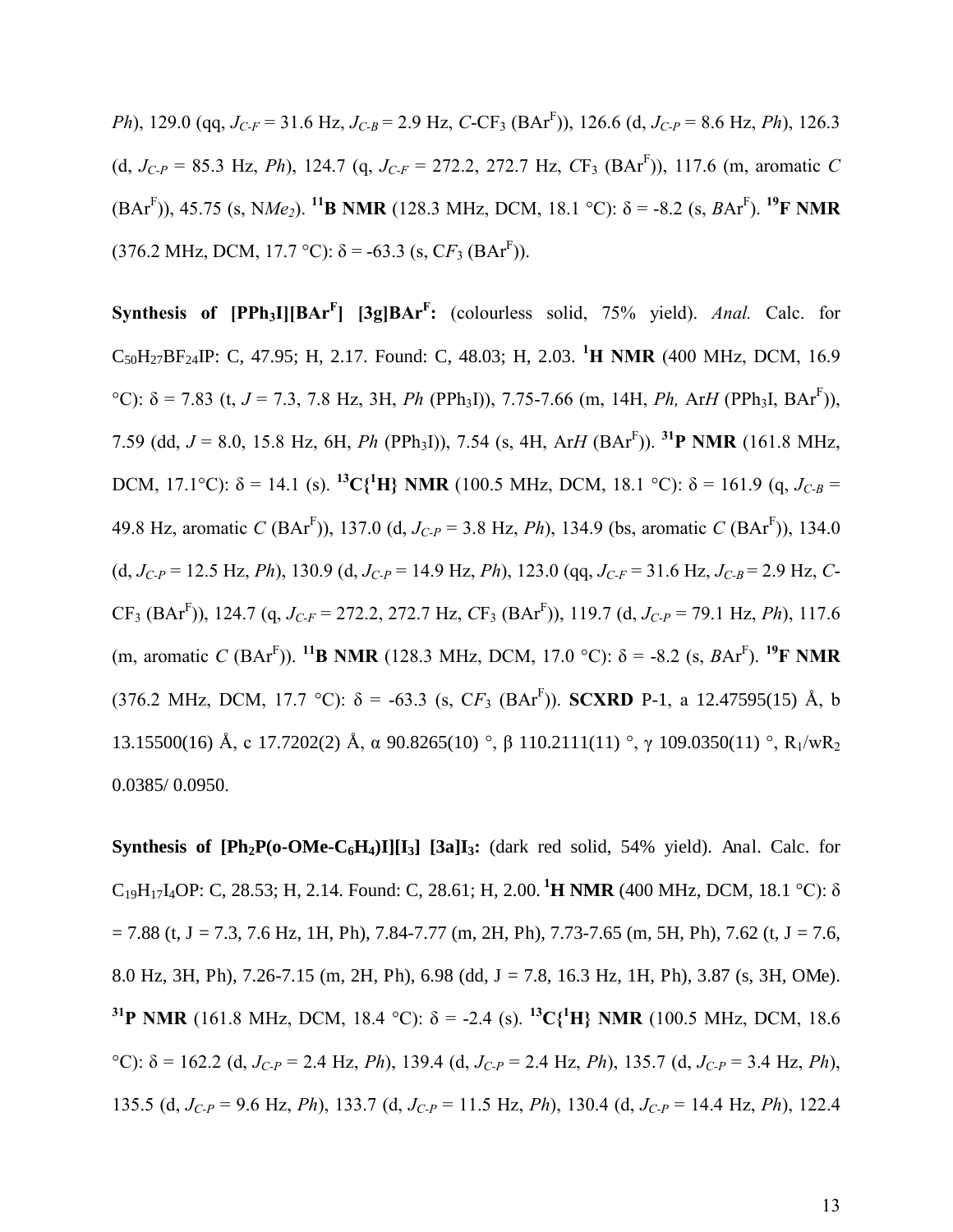*Ph*), 129.0 (qq, *JC-F* = 31.6 Hz, *JC-B* = 2.9 Hz, *C*-CF3 (BAr<sup>F</sup> )), 126.6 (d, *JC-P* = 8.6 Hz, *Ph*), 126.3 (d,  $J_{C-P}$  = 85.3 Hz, *Ph*), 124.7 (q,  $J_{C-F}$  = 272.2, 272.7 Hz,  $CF_3$  (BAr<sup>F</sup>)), 117.6 (m, aromatic *C*  $(BAr^F)$ ), 45.75 (s, NMe<sub>2</sub>). <sup>11</sup>**B NMR** (128.3 MHz, DCM, 18.1 °C):  $\delta$  = -8.2 (s, *B*Ar<sup>F</sup>). <sup>19</sup>**F NMR**  $(376.2 \text{ MHz}, \text{DCM}, 17.7 \text{ °C})$ :  $\delta$  = -63.3 (s, CF<sub>3</sub> (BAr<sup>F</sup>)).

**Synthesis of [PPh3I][BAr<sup>F</sup> ] [3g]BAr<sup>F</sup> :** (colourless solid, 75% yield). *Anal.* Calc. for C50H27BF24IP: C, 47.95; H, 2.17. Found: C, 48.03; H, 2.03. **<sup>1</sup>H NMR** (400 MHz, DCM, 16.9 °C): δ = 7.83 (t, *J* = 7.3, 7.8 Hz, 3H, *Ph* (PPh<sub>3</sub>I)), 7.75-7.66 (m, 14H, *Ph*, Ar*H* (PPh<sub>3</sub>I, BAr<sup>F</sup>)), 7.59 (dd, *J* = 8.0, 15.8 Hz, 6H, *Ph* (PPh3I)), 7.54 (s, 4H, Ar*H* (BAr<sup>F</sup> )). **<sup>31</sup>P NMR** (161.8 MHz, DCM, 17.1°C):  $\delta = 14.1$  (s). <sup>13</sup>C{<sup>1</sup>H} NMR (100.5 MHz, DCM, 18.1 °C):  $\delta = 161.9$  (q,  $J_{C-B} =$ 49.8 Hz, aromatic *C* (BAr<sup>F</sup> )), 137.0 (d, *JC-P* = 3.8 Hz, *Ph*), 134.9 (bs, aromatic *C* (BAr<sup>F</sup> )), 134.0  $(d, J_{C-P} = 12.5 \text{ Hz}, Ph)$ , 130.9  $(d, J_{C-P} = 14.9 \text{ Hz}, Ph)$ , 123.0  $(qq, J_{C-F} = 31.6 \text{ Hz}, J_{C-B} = 2.9 \text{ Hz}, C$ CF3 (BAr<sup>F</sup> )), 124.7 (q, *JC-F* = 272.2, 272.7 Hz, *C*F3 (BAr<sup>F</sup> )), 119.7 (d, *JC-P* = 79.1 Hz, *Ph*), 117.6 (m, aromatic *C* (BAr<sup>F</sup>)). <sup>11</sup>**B NMR** (128.3 MHz, DCM, 17.0 °C):  $\delta$  = -8.2 (s, *B*Ar<sup>F</sup>). <sup>19</sup>**F NMR**  $(376.2 \text{ MHz}, \text{DCM}, 17.7 \text{ °C})$ :  $\delta = -63.3 \text{ (s, } CF_3 \text{ (BAT}^F)$ ). **SCXRD** P-1, a 12.47595(15) Å, b 13.15500(16) Å, c 17.7202(2) Å,  $\alpha$  90.8265(10) °,  $\beta$  110.2111(11) °,  $\gamma$  109.0350(11) °, R<sub>1</sub>/wR<sub>2</sub> 0.0385/ 0.0950.

**Synthesis of**  $\text{[Ph}_2\text{P}(\text{o}-\text{OMe}-\text{C}_6\text{H}_4)\text{I}$  $\text{[I}_3]$  $\text{[3a]I}_3$ **: (dark red solid, 54% yield). Anal. Calc. for** C<sub>19</sub>H<sub>17</sub>I<sub>4</sub>OP: C, 28.53; H, 2.14. Found: C, 28.61; H, 2.00. <sup>1</sup>**H NMR** (400 MHz, DCM, 18.1 °C):  $\delta$  $= 7.88$  (t, J = 7.3, 7.6 Hz, 1H, Ph), 7.84-7.77 (m, 2H, Ph), 7.73-7.65 (m, 5H, Ph), 7.62 (t, J = 7.6, 8.0 Hz, 3H, Ph), 7.26-7.15 (m, 2H, Ph), 6.98 (dd, J = 7.8, 16.3 Hz, 1H, Ph), 3.87 (s, 3H, OMe). **<sup>31</sup>P NMR** (161.8 MHz, DCM, 18.4 °C):  $\delta$  = -2.4 (s). <sup>13</sup>C{<sup>1</sup>H} NMR (100.5 MHz, DCM, 18.6 <sup>°</sup>C): δ = 162.2 (d, *J<sub>C-P</sub>* = 2.4 Hz, *Ph*), 139.4 (d, *J<sub>C-P</sub>* = 2.4 Hz, *Ph*), 135.7 (d, *J<sub>C-P</sub>* = 3.4 Hz, *Ph*), 135.5 (d, *JC-P* = 9.6 Hz, *Ph*), 133.7 (d, *JC-P* = 11.5 Hz, *Ph*), 130.4 (d, *JC-P* = 14.4 Hz, *Ph*), 122.4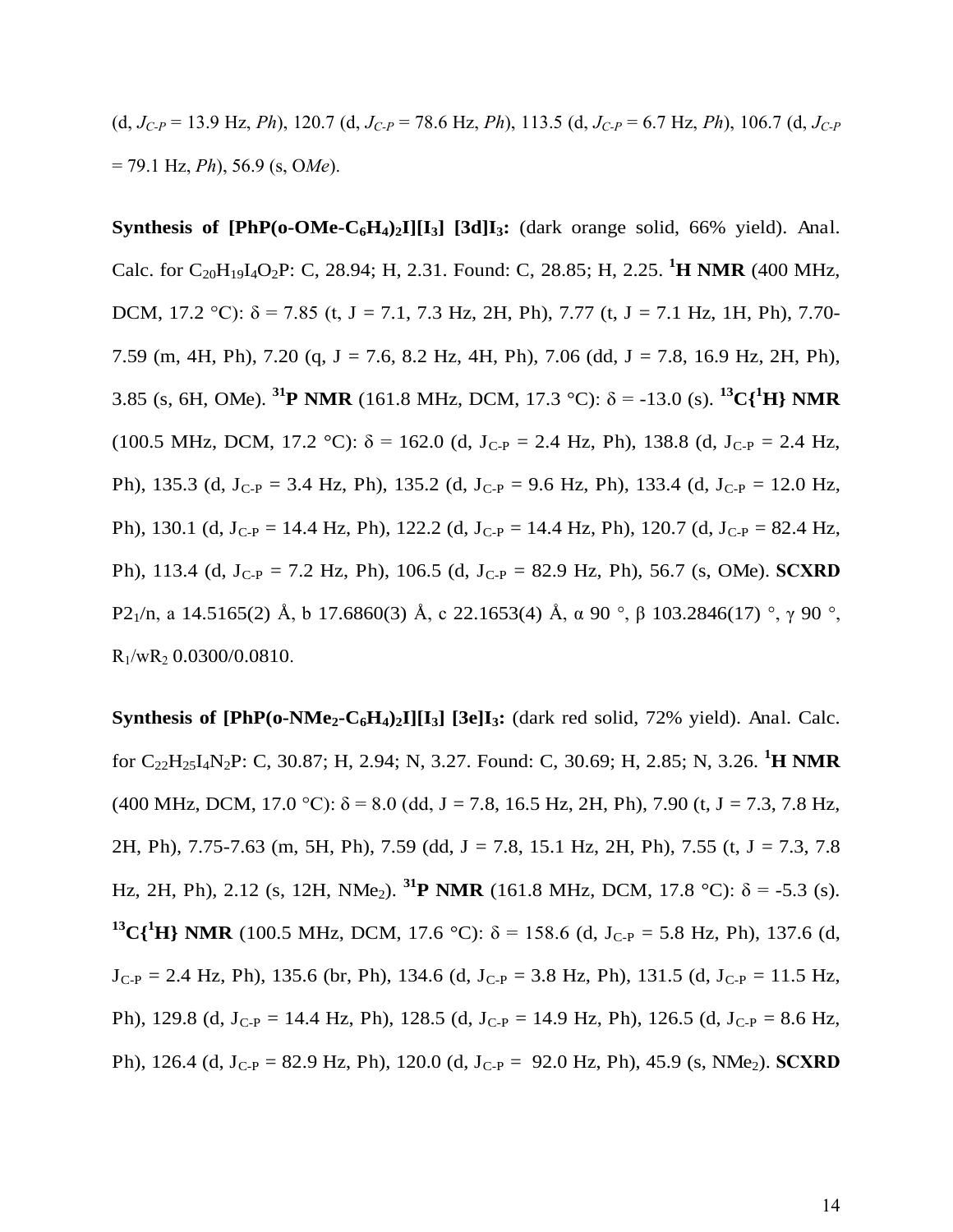(d,  $J_{C-P}$  = 13.9 Hz, *Ph*), 120.7 (d,  $J_{C-P}$  = 78.6 Hz, *Ph*), 113.5 (d,  $J_{C-P}$  = 6.7 Hz, *Ph*), 106.7 (d,  $J_{C-P}$ = 79.1 Hz, *Ph*), 56.9 (s, O*Me*).

**Synthesis of [PhP(o-OMe-C6H4)2I][I3] [3d]I3:** (dark orange solid, 66% yield). Anal. Calc. for C<sub>20</sub>H<sub>19</sub>I<sub>4</sub>O<sub>2</sub>P: C, 28.94; H, 2.31. Found: C, 28.85; H, 2.25. <sup>1</sup>**H NMR** (400 MHz, DCM, 17.2 °C):  $\delta$  = 7.85 (t, J = 7.1, 7.3 Hz, 2H, Ph), 7.77 (t, J = 7.1 Hz, 1H, Ph), 7.70-7.59 (m, 4H, Ph), 7.20 (q, J = 7.6, 8.2 Hz, 4H, Ph), 7.06 (dd, J = 7.8, 16.9 Hz, 2H, Ph), 3.85 (s, 6H, OMe). <sup>31</sup>**P** NMR (161.8 MHz, DCM, 17.3 °C):  $\delta$  = -13.0 (s). <sup>13</sup>C{<sup>1</sup>H} NMR (100.5 MHz, DCM, 17.2 °C):  $\delta$  = 162.0 (d, J<sub>C-P</sub> = 2.4 Hz, Ph), 138.8 (d, J<sub>C-P</sub> = 2.4 Hz, Ph), 135.3 (d, J<sub>C-P</sub> = 3.4 Hz, Ph), 135.2 (d, J<sub>C-P</sub> = 9.6 Hz, Ph), 133.4 (d, J<sub>C-P</sub> = 12.0 Hz, Ph), 130.1 (d, J<sub>C-P</sub> = 14.4 Hz, Ph), 122.2 (d, J<sub>C-P</sub> = 14.4 Hz, Ph), 120.7 (d, J<sub>C-P</sub> = 82.4 Hz, Ph), 113.4 (d, JC-P = 7.2 Hz, Ph), 106.5 (d, JC-P = 82.9 Hz, Ph), 56.7 (s, OMe). **SCXRD** P2<sub>1</sub>/n, a 14.5165(2) Å, b 17.6860(3) Å, c 22.1653(4) Å,  $\alpha$  90 °,  $\beta$  103.2846(17) °,  $\gamma$  90 °,  $R_1/wR_2$  0.0300/0.0810.

**Synthesis of [PhP(o-NMe2-C6H4)2I][I3] [3e]I3:** (dark red solid, 72% yield). Anal. Calc. for C22H25I4N2P: C, 30.87; H, 2.94; N, 3.27. Found: C, 30.69; H, 2.85; N, 3.26. **<sup>1</sup>H NMR** (400 MHz, DCM, 17.0 °C):  $\delta$  = 8.0 (dd, J = 7.8, 16.5 Hz, 2H, Ph), 7.90 (t, J = 7.3, 7.8 Hz, 2H, Ph), 7.75-7.63 (m, 5H, Ph), 7.59 (dd, J = 7.8, 15.1 Hz, 2H, Ph), 7.55 (t, J = 7.3, 7.8 Hz, 2H, Ph), 2.12 (s, 12H, NMe<sub>2</sub>). <sup>31</sup>**P** NMR (161.8 MHz, DCM, 17.8 °C):  $\delta$  = -5.3 (s). **<sup>13</sup>C{<sup>1</sup>H} NMR** (100.5 MHz, DCM, 17.6 °C):  $\delta$  = 158.6 (d, J<sub>C-P</sub> = 5.8 Hz, Ph), 137.6 (d,  $J_{C-P} = 2.4$  Hz, Ph), 135.6 (br, Ph), 134.6 (d,  $J_{C-P} = 3.8$  Hz, Ph), 131.5 (d,  $J_{C-P} = 11.5$  Hz, Ph), 129.8 (d, J<sub>C-P</sub> = 14.4 Hz, Ph), 128.5 (d, J<sub>C-P</sub> = 14.9 Hz, Ph), 126.5 (d, J<sub>C-P</sub> = 8.6 Hz, Ph), 126.4 (d, J<sub>C-P</sub> = 82.9 Hz, Ph), 120.0 (d, J<sub>C-P</sub> = 92.0 Hz, Ph), 45.9 (s, NMe<sub>2</sub>). **SCXRD**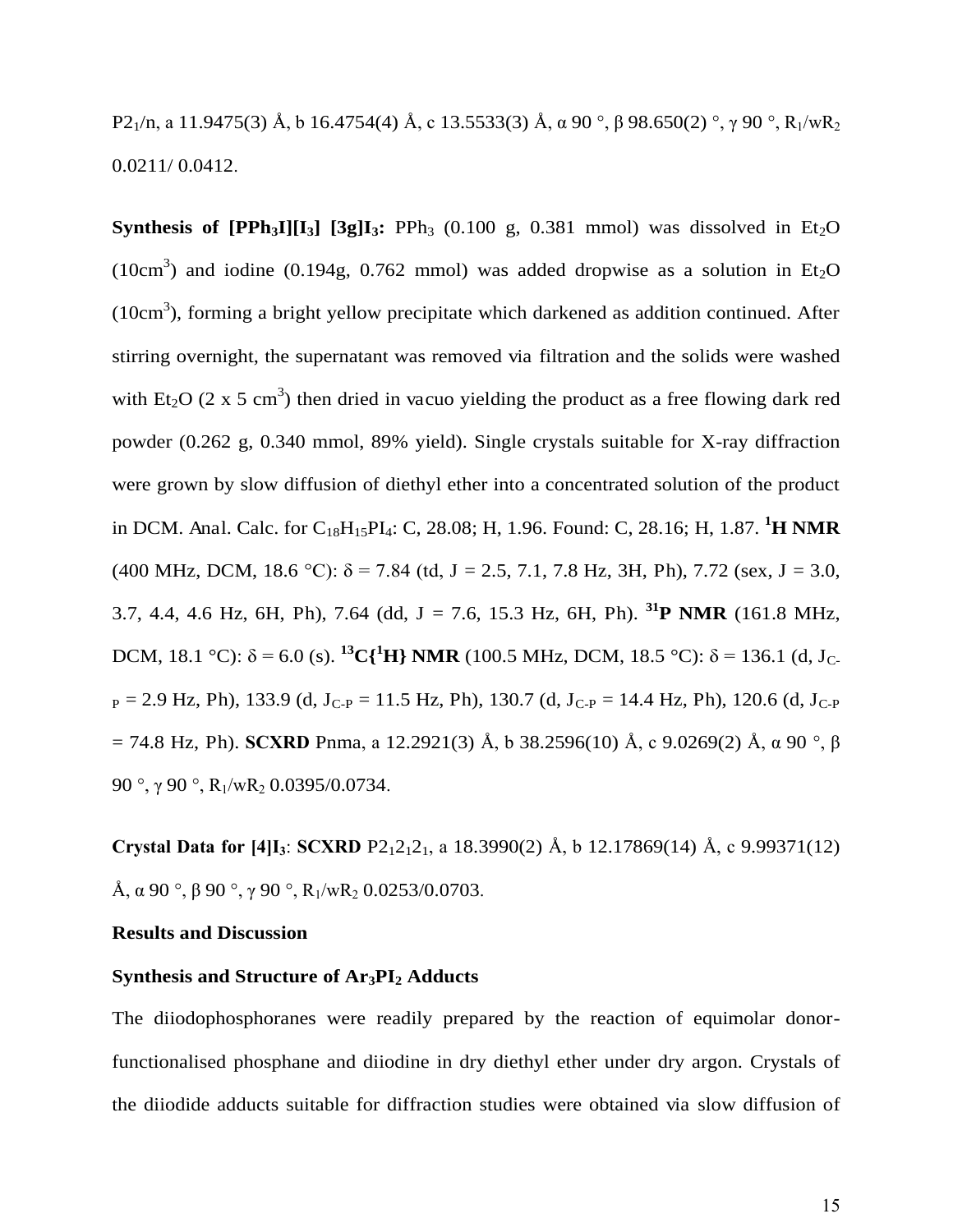P2<sub>1</sub>/n, a 11.9475(3) Å, b 16.4754(4) Å, c 13.5533(3) Å,  $\alpha$  90 °,  $\beta$  98.650(2) °,  $\gamma$  90 °, R<sub>1</sub>/wR<sub>2</sub> 0.0211/ 0.0412.

**Synthesis of [PPh<sub>3</sub>I][I<sub>3</sub>] [3g]I<sub>3</sub>:** PPh<sub>3</sub> (0.100 g, 0.381 mmol) was dissolved in Et<sub>2</sub>O (10cm<sup>3</sup>) and iodine (0.194g, 0.762 mmol) was added dropwise as a solution in  $Et_2O$  $(10cm<sup>3</sup>)$ , forming a bright yellow precipitate which darkened as addition continued. After stirring overnight, the supernatant was removed via filtration and the solids were washed with  $Et_2O$  (2 x 5 cm<sup>3</sup>) then dried in vacuo yielding the product as a free flowing dark red powder (0.262 g, 0.340 mmol, 89% yield). Single crystals suitable for X-ray diffraction were grown by slow diffusion of diethyl ether into a concentrated solution of the product in DCM. Anal. Calc. for C18H15PI4: C, 28.08; H, 1.96. Found: C, 28.16; H, 1.87. **<sup>1</sup>H NMR** (400 MHz, DCM, 18.6 °C):  $\delta$  = 7.84 (td, J = 2.5, 7.1, 7.8 Hz, 3H, Ph), 7.72 (sex, J = 3.0, 3.7, 4.4, 4.6 Hz, 6H, Ph), 7.64 (dd, J = 7.6, 15.3 Hz, 6H, Ph). **<sup>31</sup>P NMR** (161.8 MHz, DCM, 18.1 °C):  $\delta$  = 6.0 (s). <sup>13</sup>C{<sup>1</sup>H} NMR (100.5 MHz, DCM, 18.5 °C):  $\delta$  = 136.1 (d, J<sub>C-</sub>  $_{\rm P}$  = 2.9 Hz, Ph), 133.9 (d, J<sub>C-P</sub> = 11.5 Hz, Ph), 130.7 (d, J<sub>C-P</sub> = 14.4 Hz, Ph), 120.6 (d, J<sub>C-P</sub>  $= 74.8$  Hz, Ph). **SCXRD** Pnma, a 12.2921(3) Å, b 38.2596(10) Å, c 9.0269(2) Å,  $\alpha$  90 °,  $\beta$ 90 °,  $\gamma$  90 °, R<sub>1</sub>/wR<sub>2</sub> 0.0395/0.0734.

**Crystal Data for**  $[4]I_3$ **: <b>SCXRD**  $P2_12_12_1$ , a 18.3990(2) Å, b 12.17869(14) Å, c 9.99371(12) Å,  $\alpha$  90 °,  $\beta$  90 °,  $\gamma$  90 °, R<sub>1</sub>/wR<sub>2</sub> 0.0253/0.0703.

#### **Results and Discussion**

#### **Synthesis and Structure of Ar3PI2 Adducts**

The diiodophosphoranes were readily prepared by the reaction of equimolar donorfunctionalised phosphane and diiodine in dry diethyl ether under dry argon. Crystals of the diiodide adducts suitable for diffraction studies were obtained via slow diffusion of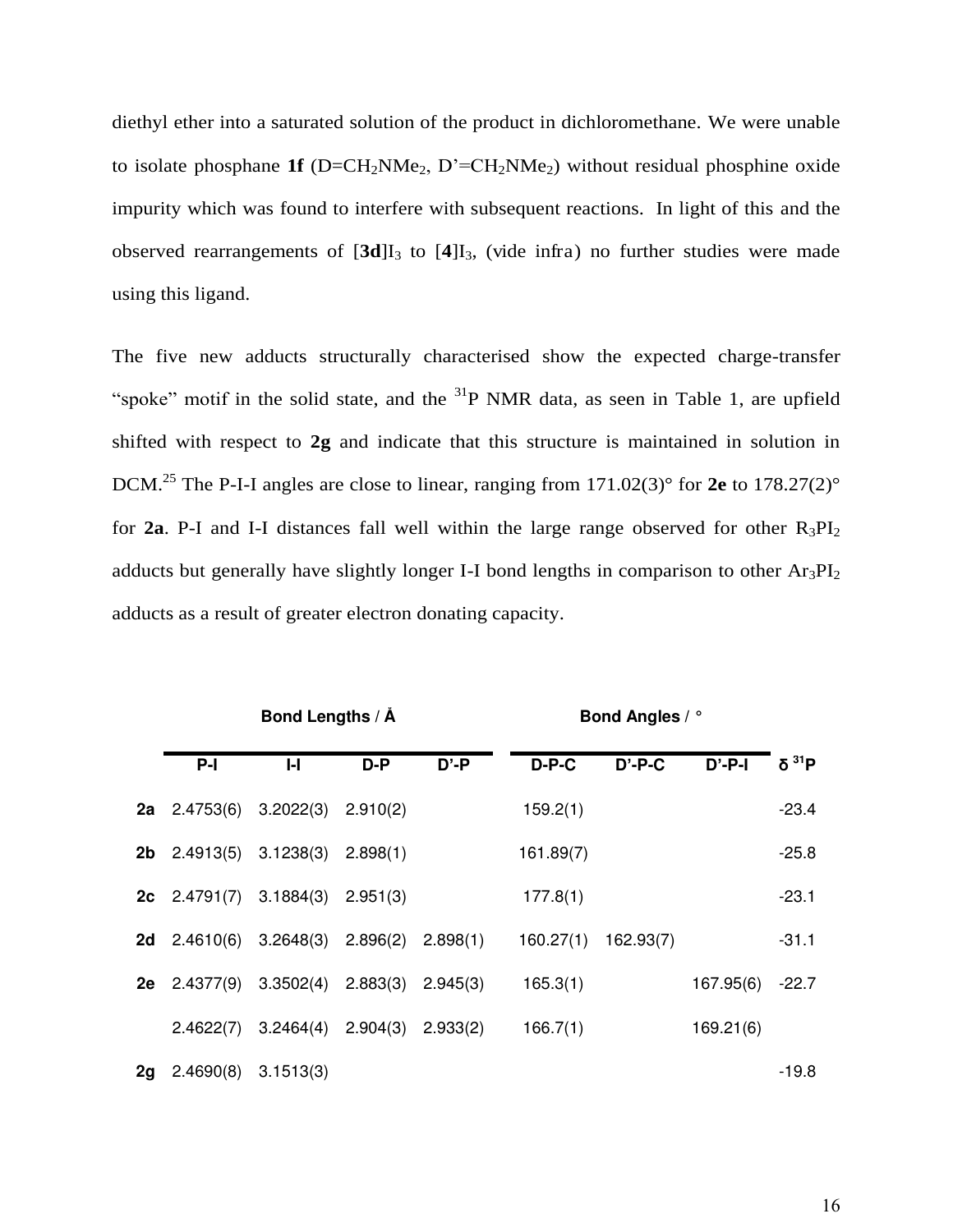diethyl ether into a saturated solution of the product in dichloromethane. We were unable to isolate phosphane **1f** ( $D=CH_2NMe_2$ ,  $D'=CH_2NMe_2$ ) without residual phosphine oxide impurity which was found to interfere with subsequent reactions. In light of this and the observed rearrangements of  $[3d]I_3$  to  $[4]I_3$ , (vide infra) no further studies were made using this ligand.

The five new adducts structurally characterised show the expected charge-transfer "spoke" motif in the solid state, and the  ${}^{31}P$  NMR data, as seen in Table 1, are upfield shifted with respect to **2g** and indicate that this structure is maintained in solution in DCM.<sup>25</sup> The P-I-I angles are close to linear, ranging from 171.02(3)° for 2e to 178.27(2)° for **2a**. P-I and I-I distances fall well within the large range observed for other  $R_3PI_2$ adducts but generally have slightly longer I-I bond lengths in comparison to other  $Ar_3PI_2$ adducts as a result of greater electron donating capacity.

|    |                                                         | Bond Lengths / Å                              |     |          | <b>Bond Angles / °</b> |           |           |                   |
|----|---------------------------------------------------------|-----------------------------------------------|-----|----------|------------------------|-----------|-----------|-------------------|
|    | $P-I$                                                   | $\mathsf{H}$                                  | D-P | $D' - P$ | $D-P-C$                | $D'$ -P-C | $D'$ -P-I | δ <sup>31</sup> P |
|    | <b>2a</b> $2.4753(6)$ $3.2022(3)$ $2.910(2)$            |                                               |     |          | 159.2(1)               |           |           | $-23.4$           |
|    | <b>2b</b> $2.4913(5)$ $3.1238(3)$ $2.898(1)$            |                                               |     |          | 161.89(7)              |           |           | $-25.8$           |
|    | <b>2c</b> $2.4791(7)$ $3.1884(3)$ $2.951(3)$            |                                               |     |          | 177.8(1)               |           |           | $-23.1$           |
| 2d |                                                         | $2.4610(6)$ $3.2648(3)$ $2.896(2)$ $2.898(1)$ |     |          | 160.27(1)              | 162.93(7) |           | $-31.1$           |
|    | <b>2e</b> $2.4377(9)$ $3.3502(4)$ $2.883(3)$ $2.945(3)$ |                                               |     |          | 165.3(1)               |           | 167.95(6) | $-22.7$           |
|    |                                                         | $2.4622(7)$ $3.2464(4)$ $2.904(3)$ $2.933(2)$ |     |          | 166.7(1)               |           | 169.21(6) |                   |
| 2g | 2.4690(8)                                               | 3.1513(3)                                     |     |          |                        |           |           | $-19.8$           |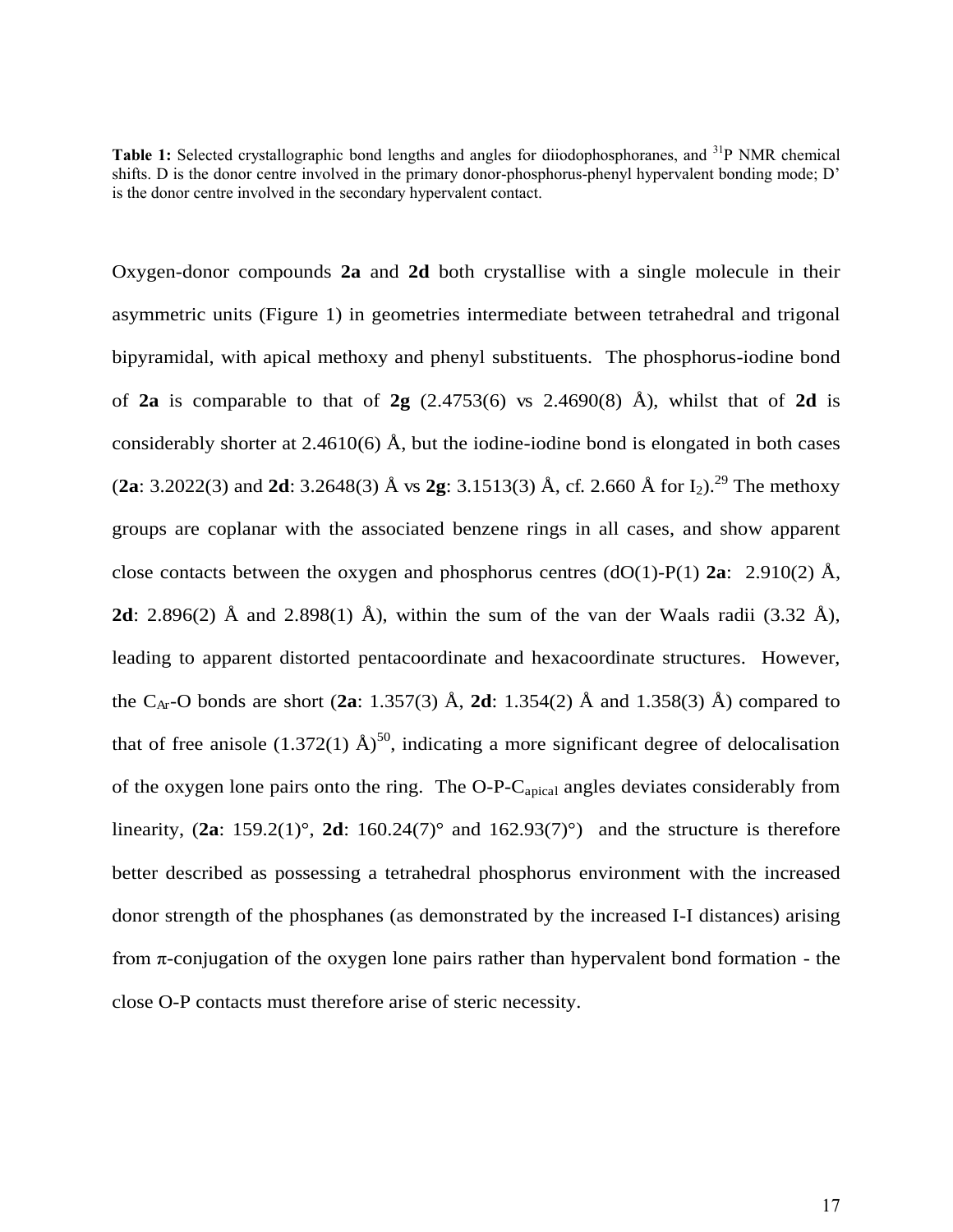**Table 1:** Selected crystallographic bond lengths and angles for diiodophosphoranes, and <sup>31</sup>P NMR chemical shifts. D is the donor centre involved in the primary donor-phosphorus-phenyl hypervalent bonding mode; D' is the donor centre involved in the secondary hypervalent contact.

Oxygen-donor compounds **2a** and **2d** both crystallise with a single molecule in their asymmetric units (Figure 1) in geometries intermediate between tetrahedral and trigonal bipyramidal, with apical methoxy and phenyl substituents. The phosphorus-iodine bond of **2a** is comparable to that of **2g**  $(2.4753(6)$  vs  $2.4690(8)$  Å), whilst that of **2d** is considerably shorter at 2.4610(6)  $\AA$ , but the iodine-iodine bond is elongated in both cases (**2a**: 3.2022(3) and **2d**: 3.2648(3) Å vs **2g**: 3.1513(3) Å, cf. 2.660 Å for I<sub>2</sub>).<sup>29</sup> The methoxy groups are coplanar with the associated benzene rings in all cases, and show apparent close contacts between the oxygen and phosphorus centres  $(dO(1)-P(1))$  **2a**: 2.910(2) Å, **2d**: 2.896(2) Å and 2.898(1) Å), within the sum of the van der Waals radii (3.32 Å), leading to apparent distorted pentacoordinate and hexacoordinate structures. However, the C<sub>Ar</sub>-O bonds are short (2a: 1.357(3) Å, 2d: 1.354(2) Å and 1.358(3) Å) compared to that of free anisole (1.372(1)  $\rm \AA$ )<sup>50</sup>, indicating a more significant degree of delocalisation of the oxygen lone pairs onto the ring. The O-P-Capical angles deviates considerably from linearity,  $(2a: 159.2(1)^\circ, 2d: 160.24(7)^\circ$  and  $162.93(7)^\circ)$  and the structure is therefore better described as possessing a tetrahedral phosphorus environment with the increased donor strength of the phosphanes (as demonstrated by the increased I-I distances) arising from  $\pi$ -conjugation of the oxygen lone pairs rather than hypervalent bond formation - the close O-P contacts must therefore arise of steric necessity.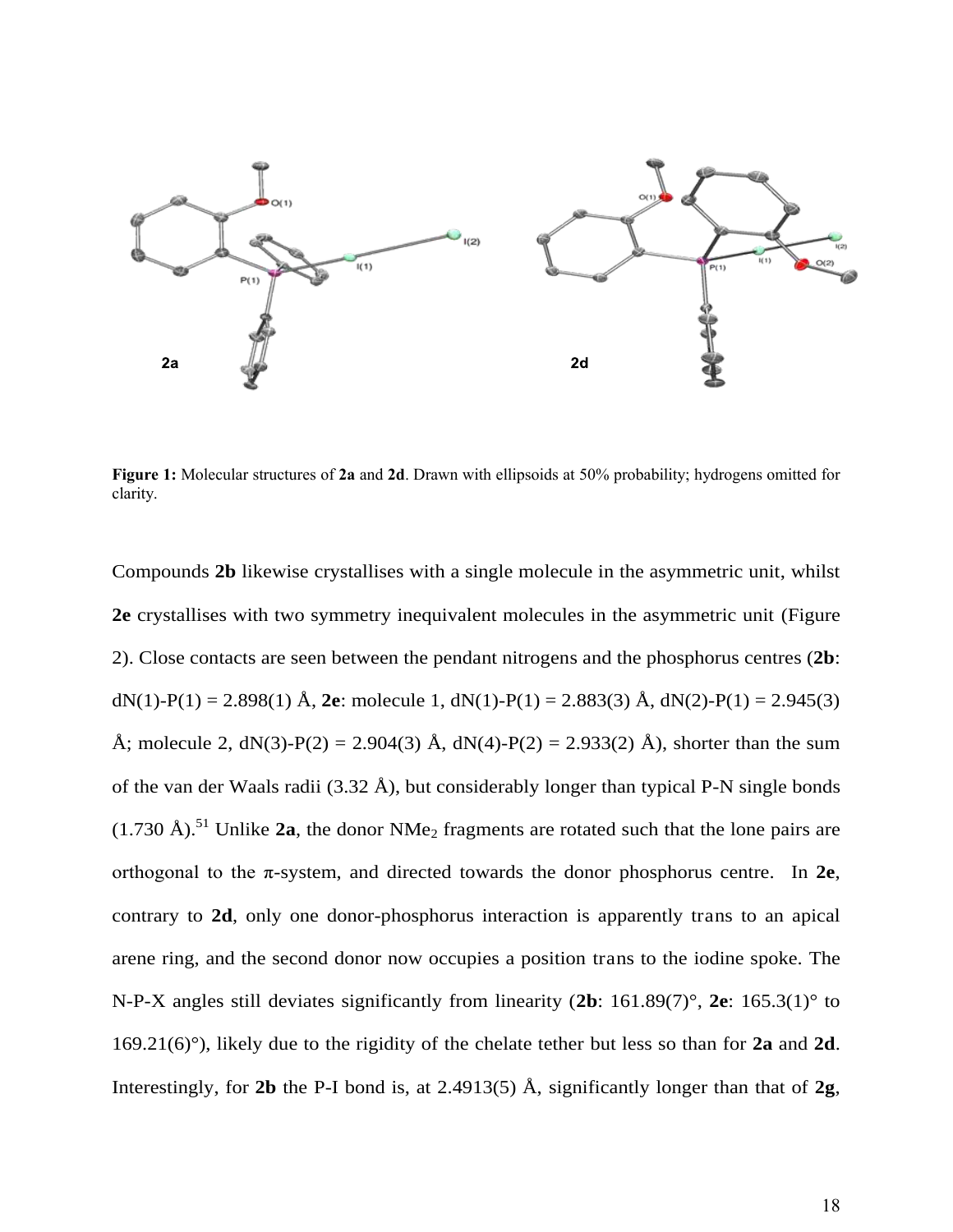

**Figure 1:** Molecular structures of **2a** and **2d**. Drawn with ellipsoids at 50% probability; hydrogens omitted for clarity.

Compounds **2b** likewise crystallises with a single molecule in the asymmetric unit, whilst **2e** crystallises with two symmetry inequivalent molecules in the asymmetric unit (Figure 2). Close contacts are seen between the pendant nitrogens and the phosphorus centres (**2b**: dN(1)-P(1) = 2.898(1) Å, **2e**: molecule 1, dN(1)-P(1) = 2.883(3) Å, dN(2)-P(1) = 2.945(3) Å; molecule 2, dN(3)-P(2) = 2.904(3) Å, dN(4)-P(2) = 2.933(2) Å), shorter than the sum of the van der Waals radii (3.32 Å), but considerably longer than typical P-N single bonds  $(1.730 \text{ Å})$ .<sup>51</sup> Unlike **2a**, the donor NMe<sub>2</sub> fragments are rotated such that the lone pairs are orthogonal to the  $\pi$ -system, and directed towards the donor phosphorus centre. In  $2e$ , contrary to **2d**, only one donor-phosphorus interaction is apparently trans to an apical arene ring, and the second donor now occupies a position trans to the iodine spoke. The N-P-X angles still deviates significantly from linearity (**2b**: 161.89(7)°, **2e**: 165.3(1)° to 169.21(6)°), likely due to the rigidity of the chelate tether but less so than for **2a** and **2d**. Interestingly, for **2b** the P-I bond is, at 2.4913(5) Å, significantly longer than that of **2g**,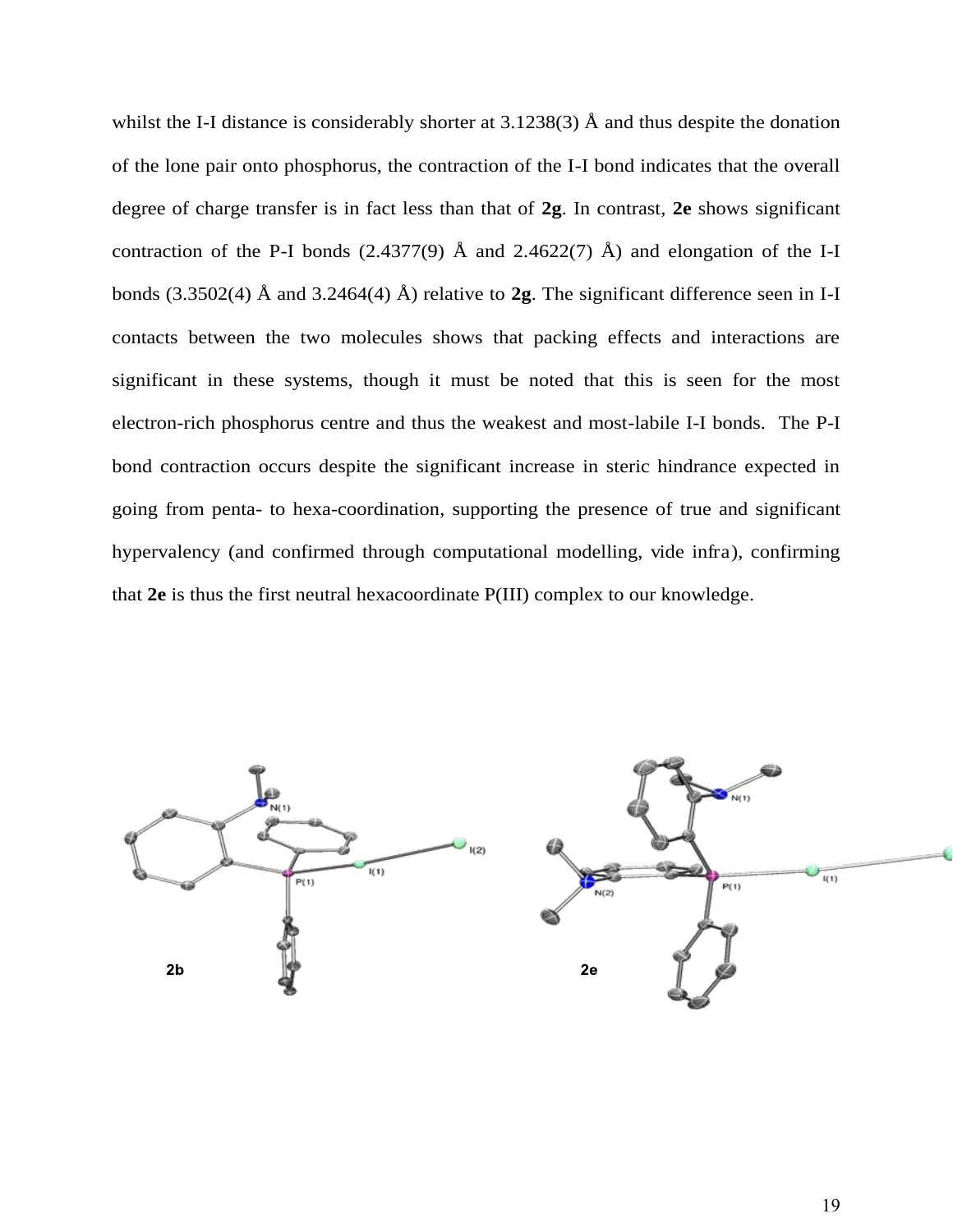whilst the I-I distance is considerably shorter at  $3.1238(3)$  Å and thus despite the donation of the lone pair onto phosphorus, the contraction of the I-I bond indicates that the overall degree of charge transfer is in fact less than that of **2g**. In contrast, **2e** shows significant contraction of the P-I bonds (2.4377(9)  $\AA$  and 2.4622(7)  $\AA$ ) and elongation of the I-I bonds (3.3502(4) Å and 3.2464(4) Å) relative to **2g**. The significant difference seen in I-I contacts between the two molecules shows that packing effects and interactions are significant in these systems, though it must be noted that this is seen for the most electron-rich phosphorus centre and thus the weakest and most-labile I-I bonds. The P-I bond contraction occurs despite the significant increase in steric hindrance expected in going from penta- to hexa-coordination, supporting the presence of true and significant hypervalency (and confirmed through computational modelling, vide infra), confirming that **2e** is thus the first neutral hexacoordinate P(III) complex to our knowledge.

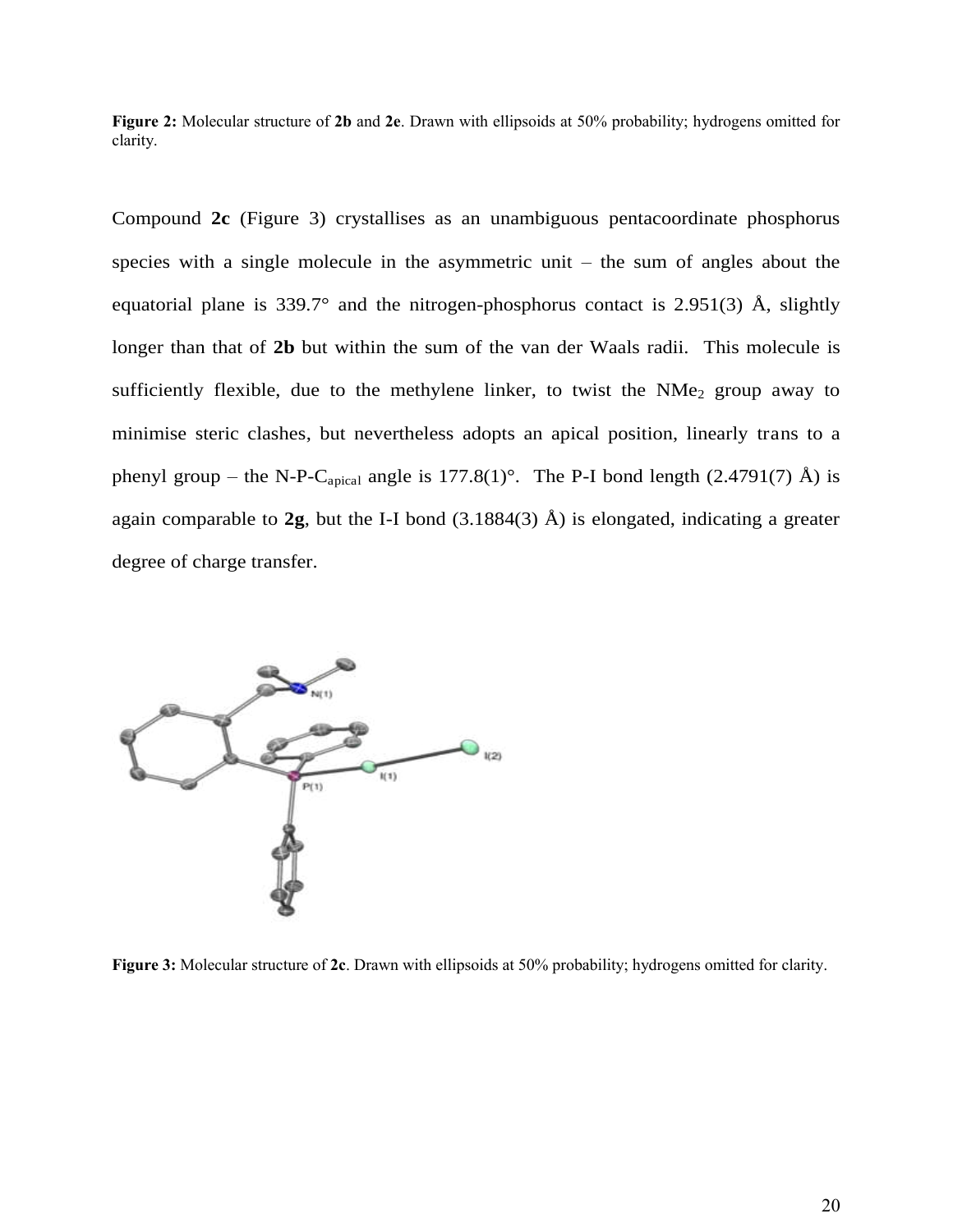**Figure 2:** Molecular structure of **2b** and **2e**. Drawn with ellipsoids at 50% probability; hydrogens omitted for clarity.

Compound **2c** (Figure 3) crystallises as an unambiguous pentacoordinate phosphorus species with a single molecule in the asymmetric unit  $-$  the sum of angles about the equatorial plane is 339.7° and the nitrogen-phosphorus contact is 2.951(3)  $\AA$ , slightly longer than that of **2b** but within the sum of the van der Waals radii. This molecule is sufficiently flexible, due to the methylene linker, to twist the  $NMe<sub>2</sub>$  group away to minimise steric clashes, but nevertheless adopts an apical position, linearly trans to a phenyl group – the N-P-C<sub>apical</sub> angle is 177.8(1)°. The P-I bond length (2.4791(7) Å) is again comparable to  $2g$ , but the I-I bond  $(3.1884(3)$  Å) is elongated, indicating a greater degree of charge transfer.



**Figure 3:** Molecular structure of **2c**. Drawn with ellipsoids at 50% probability; hydrogens omitted for clarity.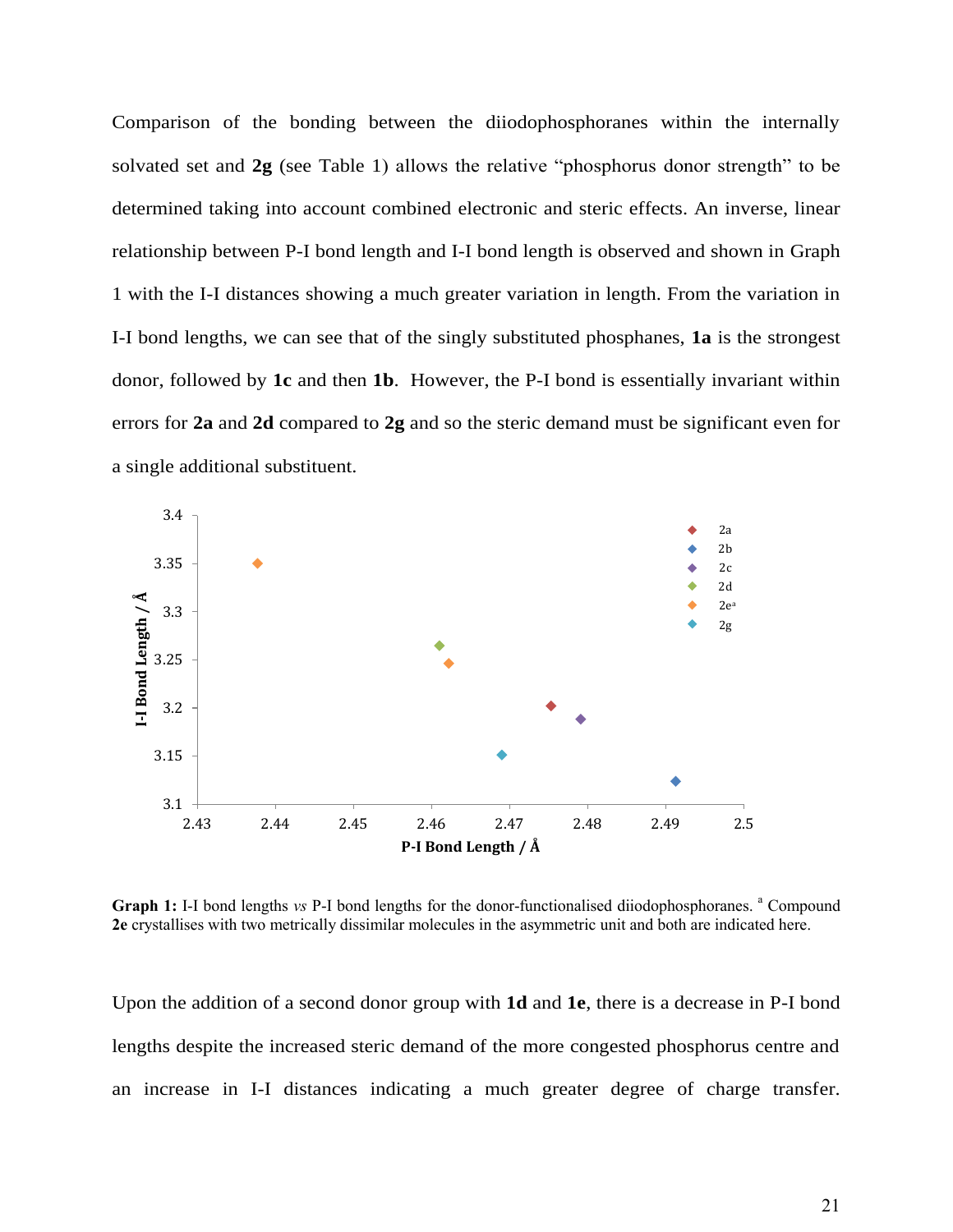Comparison of the bonding between the diiodophosphoranes within the internally solvated set and **2g** (see Table 1) allows the relative "phosphorus donor strength" to be determined taking into account combined electronic and steric effects. An inverse, linear relationship between P-I bond length and I-I bond length is observed and shown in Graph 1 with the I-I distances showing a much greater variation in length. From the variation in I-I bond lengths, we can see that of the singly substituted phosphanes, **1a** is the strongest donor, followed by **1c** and then **1b**. However, the P-I bond is essentially invariant within errors for **2a** and **2d** compared to **2g** and so the steric demand must be significant even for a single additional substituent.



Graph 1: I-I bond lengths *vs* P-I bond lengths for the donor-functionalised diiodophosphoranes. <sup>a</sup> Compound **2e** crystallises with two metrically dissimilar molecules in the asymmetric unit and both are indicated here.

Upon the addition of a second donor group with **1d** and **1e**, there is a decrease in P-I bond lengths despite the increased steric demand of the more congested phosphorus centre and an increase in I-I distances indicating a much greater degree of charge transfer.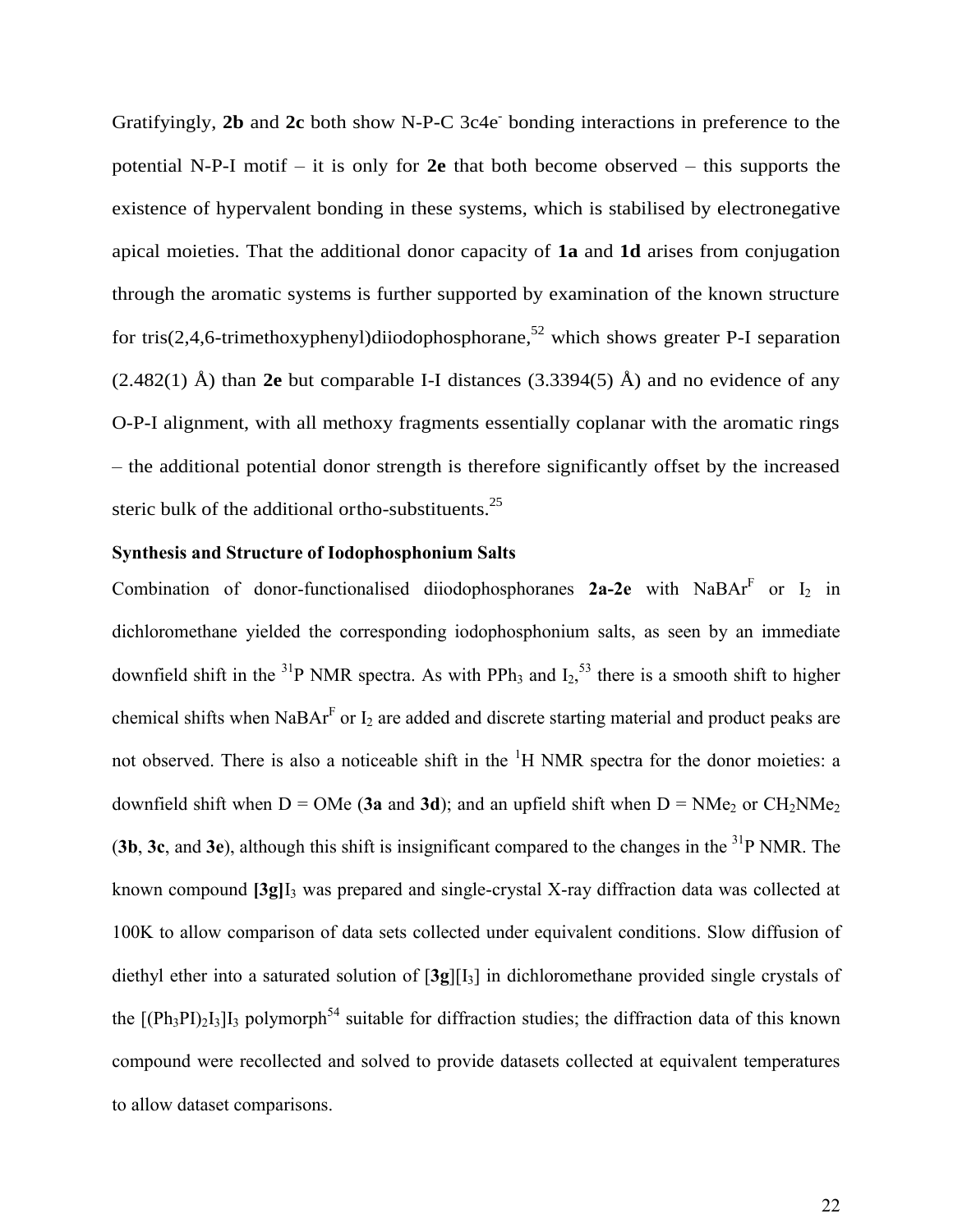Gratifyingly, 2b and 2c both show N-P-C 3c4e<sup>-</sup> bonding interactions in preference to the potential N-P-I motif – it is only for **2e** that both become observed – this supports the existence of hypervalent bonding in these systems, which is stabilised by electronegative apical moieties. That the additional donor capacity of **1a** and **1d** arises from conjugation through the aromatic systems is further supported by examination of the known structure for tris(2,4,6-trimethoxyphenyl)diiodophosphorane,<sup>52</sup> which shows greater P-I separation (2.482(1) Å) than **2e** but comparable I-I distances (3.3394(5) Å) and no evidence of any O-P-I alignment, with all methoxy fragments essentially coplanar with the aromatic rings – the additional potential donor strength is therefore significantly offset by the increased steric bulk of the additional ortho-substituents.<sup>25</sup>

#### **Synthesis and Structure of Iodophosphonium Salts**

Combination of donor-functionalised diiodophosphoranes  $2a-2e$  with NaBA $r<sup>F</sup>$  or  $I<sub>2</sub>$  in dichloromethane yielded the corresponding iodophosphonium salts, as seen by an immediate downfield shift in the <sup>31</sup>P NMR spectra. As with PPh<sub>3</sub> and  $I_2$ <sup>53</sup> there is a smooth shift to higher chemical shifts when NaBA $r<sup>F</sup>$  or  $I_2$  are added and discrete starting material and product peaks are not observed. There is also a noticeable shift in the <sup>1</sup>H NMR spectra for the donor moieties: a downfield shift when  $D = OMe$  (3a and 3d); and an upfield shift when  $D = NMe<sub>2</sub>$  or  $CH<sub>2</sub>NMe<sub>2</sub>$ (**3b**, **3c**, and **3e**), although this shift is insignificant compared to the changes in the <sup>31</sup>P NMR. The known compound **[3g]**I3 was prepared and single-crystal X-ray diffraction data was collected at 100K to allow comparison of data sets collected under equivalent conditions. Slow diffusion of diethyl ether into a saturated solution of  $[3g][I_3]$  in dichloromethane provided single crystals of the  $[(Ph_3PI)_2I_3]I_3$  polymorph<sup>54</sup> suitable for diffraction studies; the diffraction data of this known compound were recollected and solved to provide datasets collected at equivalent temperatures to allow dataset comparisons.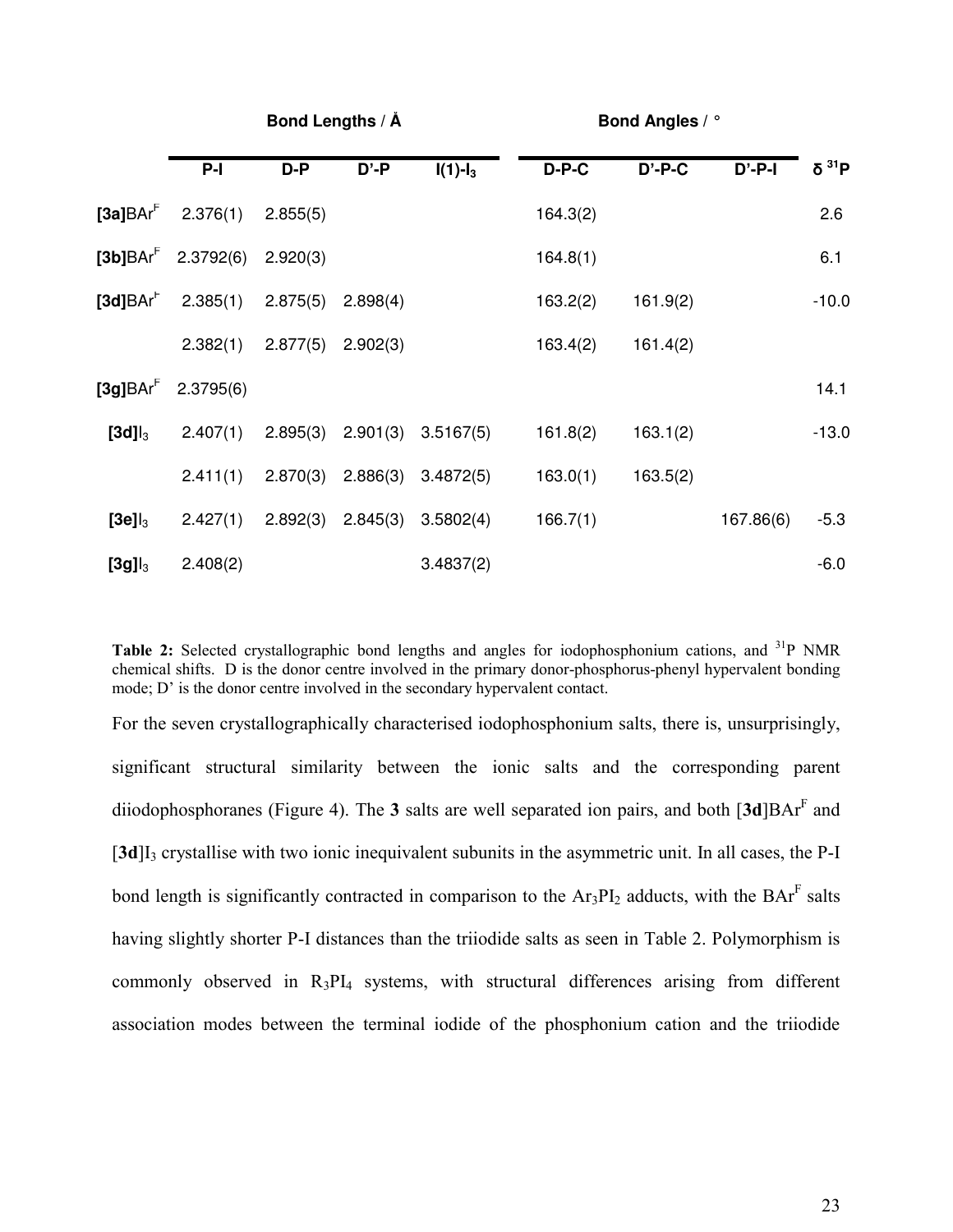|                      |           |          | Bond Lengths / A |              | <b>Bond Angles / °</b> |           |           |                   |
|----------------------|-----------|----------|------------------|--------------|------------------------|-----------|-----------|-------------------|
|                      | $P-I$     | D-P      | $D' - P$         | $I(1) - I_3$ | D-P-C                  | $D'$ -P-C | $D'$ -P-I | δ <sup>31</sup> P |
| $[3a]BAr^F$          | 2.376(1)  | 2.855(5) |                  |              | 164.3(2)               |           |           | 2.6               |
| $[3b]BAr^F$          | 2.3792(6) | 2.920(3) |                  |              | 164.8(1)               |           |           | 6.1               |
| $[3d]BAr^F$          | 2.385(1)  | 2.875(5) | 2.898(4)         |              | 163.2(2)               | 161.9(2)  |           | $-10.0$           |
|                      | 2.382(1)  | 2.877(5) | 2.902(3)         |              | 163.4(2)               | 161.4(2)  |           |                   |
| [3g]BAr <sup>F</sup> | 2.3795(6) |          |                  |              |                        |           |           | 14.1              |
| $[3d]$ <sub>3</sub>  | 2.407(1)  | 2.895(3) | 2.901(3)         | 3.5167(5)    | 161.8(2)               | 163.1(2)  |           | $-13.0$           |
|                      | 2.411(1)  | 2.870(3) | 2.886(3)         | 3.4872(5)    | 163.0(1)               | 163.5(2)  |           |                   |
| $[3e]$ <sub>3</sub>  | 2.427(1)  | 2.892(3) | 2.845(3)         | 3.5802(4)    | 166.7(1)               |           | 167.86(6) | $-5.3$            |
| $[3g]$ <sub>3</sub>  | 2.408(2)  |          |                  | 3.4837(2)    |                        |           |           | $-6.0$            |

Table 2: Selected crystallographic bond lengths and angles for iodophosphonium cations, and <sup>31</sup>P NMR chemical shifts. D is the donor centre involved in the primary donor-phosphorus-phenyl hypervalent bonding mode; D' is the donor centre involved in the secondary hypervalent contact.

For the seven crystallographically characterised iodophosphonium salts, there is, unsurprisingly, significant structural similarity between the ionic salts and the corresponding parent diiodophosphoranes (Figure 4). The 3 salts are well separated ion pairs, and both [3d]BAr<sup>F</sup> and [3d]I<sub>3</sub> crystallise with two ionic inequivalent subunits in the asymmetric unit. In all cases, the P-I bond length is significantly contracted in comparison to the  $Ar_3PI_2$  adducts, with the  $Bar^F$  salts having slightly shorter P-I distances than the triiodide salts as seen in Table 2. Polymorphism is commonly observed in  $R_3PI_4$  systems, with structural differences arising from different association modes between the terminal iodide of the phosphonium cation and the triiodide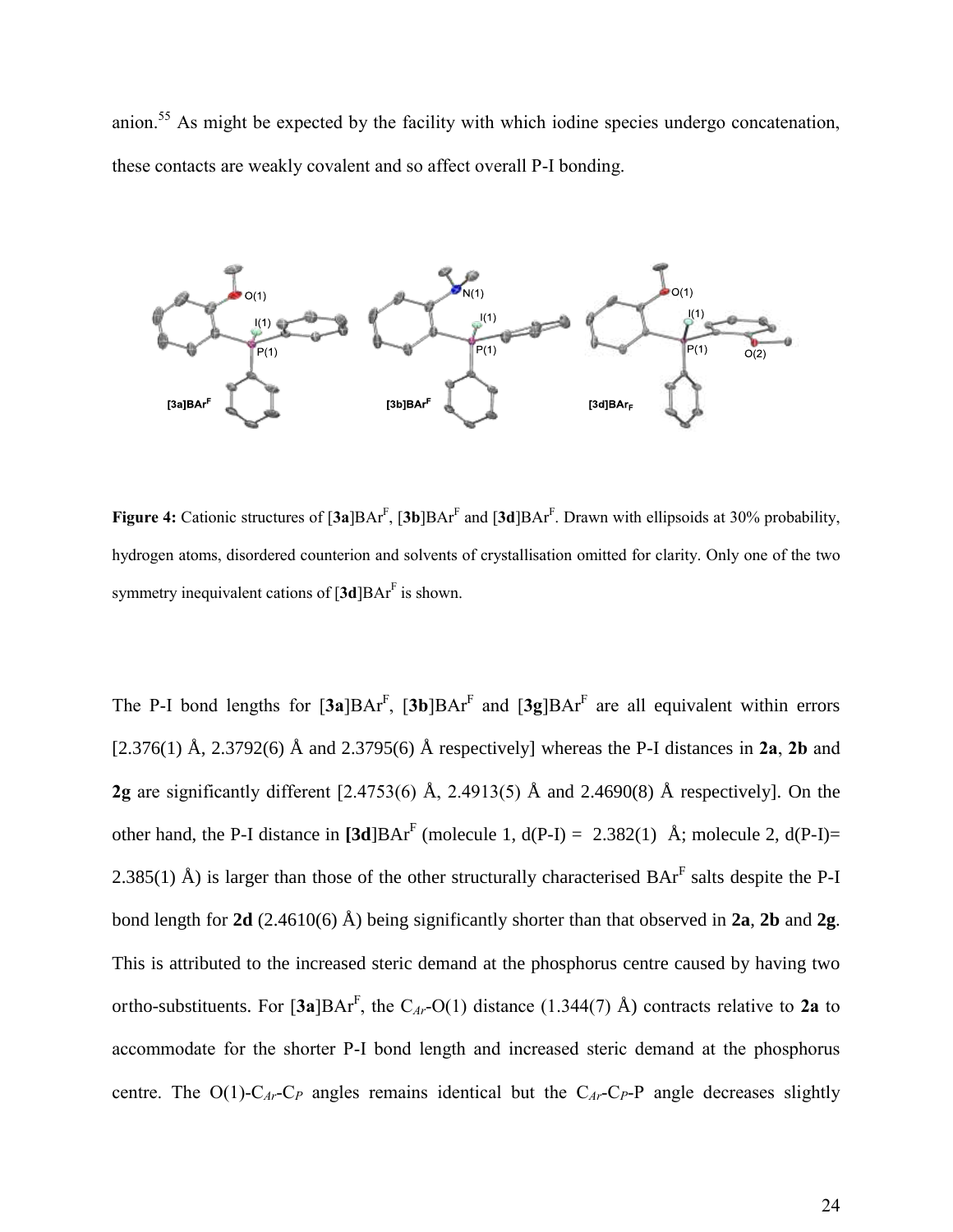anion.<sup>55</sup> As might be expected by the facility with which iodine species undergo concatenation, these contacts are weakly covalent and so affect overall P-I bonding.



**Figure 4:** Cationic structures of  $[3a]BAr^F$ ,  $[3b]BAr^F$  and  $[3d]BAr^F$ . Drawn with ellipsoids at 30% probability, hydrogen atoms, disordered counterion and solvents of crystallisation omitted for clarity. Only one of the two symmetry inequivalent cations of  $[3d]BAr<sup>F</sup>$  is shown.

The P-I bond lengths for  $[3a]BAr<sup>F</sup>$ ,  $[3b]BAr<sup>F</sup>$  and  $[3g]BAr<sup>F</sup>$  are all equivalent within errors [2.376(1) Å, 2.3792(6) Å and 2.3795(6) Å respectively] whereas the P-I distances in **2a**, **2b** and **2g** are significantly different [2.4753(6) Å, 2.4913(5) Å and 2.4690(8) Å respectively]. On the other hand, the P-I distance in  $\text{[3d]} \text{BAr}^F$  (molecule 1, d(P-I) = 2.382(1) Å; molecule 2, d(P-I)= 2.385(1) Å) is larger than those of the other structurally characterised  $BAr<sup>F</sup>$  salts despite the P-I bond length for **2d** (2.4610(6) Å) being significantly shorter than that observed in **2a**, **2b** and **2g**. This is attributed to the increased steric demand at the phosphorus centre caused by having two ortho-substituents. For [**3a**]BAr<sup>F</sup> , the C*Ar*-O(1) distance (1.344(7) Å) contracts relative to **2a** to accommodate for the shorter P-I bond length and increased steric demand at the phosphorus centre. The  $O(1)$ -C<sub>*Ar*</sub>-C<sub>*P*</sub> angles remains identical but the C<sub>*Ar*</sub>-C<sub>*P*</sub>-P angle decreases slightly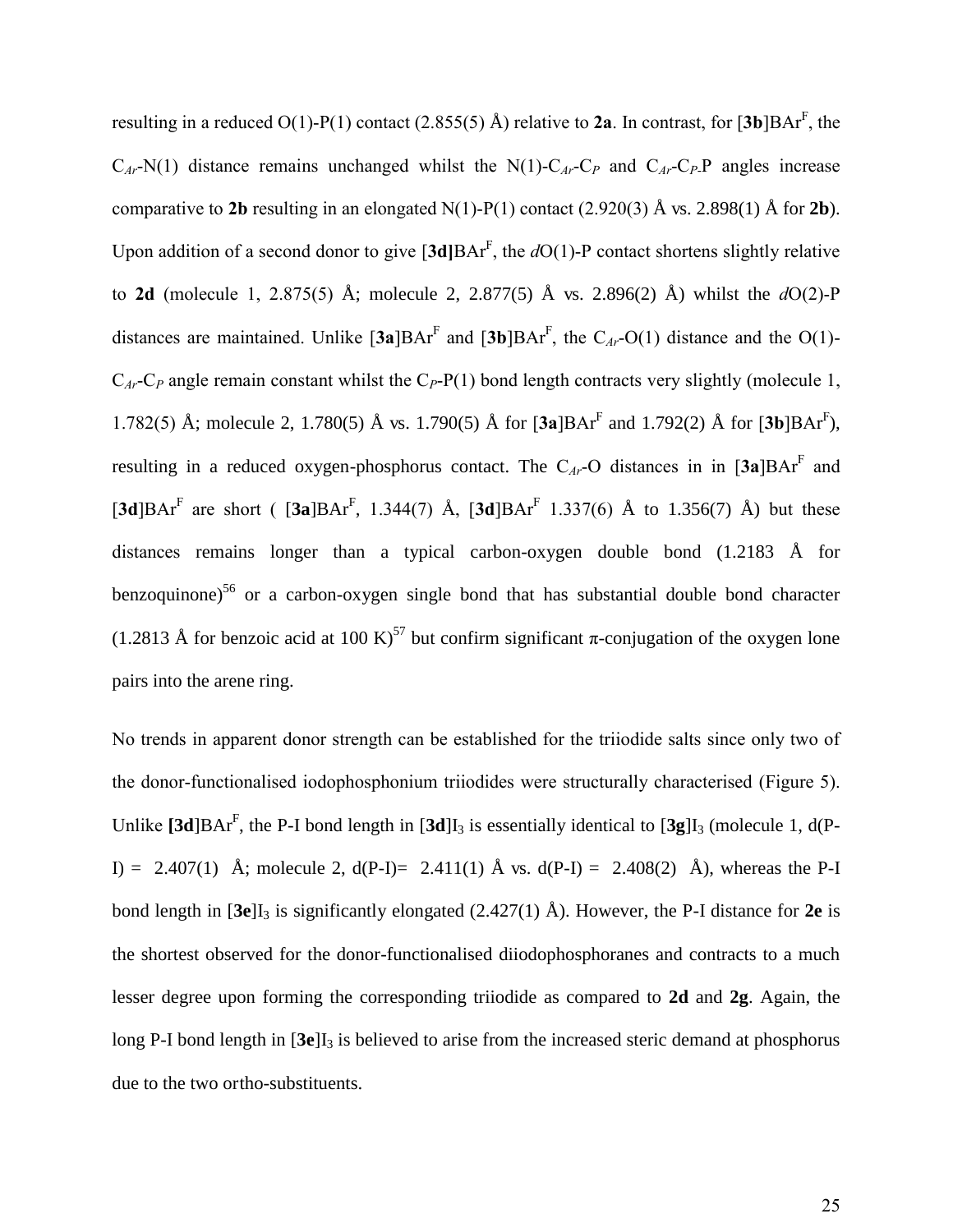resulting in a reduced  $O(1)$ -P(1) contact (2.855(5) Å) relative to **2a**. In contrast, for [3b]BAr<sup>F</sup>, the  $C_{Ar}$ -N(1) distance remains unchanged whilst the N(1)- $C_{Ar}$ - $C_P$  and  $C_{Ar}$ - $C_P$ P angles increase comparative to 2b resulting in an elongated N(1)-P(1) contact (2.920(3)  $\AA$  vs. 2.898(1)  $\AA$  for 2b). Upon addition of a second donor to give  $[3d]BAr^F$ , the  $dO(1)$ -P contact shortens slightly relative to **2d** (molecule 1, 2.875(5) Å; molecule 2, 2.877(5) Å vs. 2.896(2) Å) whilst the *d*O(2)-P distances are maintained. Unlike  $[\textbf{3a}] \text{BAr}^F$  and  $[\textbf{3b}] \text{BAr}^F$ , the  $C_{Ar}$ -O(1) distance and the O(1)- $C_{Ar}$ -C<sub>*P*</sub> angle remain constant whilst the C<sub>*P*</sub>-P(1) bond length contracts very slightly (molecule 1, 1.782(5) Å; molecule 2, 1.780(5) Å vs. 1.790(5) Å for  $[3a]BAr^F$  and 1.792(2) Å for  $[3b]BAr^F$ ), resulting in a reduced oxygen-phosphorus contact. The  $C_{Ar}$ -O distances in in  $[3a]BAr<sup>F</sup>$  and [3d]BAr<sup>F</sup> are short ([3a]BAr<sup>F</sup>, 1.344(7) Å, [3d]BAr<sup>F</sup> 1.337(6) Å to 1.356(7) Å) but these distances remains longer than a typical carbon-oxygen double bond (1.2183 Å for benzoquinone)<sup>56</sup> or a carbon-oxygen single bond that has substantial double bond character (1.2813 Å for benzoic acid at 100 K)<sup>57</sup> but confirm significant  $\pi$ -conjugation of the oxygen lone pairs into the arene ring.

No trends in apparent donor strength can be established for the triiodide salts since only two of the donor-functionalised iodophosphonium triiodides were structurally characterised (Figure 5). Unlike  $[3d]BAr<sup>F</sup>$ , the P-I bond length in  $[3d]I<sub>3</sub>$  is essentially identical to  $[3g]I<sub>3</sub>$  (molecule 1, d(P-I) = 2.407(1) Å; molecule 2,  $d(P-I) = 2.411(1)$  Å vs.  $d(P-I) = 2.408(2)$  Å), whereas the P-I bond length in  $[3e]I_3$  is significantly elongated  $(2.427(1)$  Å). However, the P-I distance for 2e is the shortest observed for the donor-functionalised diiodophosphoranes and contracts to a much lesser degree upon forming the corresponding triiodide as compared to **2d** and **2g**. Again, the long P-I bond length in  $[3e]I_3$  is believed to arise from the increased steric demand at phosphorus due to the two ortho-substituents.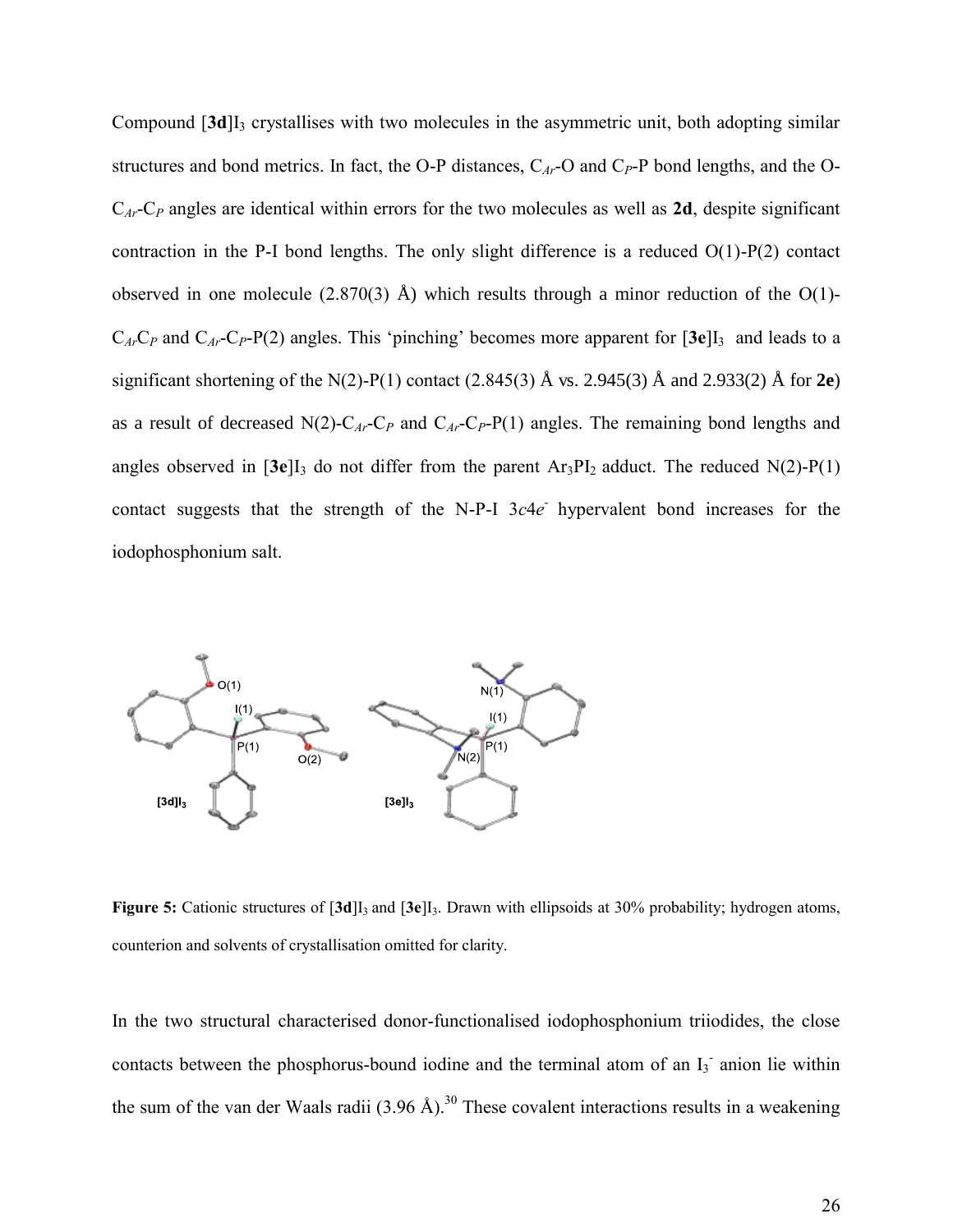Compound [**3d**]I3 crystallises with two molecules in the asymmetric unit, both adopting similar structures and bond metrics. In fact, the O-P distances,  $C_{Ar}$ -O and  $C_P$ -P bond lengths, and the O-C*Ar*-C*P* angles are identical within errors for the two molecules as well as **2d**, despite significant contraction in the P-I bond lengths. The only slight difference is a reduced O(1)-P(2) contact observed in one molecule  $(2.870(3)$  Å) which results through a minor reduction of the O(1)- $C_{Ar}C_P$  and  $C_{Ar}C_P-P(2)$  angles. This 'pinching' becomes more apparent for  $[3e]I_3$  and leads to a significant shortening of the N(2)-P(1) contact (2.845(3) Å vs. 2.945(3) Å and 2.933(2) Å for **2e**) as a result of decreased  $N(2)$ -C<sub>*Ar*</sub>-C<sub>*P*</sub> and C<sub>*Ar*</sub>-C<sub>*P*</sub>-P(1) angles. The remaining bond lengths and angles observed in  $[3e]I_3$  do not differ from the parent  $Ar_3PI_2$  adduct. The reduced  $N(2)-P(1)$ contact suggests that the strength of the N-P-I 3c4e hypervalent bond increases for the iodophosphonium salt.



**Figure 5:** Cationic structures of  $\overline{3d}$ ,  $\overline{3d}$ ,  $\overline{3e}$ ,  $\overline{13a}$ , Drawn with ellipsoids at 30% probability; hydrogen atoms, counterion and solvents of crystallisation omitted for clarity.

In the two structural characterised donor-functionalised iodophosphonium triiodides, the close contacts between the phosphorus-bound iodine and the terminal atom of an  $I_3$  anion lie within the sum of the van der Waals radii (3.96 Å).<sup>30</sup> These covalent interactions results in a weakening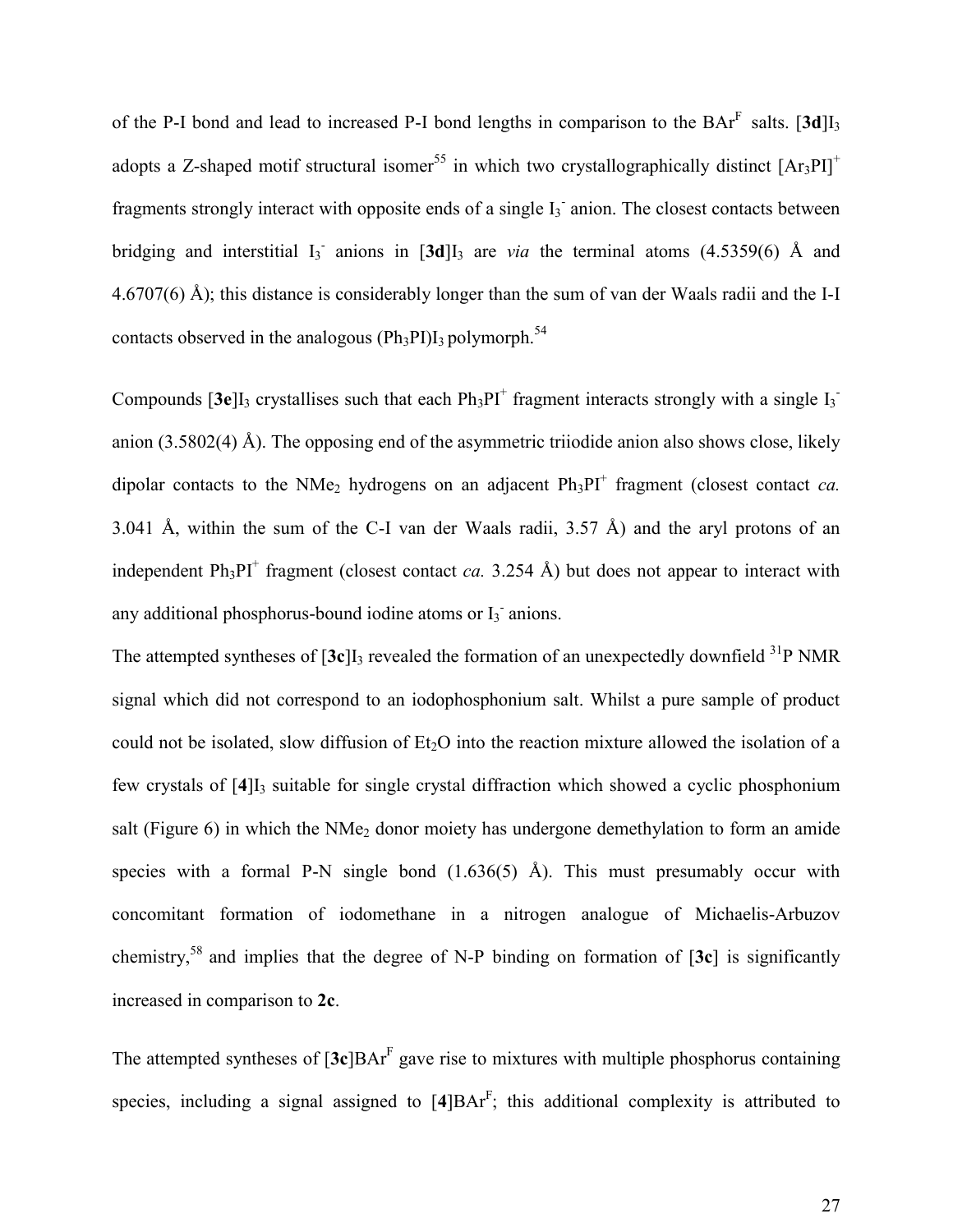of the P-I bond and lead to increased P-I bond lengths in comparison to the  $BAr<sup>F</sup>$  salts. [3d]I<sub>3</sub> adopts a Z-shaped motif structural isomer<sup>55</sup> in which two crystallographically distinct  $[Ar_3PI]^+$ fragments strongly interact with opposite ends of a single  $I_3$  anion. The closest contacts between bridging and interstitial  $I_3$  anions in  $[3d]I_3$  are *via* the terminal atoms (4.5359(6) Å and 4.6707(6) Å); this distance is considerably longer than the sum of van der Waals radii and the I-I contacts observed in the analogous ( $Ph_3P1$ )I<sub>3</sub> polymorph.<sup>54</sup>

Compounds  $[3e]I_3$  crystallises such that each  $Ph_3PI^+$  fragment interacts strongly with a single  $I_3^$ anion (3.5802(4) Å). The opposing end of the asymmetric triiodide anion also shows close, likely dipolar contacts to the NMe<sub>2</sub> hydrogens on an adjacent  $Ph_3PI^+$  fragment (closest contact *ca*. 3.041 Å, within the sum of the C-I van der Waals radii, 3.57 Å) and the aryl protons of an independent  $Ph_3PI^+$  fragment (closest contact *ca.* 3.254 Å) but does not appear to interact with any additional phosphorus-bound iodine atoms or  $I_3$  anions.

The attempted syntheses of  $[3c]$ <sub>13</sub> revealed the formation of an unexpectedly downfield <sup>31</sup>P NMR signal which did not correspond to an iodophosphonium salt. Whilst a pure sample of product could not be isolated, slow diffusion of  $Et<sub>2</sub>O$  into the reaction mixture allowed the isolation of a few crystals of [4]<sub>I3</sub> suitable for single crystal diffraction which showed a cyclic phosphonium salt (Figure 6) in which the  $NMe<sub>2</sub>$  donor moiety has undergone demethylation to form an amide species with a formal P-N single bond  $(1.636(5)$  Å). This must presumably occur with concomitant formation of iodomethane in a nitrogen analogue of Michaelis-Arbuzov chemistry,<sup>58</sup> and implies that the degree of N-P binding on formation of [**3c**] is significantly increased in comparison to **2c**.

The attempted syntheses of  $[3c]BAr<sup>F</sup>$  gave rise to mixtures with multiple phosphorus containing species, including a signal assigned to  $[4]BAr<sup>F</sup>$ ; this additional complexity is attributed to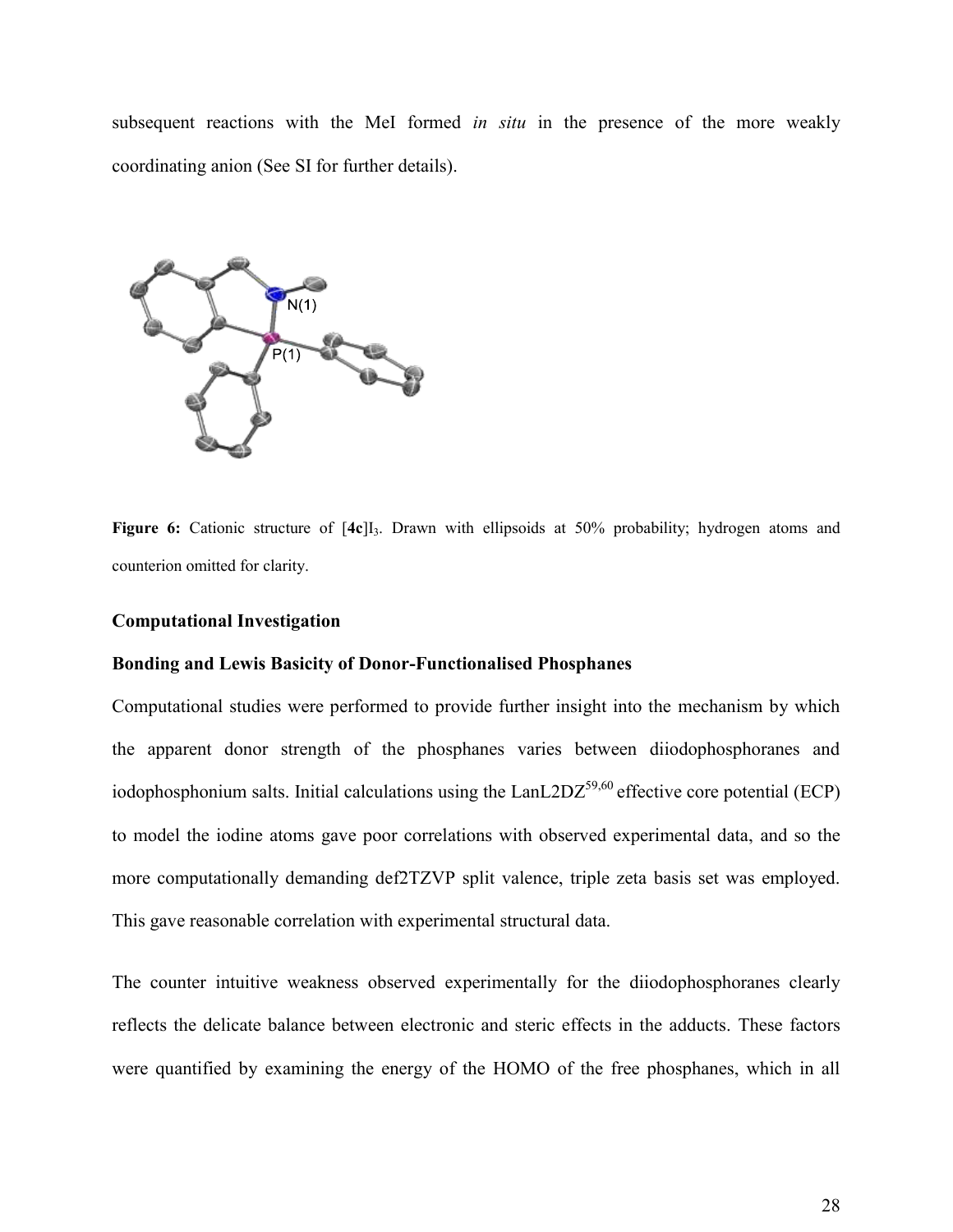subsequent reactions with the MeI formed *in situ* in the presence of the more weakly coordinating anion (See SI for further details).



**Figure 6:** Cationic structure of  $[4c]$ <sub>1</sub>. Drawn with ellipsoids at 50% probability; hydrogen atoms and counterion omitted for clarity.

#### **Computational Investigation**

#### **Bonding and Lewis Basicity of Donor-Functionalised Phosphanes**

Computational studies were performed to provide further insight into the mechanism by which the apparent donor strength of the phosphanes varies between diiodophosphoranes and iodophosphonium salts. Initial calculations using the  $\text{LanL2DZ}^{59,60}$  effective core potential (ECP) to model the iodine atoms gave poor correlations with observed experimental data, and so the more computationally demanding def2TZVP split valence, triple zeta basis set was employed. This gave reasonable correlation with experimental structural data.

The counter intuitive weakness observed experimentally for the diiodophosphoranes clearly reflects the delicate balance between electronic and steric effects in the adducts. These factors were quantified by examining the energy of the HOMO of the free phosphanes, which in all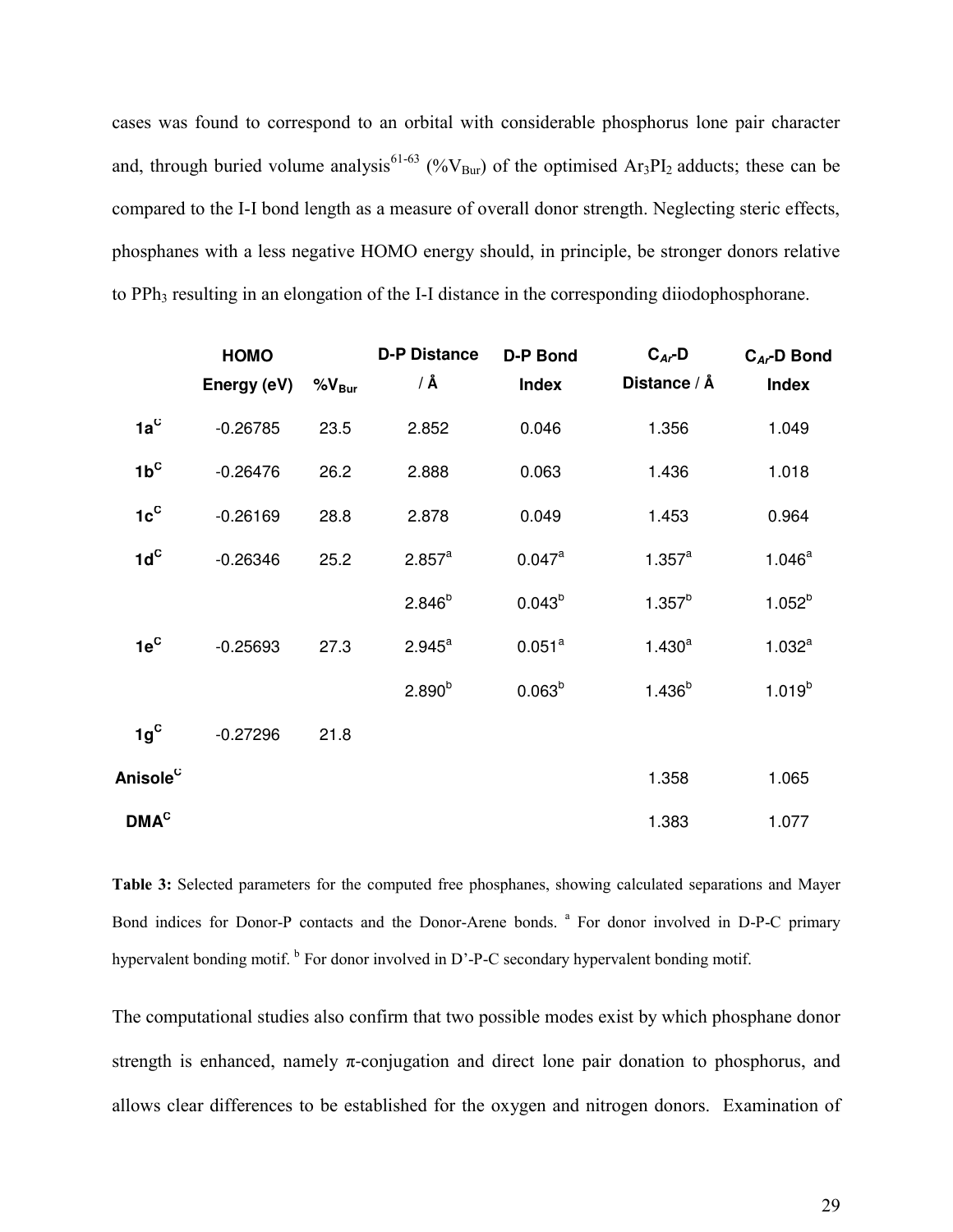cases was found to correspond to an orbital with considerable phosphorus lone pair character and, through buried volume analysis<sup>61-63</sup> (% $V_{\text{Bur}}$ ) of the optimised Ar<sub>3</sub>PI<sub>2</sub> adducts; these can be compared to the I-I bond length as a measure of overall donor strength. Neglecting steric effects, phosphanes with a less negative HOMO energy should, in principle, be stronger donors relative to PPh<sub>3</sub> resulting in an elongation of the I-I distance in the corresponding diiodophosphorane.

|                      | <b>HOMO</b><br>Energy (eV) | $%V_{\text{Bur}}$ | <b>D-P Distance</b><br>/ Å | <b>D-P Bond</b><br><b>Index</b> | $C_{Ar}D$<br>Distance / Å | $C_{Ar}$ -D Bond<br><b>Index</b> |
|----------------------|----------------------------|-------------------|----------------------------|---------------------------------|---------------------------|----------------------------------|
| $1a^C$               | $-0.26785$                 | 23.5              | 2.852                      | 0.046                           | 1.356                     | 1.049                            |
| $1b^C$               | $-0.26476$                 | 26.2              | 2.888                      | 0.063                           | 1.436                     | 1.018                            |
| $1c^c$               | $-0.26169$                 | 28.8              | 2.878                      | 0.049                           | 1.453                     | 0.964                            |
| $1d^C$               | $-0.26346$                 | 25.2              | 2.857 <sup>a</sup>         | 0.047a                          | $1.357^{a}$               | $1.046^a$                        |
|                      |                            |                   | $2.846^{b}$                | $0.043^{b}$                     | $1.357^{b}$               | $1.052^{b}$                      |
| $1e^C$               | $-0.25693$                 | 27.3              | $2.945^a$                  | 0.051 <sup>a</sup>              | $1.430^{a}$               | 1.032 <sup>a</sup>               |
|                      |                            |                   | $2.890^{b}$                | 0.063 <sup>b</sup>              | $1.436^{b}$               | $1.019^{b}$                      |
| $1g^C$               | $-0.27296$                 | 21.8              |                            |                                 |                           |                                  |
| Anisole <sup>c</sup> |                            |                   |                            |                                 | 1.358                     | 1.065                            |
| DMA <sup>C</sup>     |                            |                   |                            |                                 | 1.383                     | 1.077                            |

**Table 3:** Selected parameters for the computed free phosphanes, showing calculated separations and Mayer Bond indices for Donor-P contacts and the Donor-Arene bonds. <sup>a</sup> For donor involved in D-P-C primary hypervalent bonding motif. <sup>b</sup> For donor involved in D'-P-C secondary hypervalent bonding motif.

The computational studies also confirm that two possible modes exist by which phosphane donor strength is enhanced, namely  $\pi$ -conjugation and direct lone pair donation to phosphorus, and allows clear differences to be established for the oxygen and nitrogen donors. Examination of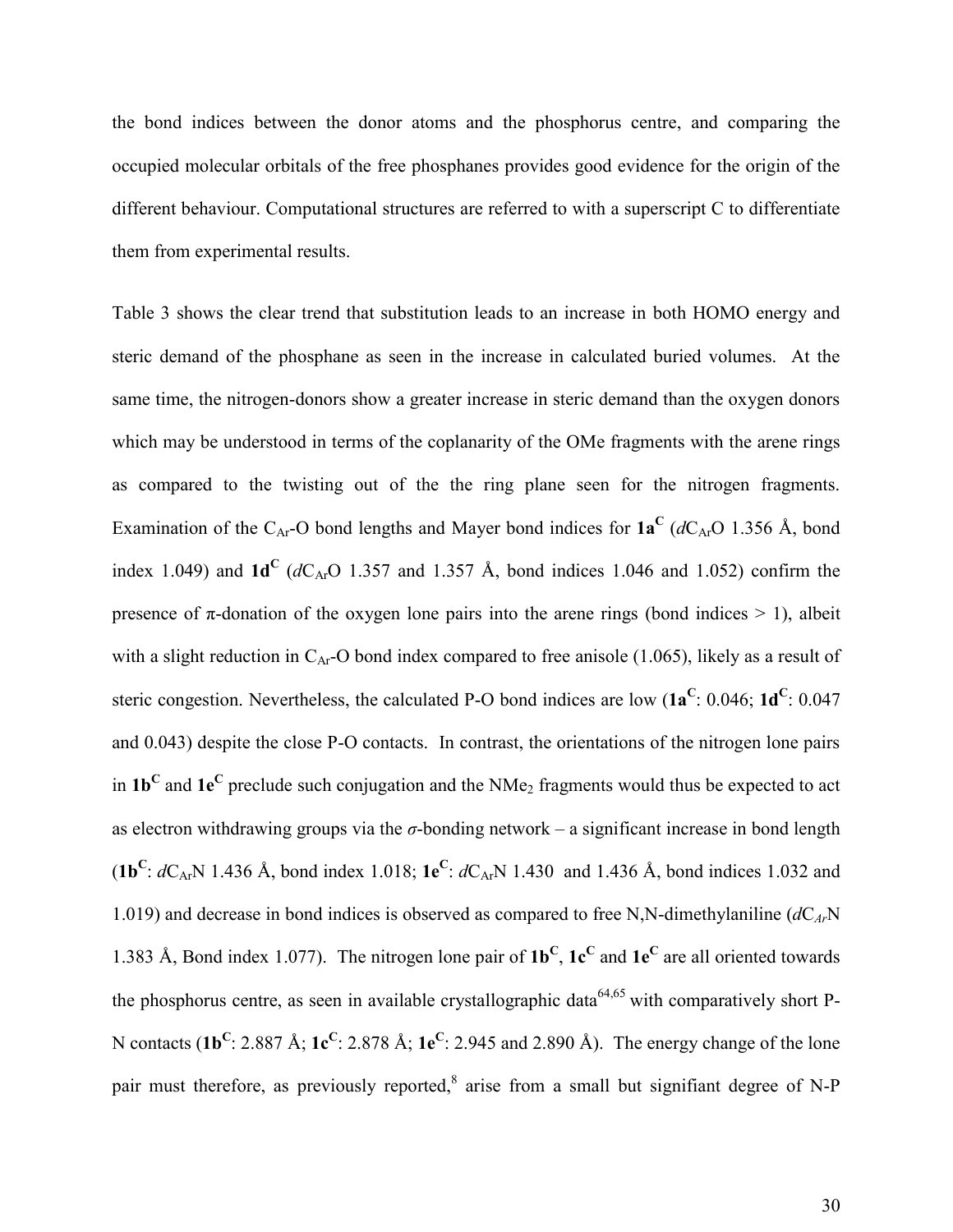the bond indices between the donor atoms and the phosphorus centre, and comparing the occupied molecular orbitals of the free phosphanes provides good evidence for the origin of the different behaviour. Computational structures are referred to with a superscript C to differentiate them from experimental results.

Table 3 shows the clear trend that substitution leads to an increase in both HOMO energy and steric demand of the phosphane as seen in the increase in calculated buried volumes. At the same time, the nitrogen-donors show a greater increase in steric demand than the oxygen donors which may be understood in terms of the coplanarity of the OMe fragments with the arene rings as compared to the twisting out of the the ring plane seen for the nitrogen fragments. Examination of the C<sub>Ar</sub>-O bond lengths and Mayer bond indices for  $1a^C$  ( $dC_{Ar}$ O 1.356 Å, bond index 1.049) and  $1d^C$  ( $dC_{Ar}O$  1.357 and 1.357 Å, bond indices 1.046 and 1.052) confirm the presence of  $\pi$ -donation of the oxygen lone pairs into the arene rings (bond indices  $> 1$ ), albeit with a slight reduction in  $C_{Ar}$ -O bond index compared to free anisole (1.065), likely as a result of steric congestion. Nevertheless, the calculated P-O bond indices are low  $(1a^C: 0.046; 1d^C: 0.047)$ and 0.043) despite the close P-O contacts. In contrast, the orientations of the nitrogen lone pairs in **1b<sup>C</sup>** and **1e<sup>C</sup>** preclude such conjugation and the NMe2 fragments would thus be expected to act as electron withdrawing groups via the  $\sigma$ -bonding network – a significant increase in bond length (**1b**<sup>C</sup>:  $dC_{Ar}N$  1.436 Å, bond index 1.018; **1e**<sup>C</sup>:  $dC_{Ar}N$  1.430 and 1.436 Å, bond indices 1.032 and 1.019) and decrease in bond indices is observed as compared to free N,N-dimethylaniline  $(dC_{Ar}N)$ 1.383 Å, Bond index 1.077). The nitrogen lone pair of  $1b^C$ ,  $1c^C$  and  $1e^C$  are all oriented towards the phosphorus centre, as seen in available crystallographic data<sup>64,65</sup> with comparatively short P-N contacts (**1b<sup>C</sup>** : 2.887 Å; **1c<sup>C</sup>** : 2.878 Å; **1e<sup>C</sup>** : 2.945 and 2.890 Å). The energy change of the lone pair must therefore, as previously reported,<sup>8</sup> arise from a small but signifiant degree of N-P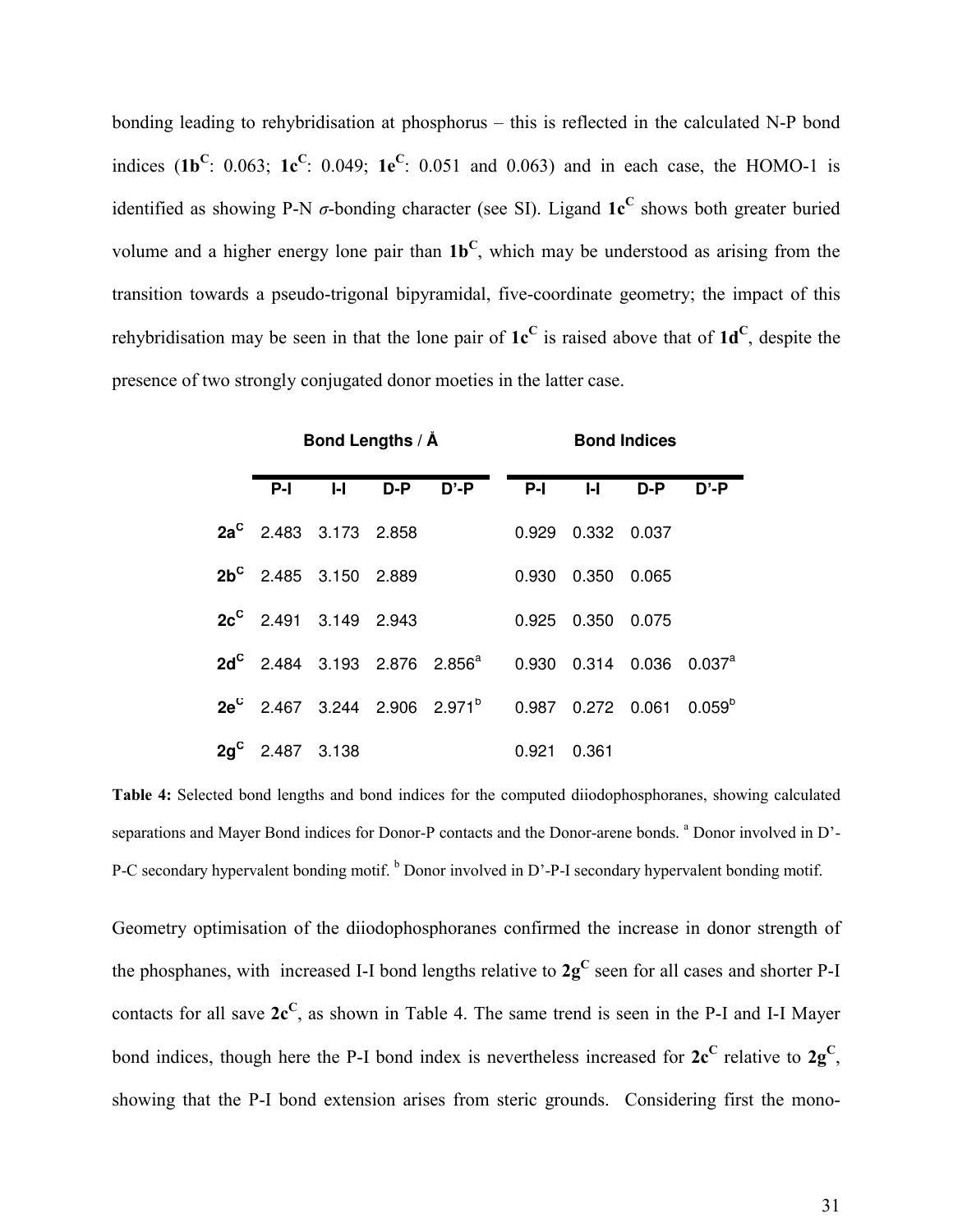bonding leading to rehybridisation at phosphorus – this is reflected in the calculated N-P bond indices (1b<sup>C</sup>: 0.063; 1c<sup>C</sup>: 0.049; 1e<sup>C</sup>: 0.051 and 0.063) and in each case, the HOMO-1 is identified as showing P-N  $\sigma$ -bonding character (see SI). Ligand  $1c^C$  shows both greater buried volume and a higher energy lone pair than **1b<sup>C</sup>** , which may be understood as arising from the transition towards a pseudo-trigonal bipyramidal, five-coordinate geometry; the impact of this rehybridisation may be seen in that the lone pair of **1c<sup>C</sup>** is raised above that of **1d<sup>C</sup>** , despite the presence of two strongly conjugated donor moeties in the latter case.

|                          |   | Bond Lengths / Å |                                                                                    | <b>Bond Indices</b> |                     |           |          |
|--------------------------|---|------------------|------------------------------------------------------------------------------------|---------------------|---------------------|-----------|----------|
| $P-I$                    | H |                  | $D-P$ $D'-P$                                                                       | $P-I$               |                     | $I-I$ D-P | $D' - P$ |
| $2a^C$ 2.483 3.173 2.858 |   |                  |                                                                                    |                     | 0.929 0.332 0.037   |           |          |
| $2b^C$ 2.485 3.150 2.889 |   |                  |                                                                                    |                     | 0.930  0.350  0.065 |           |          |
| $2c^C$ 2.491 3.149 2.943 |   |                  |                                                                                    |                     | 0.925 0.350 0.075   |           |          |
|                          |   |                  | $2d^C$ 2.484 3.193 2.876 2.856 <sup>a</sup> 0.930 0.314 0.036 0.037 <sup>a</sup>   |                     |                     |           |          |
|                          |   |                  | $2e^{C}$ 2.467 3.244 2.906 2.971 <sup>b</sup> 0.987 0.272 0.061 0.059 <sup>b</sup> |                     |                     |           |          |
| $2q^C$ 2.487 3.138       |   |                  |                                                                                    | 0.921               | 0.361               |           |          |

**Table 4:** Selected bond lengths and bond indices for the computed diiodophosphoranes, showing calculated separations and Mayer Bond indices for Donor-P contacts and the Donor-arene bonds. <sup>a</sup> Donor involved in D'-P-C secondary hypervalent bonding motif. <sup>b</sup> Donor involved in D'-P-I secondary hypervalent bonding motif.

Geometry optimisation of the diiodophosphoranes confirmed the increase in donor strength of the phosphanes, with increased I-I bond lengths relative to  $2g^C$  seen for all cases and shorter P-I contacts for all save **2c<sup>C</sup>** , as shown in Table 4. The same trend is seen in the P-I and I-I Mayer bond indices, though here the P-I bond index is nevertheless increased for  $2c^C$  relative to  $2g^C$ , showing that the P-I bond extension arises from steric grounds. Considering first the mono-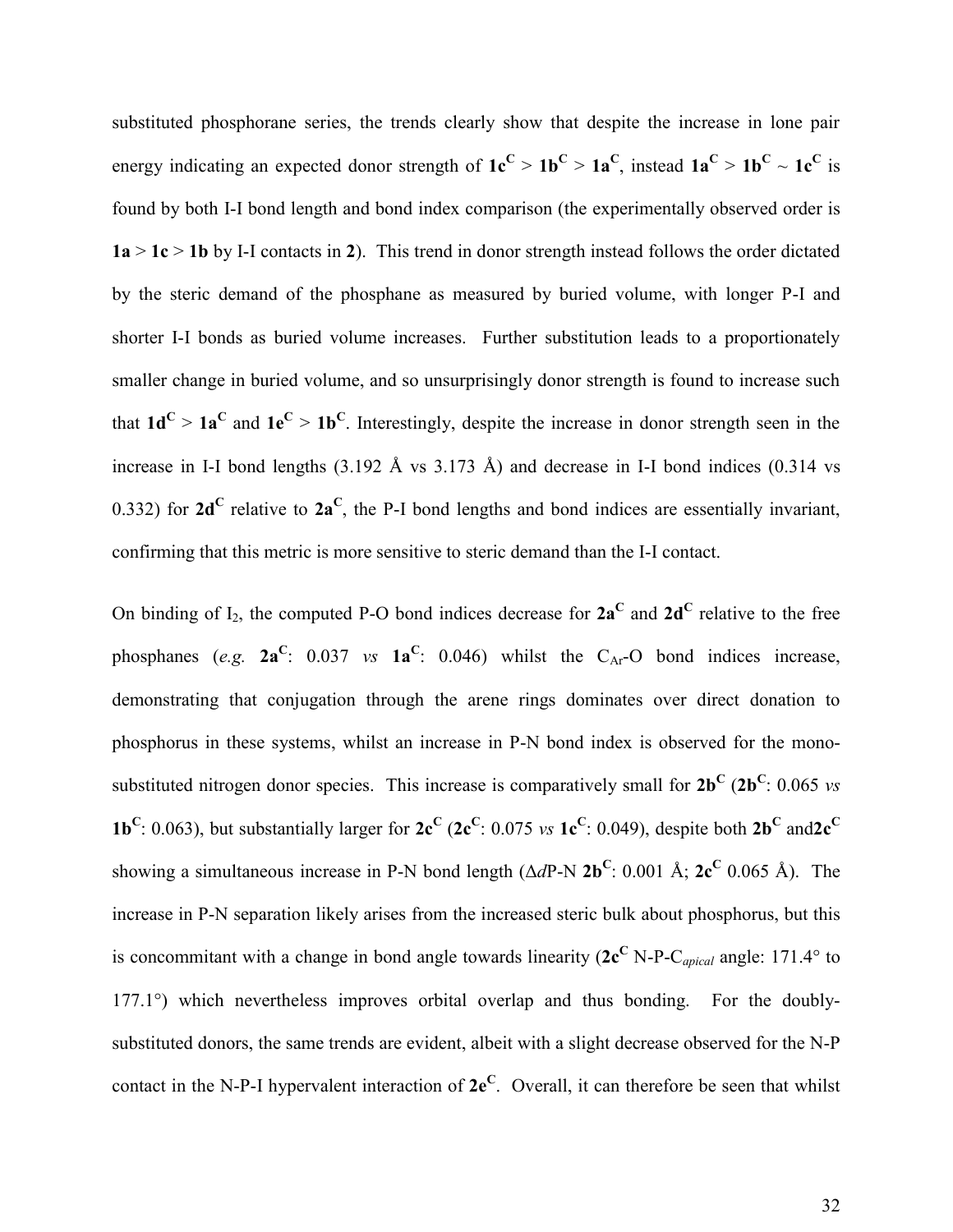substituted phosphorane series, the trends clearly show that despite the increase in lone pair energy indicating an expected donor strength of  $1e^C > 1b^C > 1a^C$ , instead  $1a^C > 1b^C \sim 1c^C$  is found by both I-I bond length and bond index comparison (the experimentally observed order is  $1a > 1c > 1b$  by I-I contacts in 2). This trend in donor strength instead follows the order dictated by the steric demand of the phosphane as measured by buried volume, with longer P-I and shorter I-I bonds as buried volume increases. Further substitution leads to a proportionately smaller change in buried volume, and so unsurprisingly donor strength is found to increase such that  $1d^C > 1a^C$  and  $1e^C > 1b^C$ . Interestingly, despite the increase in donor strength seen in the increase in I-I bond lengths (3.192 Å vs 3.173 Å) and decrease in I-I bond indices (0.314 vs 0.332) for  $2d^C$  relative to  $2a^C$ , the P-I bond lengths and bond indices are essentially invariant, confirming that this metric is more sensitive to steric demand than the I-I contact.

On binding of  $I_2$ , the computed P-O bond indices decrease for  $2a^C$  and  $2d^C$  relative to the free phosphanes (*e.g.*  $2a^C$ : 0.037 *vs*  $1a^C$ : 0.046) whilst the C<sub>Ar</sub>-O bond indices increase, demonstrating that conjugation through the arene rings dominates over direct donation to phosphorus in these systems, whilst an increase in P-N bond index is observed for the monosubstituted nitrogen donor species. This increase is comparatively small for  $2b^C (2b^C; 0.065 \text{ vs } 0.065 \text{ vs } 0.065 \text{ vs } 0.065 \text{ vs } 0.065 \text{ vs } 0.065 \text{ vs } 0.065 \text{ vs } 0.065 \text{ vs } 0.065 \text{ vs } 0.065 \text{ vs } 0.065 \text{ vs } 0.065 \text{ vs } 0$ **1b**<sup>C</sup>: 0.063), but substantially larger for  $2c^C$  ( $2c^C$ : 0.075 *vs*  $1c^C$ : 0.049), despite both  $2b^C$  and  $2c^C$ showing a simultaneous increase in P-N bond length  $(\Delta dP-N 2b^C: 0.001 \text{ Å}; 2c^C 0.065 \text{ Å})$ . The increase in P-N separation likely arises from the increased steric bulk about phosphorus, but this is concommitant with a change in bond angle towards linearity  $(2c^C N-P-C_{\text{apical}})$  angle: 171.4° to 177.1°) which nevertheless improves orbital overlap and thus bonding. For the doublysubstituted donors, the same trends are evident, albeit with a slight decrease observed for the N-P contact in the N-P-I hypervalent interaction of **2e<sup>C</sup>** . Overall, it can therefore be seen that whilst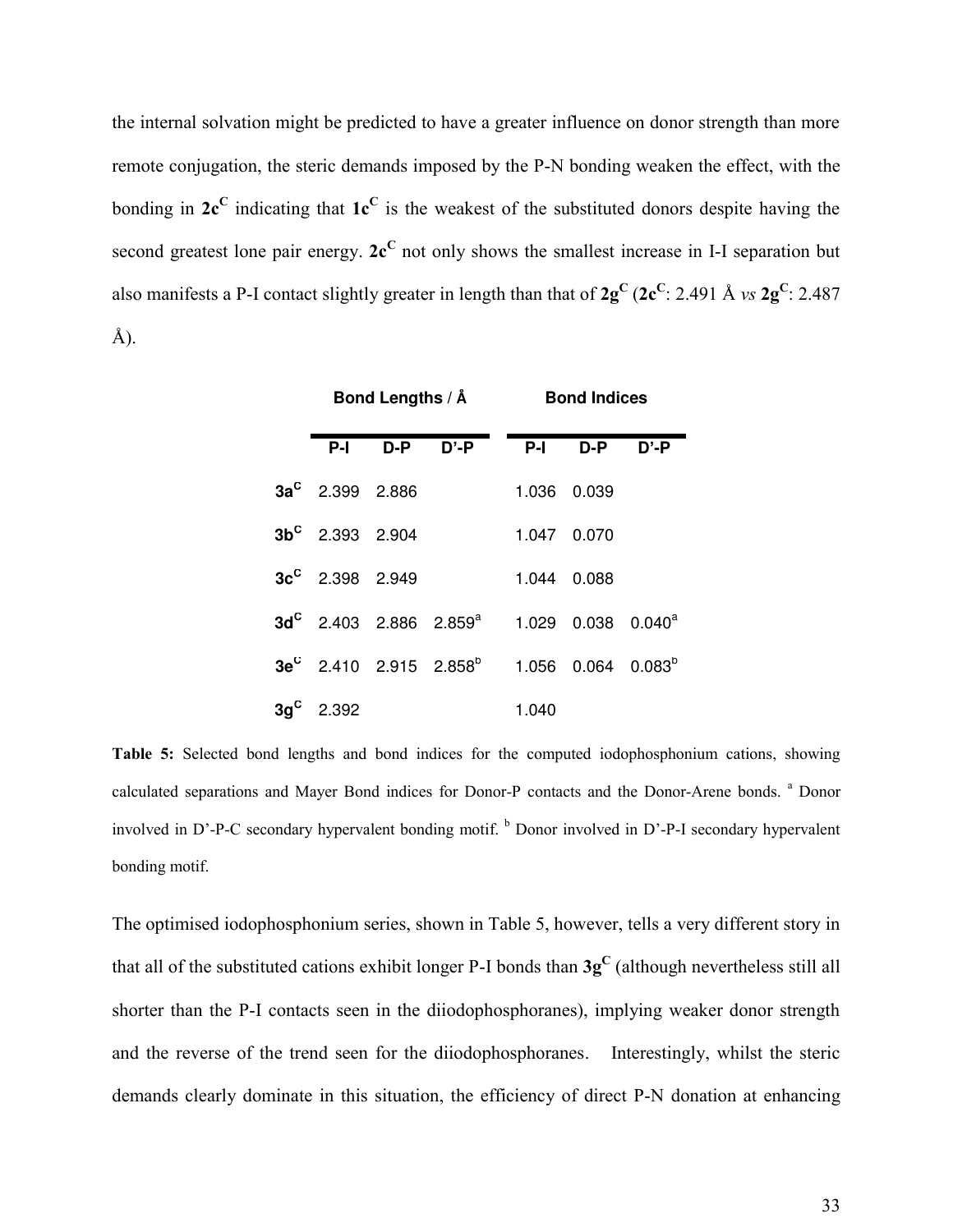the internal solvation might be predicted to have a greater influence on donor strength than more remote conjugation, the steric demands imposed by the P-N bonding weaken the effect, with the bonding in  $2c^C$  indicating that  $1c^C$  is the weakest of the substituted donors despite having the second greatest lone pair energy. 2c<sup>C</sup> not only shows the smallest increase in I-I separation but also manifests a P-I contact slightly greater in length than that of **2g<sup>C</sup>** (**2c<sup>C</sup>** : 2.491 Å *vs* **2g<sup>C</sup>** : 2.487 Å).

|                    |         | Bond Lengths / $\AA$                                 | <b>Bond Indices</b> |                                  |          |  |
|--------------------|---------|------------------------------------------------------|---------------------|----------------------------------|----------|--|
|                    | P-I D-P | D'-P                                                 | P-I D-P             |                                  | $D' - P$ |  |
| $3a^c$ 2.399 2.886 |         |                                                      |                     | 1.036 0.039                      |          |  |
| $3b^c$ 2.393 2.904 |         |                                                      | 1.047 0.070         |                                  |          |  |
| $3c^c$ 2.398 2.949 |         |                                                      |                     | 1.044 0.088                      |          |  |
|                    |         | $\rm{3d}^{\rm{C}}$ 2.403 2.886 2.859 $^{\rm{a}}$     |                     | $1.029$ 0.038 0.040 <sup>a</sup> |          |  |
|                    |         | $3\text{e}^\text{C}$ 2.410 2.915 2.858 $^{\text{b}}$ |                     | $1.056$ 0.064 0.083 <sup>b</sup> |          |  |
| $3g^c$ 2.392       |         |                                                      | 1.040               |                                  |          |  |

**Table 5:** Selected bond lengths and bond indices for the computed iodophosphonium cations, showing calculated separations and Mayer Bond indices for Donor-P contacts and the Donor-Arene bonds. <sup>a</sup> Donor involved in D'-P-C secondary hypervalent bonding motif. <sup>b</sup> Donor involved in D'-P-I secondary hypervalent bonding motif.

The optimised iodophosphonium series, shown in Table 5, however, tells a very different story in that all of the substituted cations exhibit longer P-I bonds than **3g<sup>C</sup>** (although nevertheless still all shorter than the P-I contacts seen in the diiodophosphoranes), implying weaker donor strength and the reverse of the trend seen for the diiodophosphoranes. Interestingly, whilst the steric demands clearly dominate in this situation, the efficiency of direct P-N donation at enhancing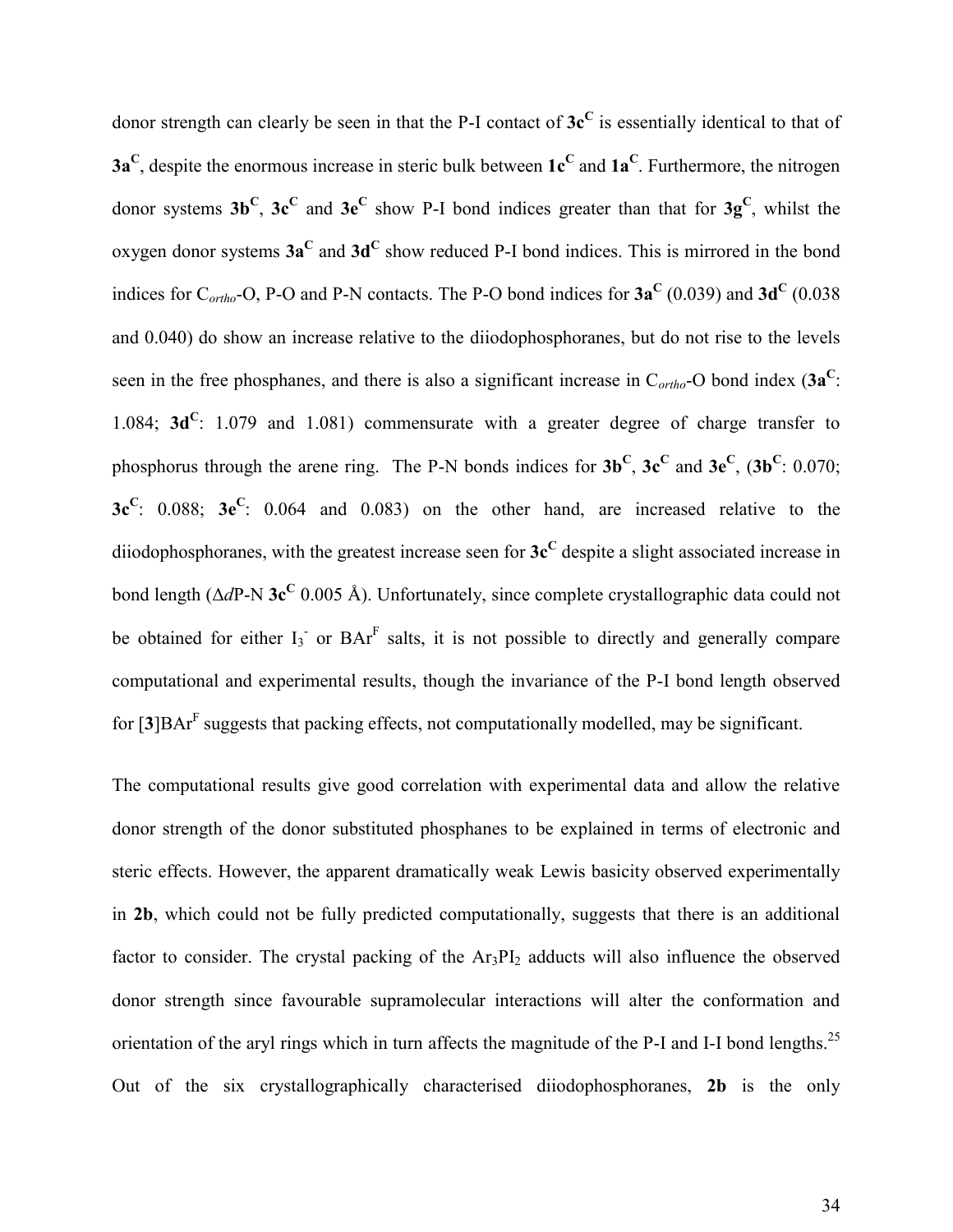donor strength can clearly be seen in that the P-I contact of **3c<sup>C</sup>** is essentially identical to that of **3a<sup>C</sup>** , despite the enormous increase in steric bulk between **1c<sup>C</sup>** and **1a<sup>C</sup>** . Furthermore, the nitrogen donor systems **3b<sup>C</sup>** , **3c<sup>C</sup>** and **3e<sup>C</sup>** show P-I bond indices greater than that for **3g<sup>C</sup>** , whilst the oxygen donor systems  $3a^C$  and  $3d^C$  show reduced P-I bond indices. This is mirrored in the bond indices for  $C_{ortho}$ -O, P-O and P-N contacts. The P-O bond indices for  $3a^C$  (0.039) and  $3d^C$  (0.038 and 0.040) do show an increase relative to the diiodophosphoranes, but do not rise to the levels seen in the free phosphanes, and there is also a significant increase in C*ortho*-O bond index (**3a<sup>C</sup>** : 1.084; **3d<sup>C</sup>**: 1.079 and 1.081) commensurate with a greater degree of charge transfer to phosphorus through the arene ring. The P-N bonds indices for  $3b^C$ ,  $3c^C$  and  $3e^C$ ,  $(3b^C: 0.070;$ **3c<sup>C</sup>** : 0.088; **3e<sup>C</sup>** : 0.064 and 0.083) on the other hand, are increased relative to the diiodophosphoranes, with the greatest increase seen for **3c<sup>C</sup>** despite a slight associated increase in bond length (Δ*d*P-N 3c<sup>C</sup> 0.005 Å). Unfortunately, since complete crystallographic data could not be obtained for either  $I_3$  or  $BAT<sup>F</sup>$  salts, it is not possible to directly and generally compare computational and experimental results, though the invariance of the P-I bond length observed for [**3**]BAr<sup>F</sup> suggests that packing effects, not computationally modelled, may be significant.

The computational results give good correlation with experimental data and allow the relative donor strength of the donor substituted phosphanes to be explained in terms of electronic and steric effects. However, the apparent dramatically weak Lewis basicity observed experimentally in **2b**, which could not be fully predicted computationally, suggests that there is an additional factor to consider. The crystal packing of the  $Ar_3PI_2$  adducts will also influence the observed donor strength since favourable supramolecular interactions will alter the conformation and orientation of the aryl rings which in turn affects the magnitude of the P-I and I-I bond lengths.<sup>25</sup> Out of the six crystallographically characterised diiodophosphoranes, **2b** is the only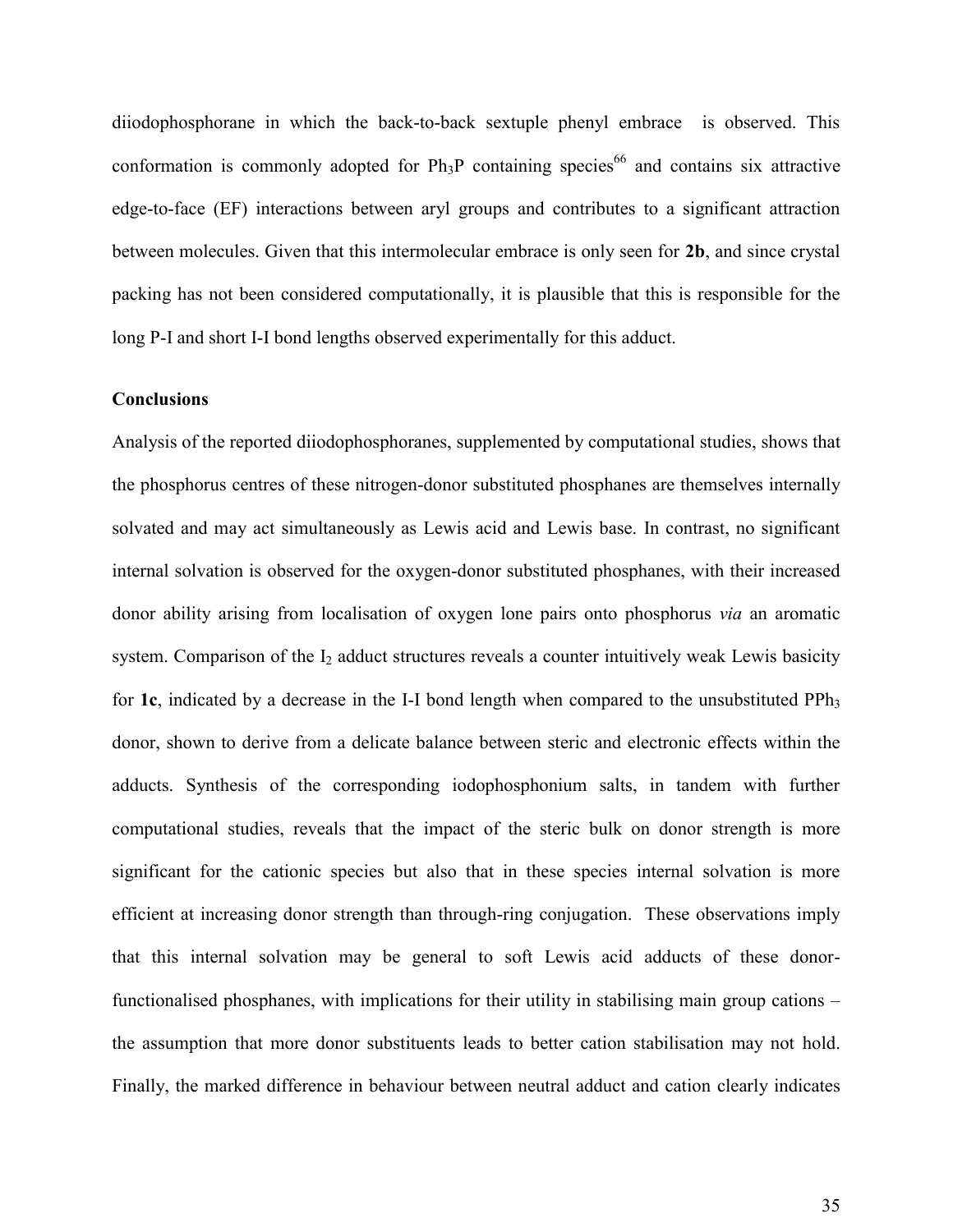diiodophosphorane in which the back-to-back sextuple phenyl embrace is observed. This conformation is commonly adopted for  $Ph_3P$  containing species<sup>66</sup> and contains six attractive edge-to-face (EF) interactions between aryl groups and contributes to a significant attraction between molecules. Given that this intermolecular embrace is only seen for **2b**, and since crystal packing has not been considered computationally, it is plausible that this is responsible for the long P-I and short I-I bond lengths observed experimentally for this adduct.

#### **Conclusions**

Analysis of the reported diiodophosphoranes, supplemented by computational studies, shows that the phosphorus centres of these nitrogen-donor substituted phosphanes are themselves internally solvated and may act simultaneously as Lewis acid and Lewis base. In contrast, no significant internal solvation is observed for the oxygen-donor substituted phosphanes, with their increased donor ability arising from localisation of oxygen lone pairs onto phosphorus *via* an aromatic system. Comparison of the  $I_2$  adduct structures reveals a counter intuitively weak Lewis basicity for **1c**, indicated by a decrease in the I-I bond length when compared to the unsubstituted PPh<sub>3</sub> donor, shown to derive from a delicate balance between steric and electronic effects within the adducts. Synthesis of the corresponding iodophosphonium salts, in tandem with further computational studies, reveals that the impact of the steric bulk on donor strength is more significant for the cationic species but also that in these species internal solvation is more efficient at increasing donor strength than through-ring conjugation. These observations imply that this internal solvation may be general to soft Lewis acid adducts of these donorfunctionalised phosphanes, with implications for their utility in stabilising main group cations – the assumption that more donor substituents leads to better cation stabilisation may not hold. Finally, the marked difference in behaviour between neutral adduct and cation clearly indicates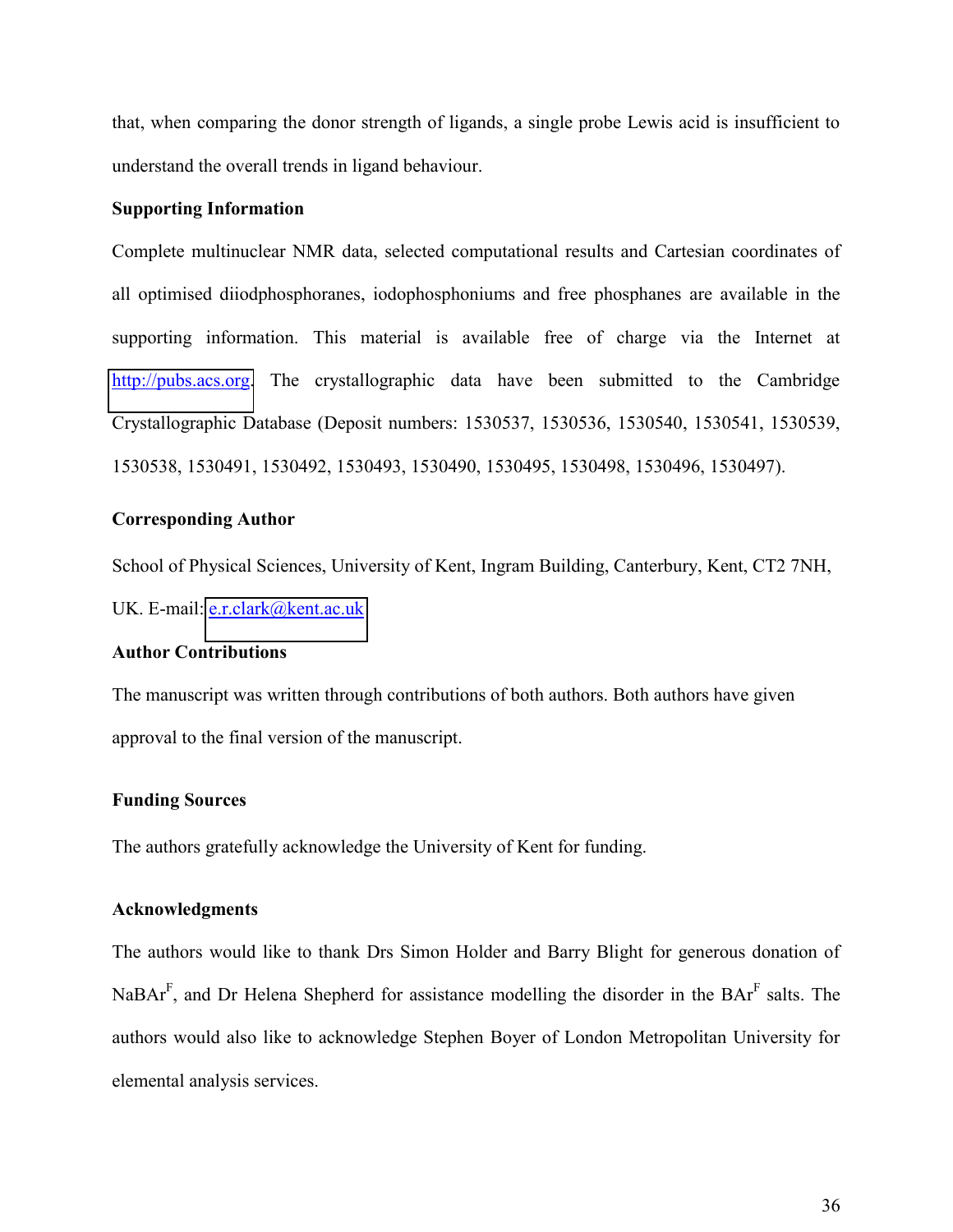that, when comparing the donor strength of ligands, a single probe Lewis acid is insufficient to understand the overall trends in ligand behaviour.

#### **Supporting Information**

Complete multinuclear NMR data, selected computational results and Cartesian coordinates of all optimised diiodphosphoranes, iodophosphoniums and free phosphanes are available in the supporting information. This material is available free of charge via the Internet at [http://pubs.acs.org.](http://pubs.acs.org/) The crystallographic data have been submitted to the Cambridge Crystallographic Database (Deposit numbers: 1530537, 1530536, 1530540, 1530541, 1530539, 1530538, 1530491, 1530492, 1530493, 1530490, 1530495, 1530498, 1530496, 1530497).

#### **Corresponding Author**

School of Physical Sciences, University of Kent, Ingram Building, Canterbury, Kent, CT2 7NH, UK. E-mail: [e.r.clark@kent.ac.uk](mailto:e.r.clark@kent.ac.uk)

#### **Author Contributions**

The manuscript was written through contributions of both authors. Both authors have given approval to the final version of the manuscript.

#### **Funding Sources**

The authors gratefully acknowledge the University of Kent for funding.

#### **Acknowledgments**

The authors would like to thank Drs Simon Holder and Barry Blight for generous donation of NaBAr<sup>F</sup>, and Dr Helena Shepherd for assistance modelling the disorder in the BAr<sup>F</sup> salts. The authors would also like to acknowledge Stephen Boyer of London Metropolitan University for elemental analysis services.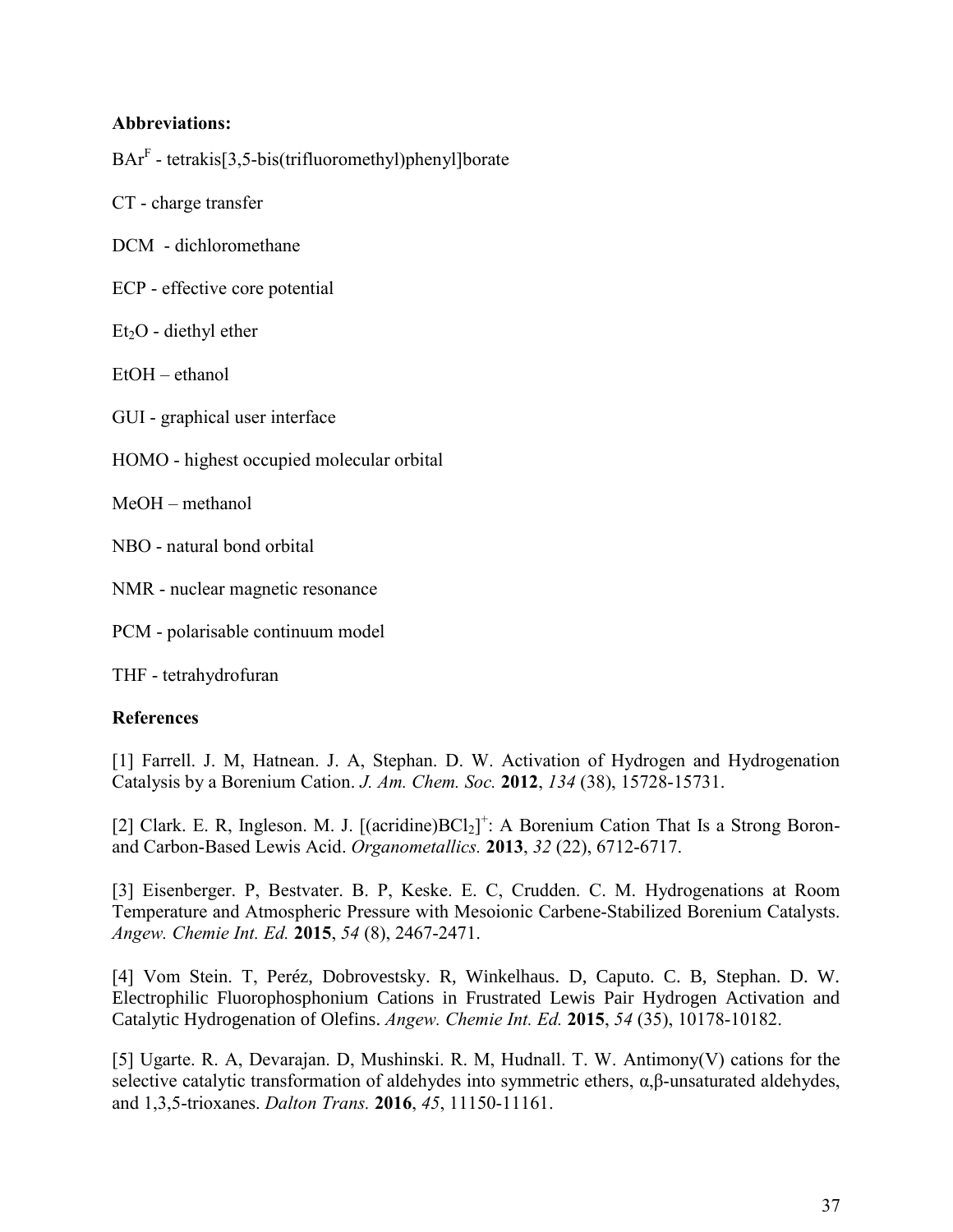#### **Abbreviations:**

 $\text{BAT}^{\text{F}}$  - tetrakis[3,5-bis(trifluoromethyl)phenyl]borate

CT - charge transfer

- DCM dichloromethane
- ECP effective core potential
- $Et<sub>2</sub>O$  diethyl ether
- EtOH ethanol

GUI - graphical user interface

HOMO - highest occupied molecular orbital

MeOH – methanol

NBO - natural bond orbital

NMR - nuclear magnetic resonance

PCM - polarisable continuum model

THF - tetrahydrofuran

#### **References**

[1] Farrell. J. M, Hatnean. J. A, Stephan. D. W. Activation of Hydrogen and Hydrogenation Catalysis by a Borenium Cation. *J. Am. Chem. Soc.* **2012**, *134* (38), 15728-15731.

[2] Clark. E. R, Ingleson. M. J. [(acridine) $BCl_2$ ]<sup>+</sup>: A Borenium Cation That Is a Strong Boronand Carbon-Based Lewis Acid. *Organometallics.* **2013**, *32* (22), 6712-6717.

[3] Eisenberger. P, Bestvater. B. P, Keske. E. C, Crudden. C. M. Hydrogenations at Room Temperature and Atmospheric Pressure with Mesoionic Carbene-Stabilized Borenium Catalysts. *Angew. Chemie Int. Ed.* **2015**, *54* (8), 2467-2471.

[4] Vom Stein. T, Peréz, Dobrovestsky. R, Winkelhaus. D, Caputo. C. B, Stephan. D. W. Electrophilic Fluorophosphonium Cations in Frustrated Lewis Pair Hydrogen Activation and Catalytic Hydrogenation of Olefins. *Angew. Chemie Int. Ed.* **2015**, *54* (35), 10178-10182.

[5] Ugarte. R. A, Devarajan. D, Mushinski. R. M, Hudnall. T. W. Antimony(V) cations for the selective catalytic transformation of aldehydes into symmetric ethers,  $\alpha$ , $\beta$ -unsaturated aldehydes, and 1,3,5-trioxanes. *Dalton Trans.* **2016**, *45*, 11150-11161.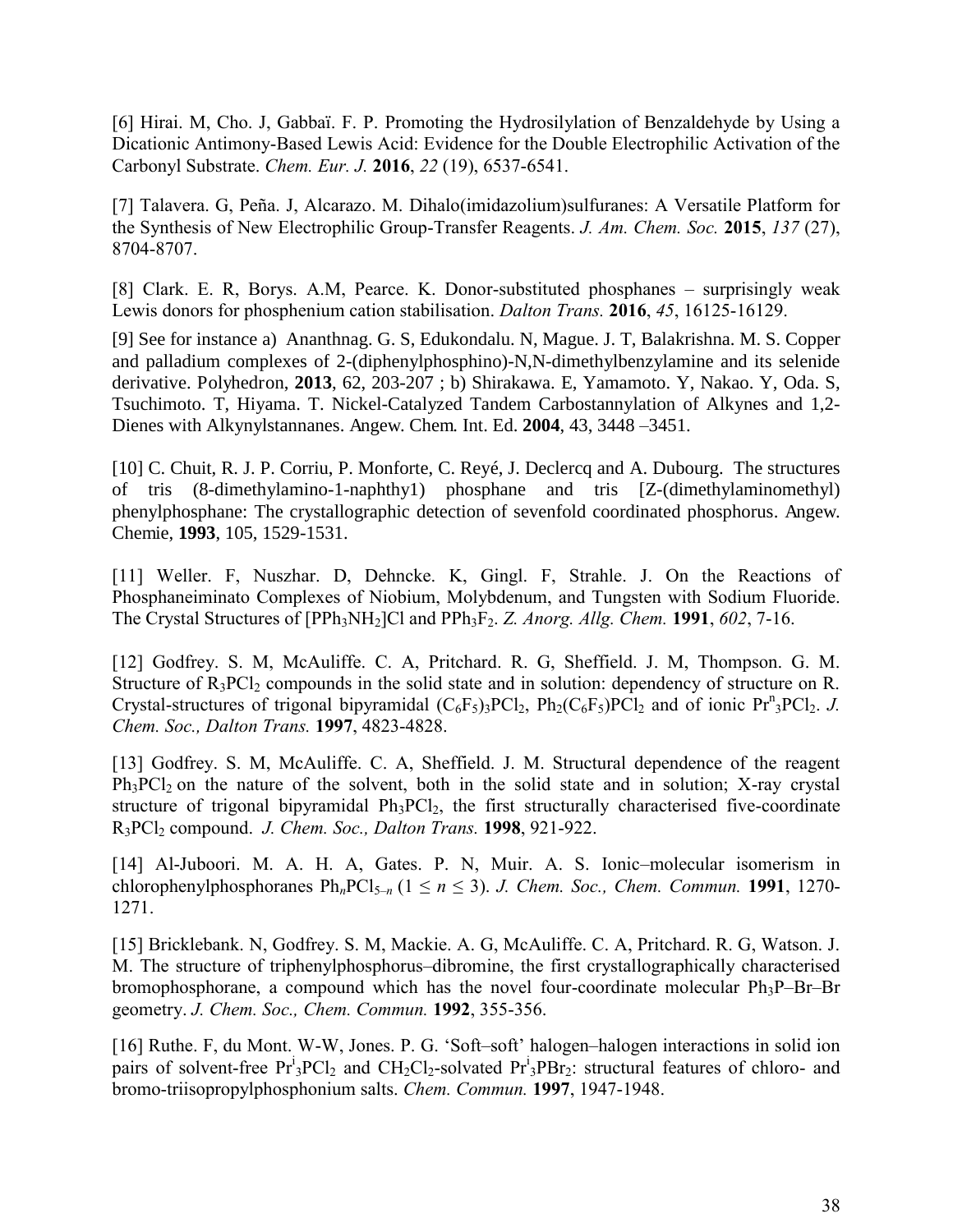[6] Hirai. M, Cho. J, Gabbaï. F. P. Promoting the Hydrosilylation of Benzaldehyde by Using a Dicationic Antimony-Based Lewis Acid: Evidence for the Double Electrophilic Activation of the Carbonyl Substrate. *Chem. Eur. J.* **2016**, *22* (19), 6537-6541.

[7] Talavera. G, Peña. J, Alcarazo. M. Dihalo(imidazolium)sulfuranes: A Versatile Platform for the Synthesis of New Electrophilic Group-Transfer Reagents. *J. Am. Chem. Soc.* **2015**, *137* (27), 8704-8707.

[8] Clark. E. R, Borys. A.M, Pearce. K. Donor-substituted phosphanes – surprisingly weak Lewis donors for phosphenium cation stabilisation. *Dalton Trans.* **2016**, *45*, 16125-16129.

[9] See for instance a) Ananthnag. G. S, Edukondalu. N, Mague. J. T, Balakrishna. M. S. Copper and palladium complexes of 2-(diphenylphosphino)-N,N-dimethylbenzylamine and its selenide derivative. Polyhedron, **2013**, 62, 203-207 ; b) Shirakawa. E, Yamamoto. Y, Nakao. Y, Oda. S, Tsuchimoto. T, Hiyama. T. Nickel-Catalyzed Tandem Carbostannylation of Alkynes and 1,2- Dienes with Alkynylstannanes. Angew. Chem. Int. Ed. **2004**, 43, 3448 –3451.

[10] C. Chuit, R. J. P. Corriu, P. Monforte, C. Reyé, J. Declercq and A. Dubourg. The structures of tris (8-dimethylamino-1-naphthy1) phosphane and tris [Z-(dimethylaminomethyl) phenylphosphane: The crystallographic detection of sevenfold coordinated phosphorus. Angew. Chemie, **1993**, 105, 1529-1531.

[11] Weller. F, Nuszhar. D, Dehncke. K, Gingl. F, Strahle. J. On the Reactions of Phosphaneiminato Complexes of Niobium, Molybdenum, and Tungsten with Sodium Fluoride. The Crystal Structures of [PPh3NH2]Cl and PPh3F2. *Z. Anorg. Allg. Chem.* **1991**, *602*, 7-16.

[12] Godfrey. S. M, McAuliffe. C. A, Pritchard. R. G, Sheffield. J. M, Thompson. G. M. Structure of  $R_3PCl_2$  compounds in the solid state and in solution: dependency of structure on R. Crystal-structures of trigonal bipyramidal  $(C_6F_5)_3PCl_2$ ,  $Ph_2(C_6F_5)PCl_2$  and of ionic  $Pr_3PCl_2$ . *J. Chem. Soc., Dalton Trans.* **1997**, 4823-4828.

[13] Godfrey. S. M, McAuliffe. C. A, Sheffield. J. M. Structural dependence of the reagent  $Ph<sub>3</sub>PCl<sub>2</sub>$  on the nature of the solvent, both in the solid state and in solution; X-ray crystal structure of trigonal bipyramidal  $Ph_3PCl_2$ , the first structurally characterised five-coordinate R3PCl2 compound. *J. Chem. Soc., Dalton Trans.* **1998**, 921-922.

[14] Al-Juboori. M. A. H. A, Gates. P. N, Muir. A. S. Ionic–molecular isomerism in chlorophenylphosphoranes  $Ph_nPCl_{5-n}$  ( $1 \le n \le 3$ ). *J. Chem. Soc., Chem. Commun.* **1991**, 1270-1271.

[15] Bricklebank. N, Godfrey. S. M, Mackie. A. G, McAuliffe. C. A, Pritchard. R. G, Watson. J. M. The structure of triphenylphosphorus–dibromine, the first crystallographically characterised bromophosphorane, a compound which has the novel four-coordinate molecular Ph3P–Br–Br geometry. *J. Chem. Soc., Chem. Commun.* **1992**, 355-356.

[16] Ruthe. F, du Mont. W-W, Jones. P. G. 'Soft–soft' halogen–halogen interactions in solid ion pairs of solvent-free  $Pr^i_3 PCl_2$  and  $CH_2Cl_2$ -solvated  $Pr^i_3 PBr_2$ : structural features of chloro- and bromo-triisopropylphosphonium salts. *Chem. Commun.* **1997**, 1947-1948.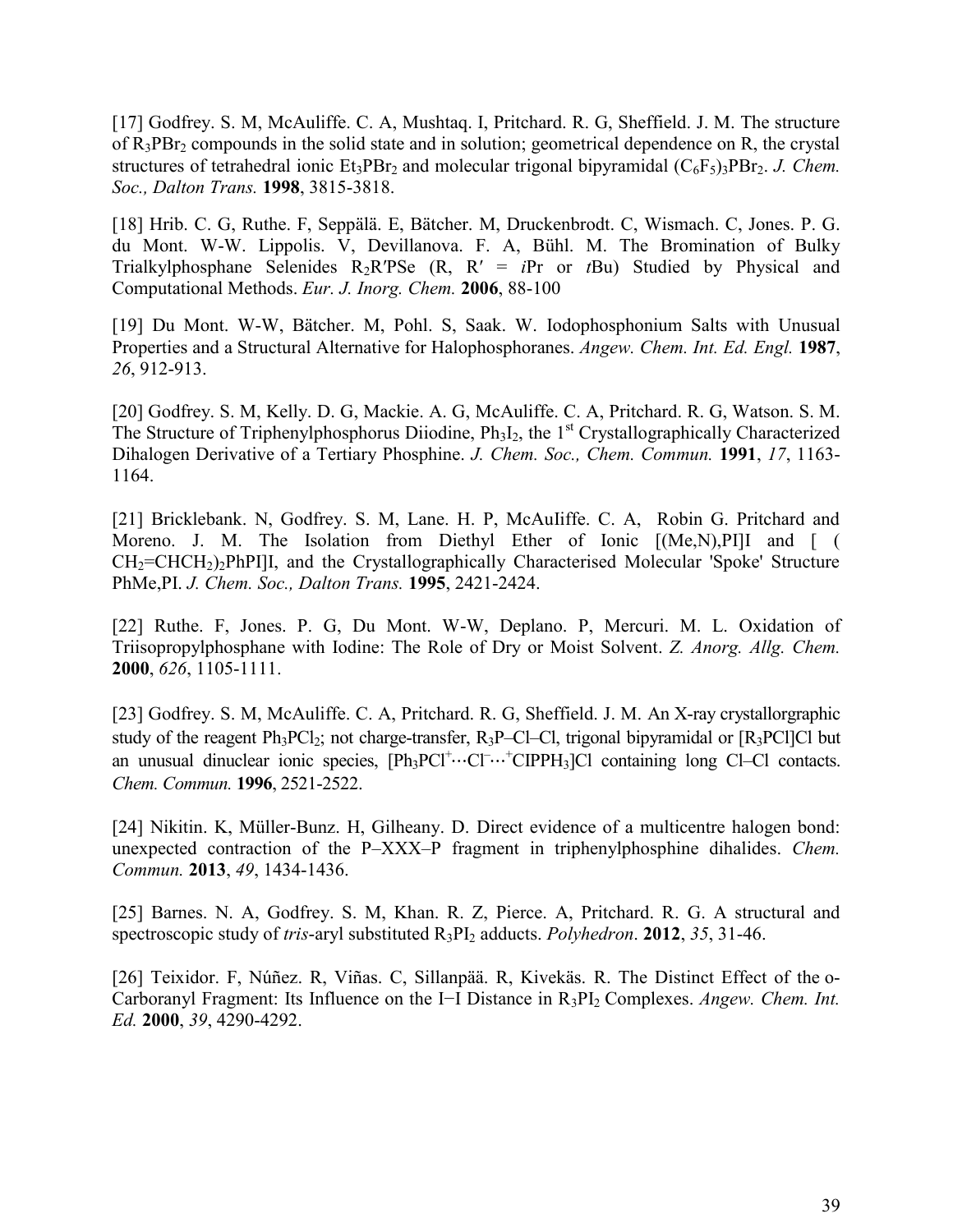[17] Godfrey. S. M, McAuliffe. C. A, Mushtaq. I, Pritchard. R. G, Sheffield. J. M. The structure of  $R_3PBr_2$  compounds in the solid state and in solution; geometrical dependence on R, the crystal structures of tetrahedral ionic  $Et_3PBr_2$  and molecular trigonal bipyramidal  $(C_6F_5)_3PBr_2$ . *J. Chem. Soc., Dalton Trans.* **1998**, 3815-3818.

[18] Hrib. C. G, Ruthe. F, Seppälä. E, Bätcher. M, Druckenbrodt. C, Wismach. C, Jones. P. G. du Mont. W-W. Lippolis. V, Devillanova. F. A, Bühl. M. The Bromination of Bulky Trialkylphosphane Selenides  $R_2R'PSe$  (R,  $R' = iPr$  or *t*Bu) Studied by Physical and Computational Methods. *Eur. J. Inorg. Chem.* **2006**, 88-100

[19] Du Mont. W-W, Bätcher. M, Pohl. S, Saak. W. Iodophosphonium Salts with Unusual Properties and a Structural Alternative for Halophosphoranes. *Angew. Chem. Int. Ed. Engl.* **1987**, *26*, 912-913.

[20] Godfrey. S. M, Kelly. D. G, Mackie. A. G, McAuliffe. C. A, Pritchard. R. G, Watson. S. M. The Structure of Triphenylphosphorus Diiodine,  $Ph_3I_2$ , the 1<sup>st</sup> Crystallographically Characterized Dihalogen Derivative of a Tertiary Phosphine. *J. Chem. Soc., Chem. Commun.* **1991**, *17*, 1163- 1164.

[21] Bricklebank. N, Godfrey. S. M, Lane. H. P, McAuliffe. C. A, Robin G. Pritchard and Moreno. J. M. The Isolation from Diethyl Ether of Ionic  $[(Me,N),P]]$ I and  $[$  ( CH2=CHCH2)2PhPI]I, and the Crystallographically Characterised Molecular 'Spoke' Structure PhMe,PI. *J. Chem. Soc., Dalton Trans.* **1995**, 2421-2424.

[22] Ruthe. F, Jones. P. G, Du Mont. W-W, Deplano. P, Mercuri. M. L. Oxidation of Triisopropylphosphane with Iodine: The Role of Dry or Moist Solvent. *Z. Anorg. Allg. Chem.* **2000**, *626*, 1105-1111.

[23] Godfrey. S. M, McAuliffe. C. A, Pritchard. R. G, Sheffield. J. M. An X-ray crystallorgraphic study of the reagent  $Ph_3PCl_2$ ; not charge-transfer,  $R_3P$ –Cl–Cl, trigonal bipyramidal or  $[R_3PC1]Cl$  but an unusual dinuclear ionic species,  $[Ph_3PC1^+ \cdots C1^- \cdots^+ CIPPH_3]Cl$  containing long Cl–Cl contacts. *Chem. Commun.* **1996**, 2521-2522.

[24] Nikitin. K, Müller-Bunz. H, Gilheany. D. Direct evidence of a multicentre halogen bond: unexpected contraction of the P–XXX–P fragment in triphenylphosphine dihalides. *Chem. Commun.* **2013**, *49*, 1434-1436.

[25] Barnes. N. A, Godfrey. S. M, Khan. R. Z, Pierce. A, Pritchard. R. G. A structural and spectroscopic study of *tris*-aryl substituted R3PI2 adducts. *Polyhedron*. **2012**, *35*, 31-46.

[26] Teixidor. F, Núñez. R, Viñas. C, Sillanpää. R, Kivekäs. R. The Distinct Effect of the o-Carboranyl Fragment: Its Influence on the I−I Distance in R3PI2 Complexes. *Angew. Chem. Int. Ed.* **2000**, *39*, 4290-4292.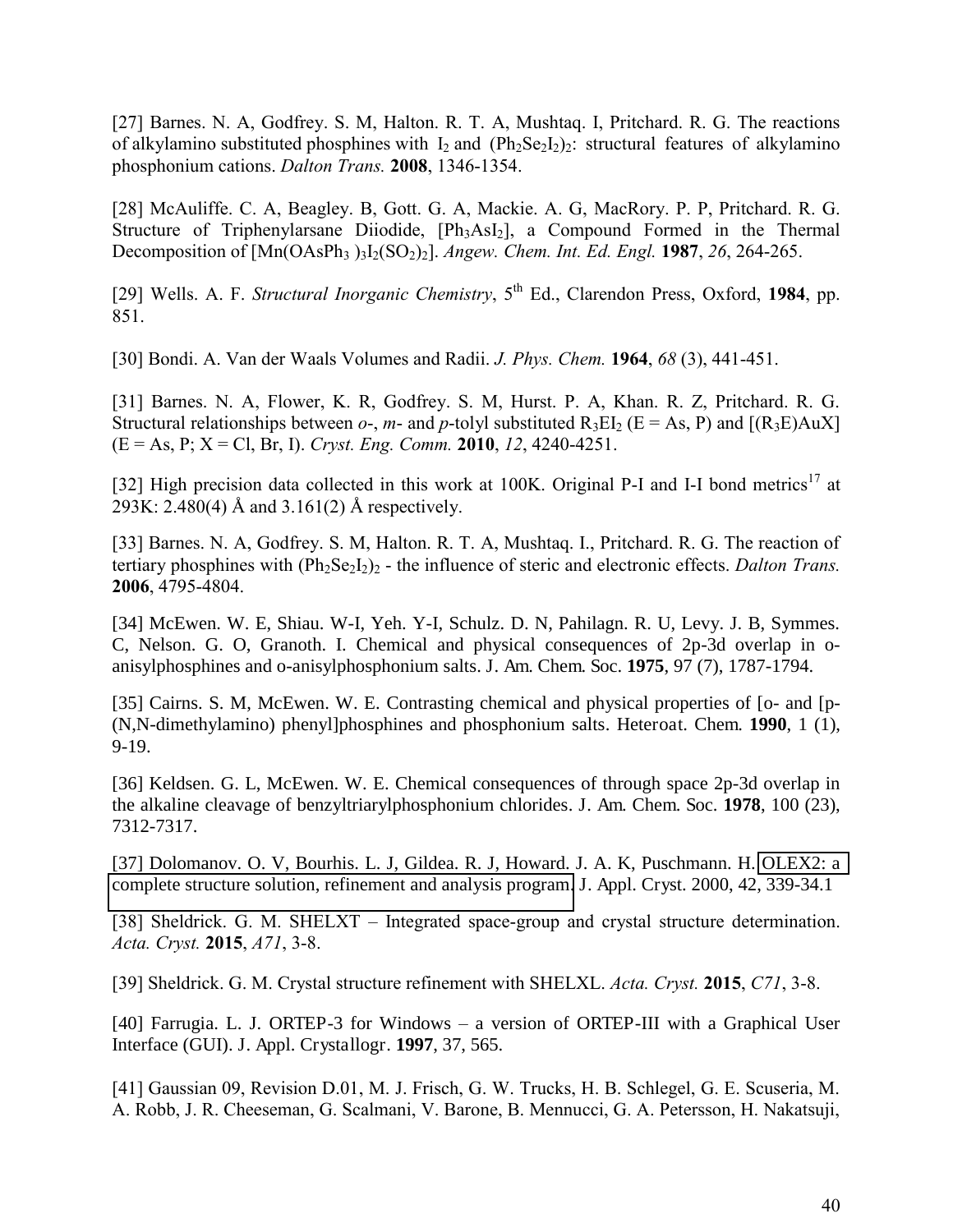[27] Barnes. N. A, Godfrey. S. M, Halton. R. T. A, Mushtaq. I, Pritchard. R. G. The reactions of alkylamino substituted phosphines with  $I_2$  and (Ph<sub>2</sub>Se<sub>2</sub>I<sub>2</sub>)<sub>2</sub>: structural features of alkylamino phosphonium cations. *Dalton Trans.* **2008**, 1346-1354.

[28] McAuliffe. C. A, Beagley. B, Gott. G. A, Mackie. A. G, MacRory. P. P, Pritchard. R. G. Structure of Triphenylarsane Diiodide, [Ph<sub>3</sub>AsI<sub>2</sub>], a Compound Formed in the Thermal Decomposition of  $[Mn(OAsPh_3)_{3}]_{2}(SO_2)_{2}$ ]. *Angew. Chem. Int. Ed. Engl.* **1987**, *26*, 264-265.

[29] Wells. A. F. *Structural Inorganic Chemistry*,  $5<sup>th</sup>$  Ed., Clarendon Press, Oxford, 1984, pp. 851.

[30] Bondi. A. Van der Waals Volumes and Radii. *J. Phys. Chem.* **1964**, *68* (3), 441-451.

[31] Barnes. N. A, Flower, K. R, Godfrey. S. M, Hurst. P. A, Khan. R. Z, Pritchard. R. G. Structural relationships between  $o$ -,  $m$ - and  $p$ -tolyl substituted  $R_3EI_2$  ( $E = As$ , P) and  $[(R_3E)AuX]$ (E = As, P; X = Cl, Br, I). *Cryst. Eng. Comm.* **2010**, *12*, 4240-4251.

[32] High precision data collected in this work at 100K. Original P-I and I-I bond metrics<sup>17</sup> at 293K: 2.480(4) Å and 3.161(2) Å respectively.

[33] Barnes. N. A, Godfrey. S. M, Halton. R. T. A, Mushtaq. I., Pritchard. R. G. The reaction of tertiary phosphines with  $(\text{Ph}_2\text{Se}_2I_2)_2$  - the influence of steric and electronic effects. *Dalton Trans.* **2006**, 4795-4804.

[34] McEwen. W. E, Shiau. W-I, Yeh. Y-I, Schulz. D. N, Pahilagn. R. U, Levy. J. B, Symmes. C, Nelson. G. O, Granoth. I. Chemical and physical consequences of 2p-3d overlap in oanisylphosphines and o-anisylphosphonium salts. J. Am. Chem. Soc. **1975**, 97 (7), 1787-1794.

[35] Cairns. S. M, McEwen. W. E. Contrasting chemical and physical properties of [o- and [p- (N,N-dimethylamino) phenyl]phosphines and phosphonium salts. Heteroat. Chem. **1990**, 1 (1), 9-19.

[36] Keldsen. G. L, McEwen. W. E. Chemical consequences of through space 2p-3d overlap in the alkaline cleavage of benzyltriarylphosphonium chlorides. J. Am. Chem. Soc. **1978**, 100 (23), 7312-7317.

[37] Dolomanov. O. V, Bourhis. L. J, Gildea. R. J, Howard. J. A. K, Puschmann. H. [OLEX2: a](http://journals.iucr.org/j/issues/2009/02/00/kk5042/index.html)  [complete structure solution, refinement and analysis program.](http://journals.iucr.org/j/issues/2009/02/00/kk5042/index.html) J. Appl. Cryst. 2000, 42, 339-34.1

[38] Sheldrick. G. M. SHELXT – Integrated space-group and crystal structure determination. *Acta. Cryst.* **2015**, *A71*, 3-8.

[39] Sheldrick. G. M. Crystal structure refinement with SHELXL. *Acta. Cryst.* **2015**, *C71*, 3-8.

[40] Farrugia. L. J. ORTEP-3 for Windows – a version of ORTEP-III with a Graphical User Interface (GUI). J. Appl. Crystallogr. **1997**, 37, 565.

[41] Gaussian 09, Revision D.01, M. J. Frisch, G. W. Trucks, H. B. Schlegel, G. E. Scuseria, M. A. Robb, J. R. Cheeseman, G. Scalmani, V. Barone, B. Mennucci, G. A. Petersson, H. Nakatsuji,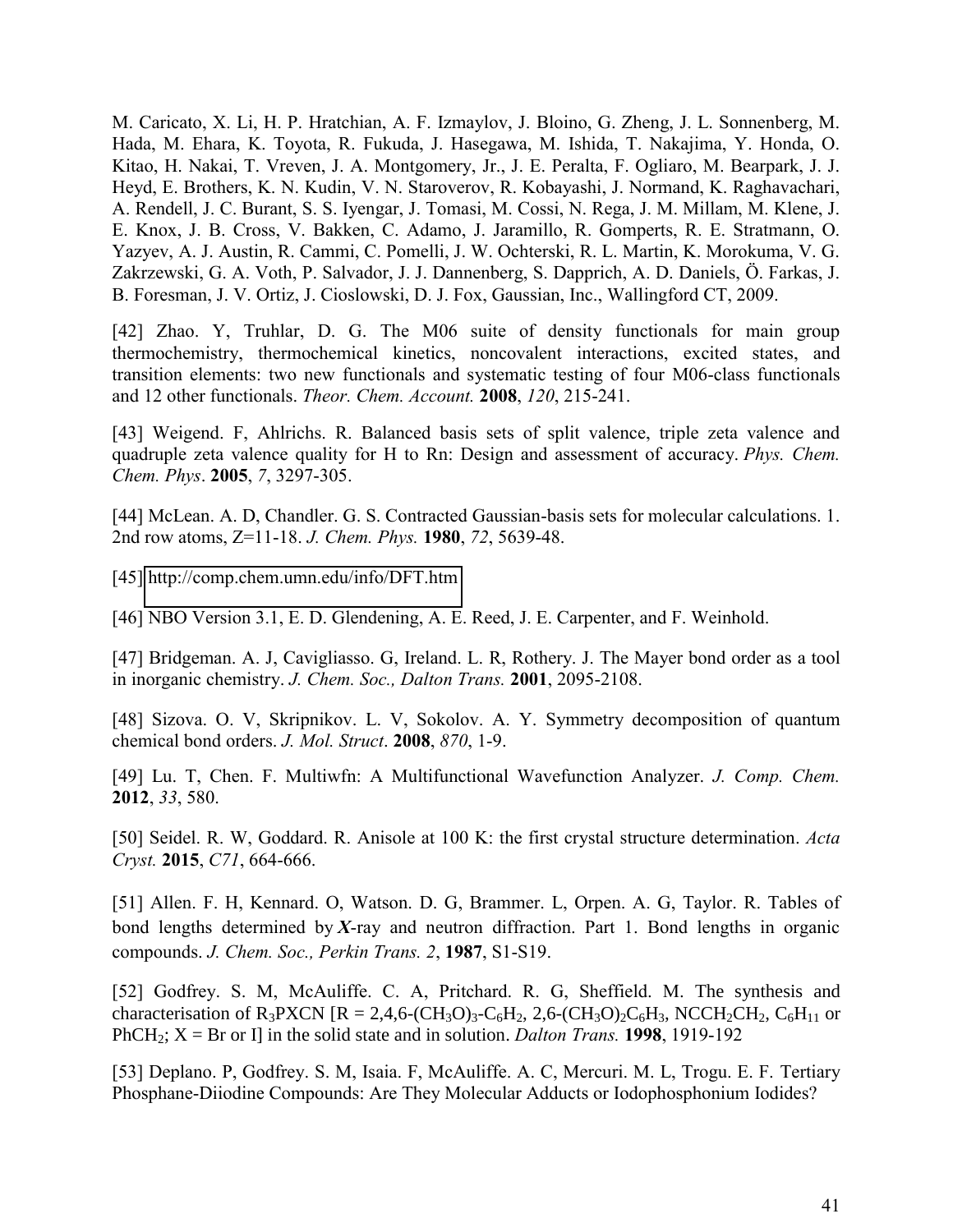M. Caricato, X. Li, H. P. Hratchian, A. F. Izmaylov, J. Bloino, G. Zheng, J. L. Sonnenberg, M. Hada, M. Ehara, K. Toyota, R. Fukuda, J. Hasegawa, M. Ishida, T. Nakajima, Y. Honda, O. Kitao, H. Nakai, T. Vreven, J. A. Montgomery, Jr., J. E. Peralta, F. Ogliaro, M. Bearpark, J. J. Heyd, E. Brothers, K. N. Kudin, V. N. Staroverov, R. Kobayashi, J. Normand, K. Raghavachari, A. Rendell, J. C. Burant, S. S. Iyengar, J. Tomasi, M. Cossi, N. Rega, J. M. Millam, M. Klene, J. E. Knox, J. B. Cross, V. Bakken, C. Adamo, J. Jaramillo, R. Gomperts, R. E. Stratmann, O. Yazyev, A. J. Austin, R. Cammi, C. Pomelli, J. W. Ochterski, R. L. Martin, K. Morokuma, V. G. Zakrzewski, G. A. Voth, P. Salvador, J. J. Dannenberg, S. Dapprich, A. D. Daniels, Ö. Farkas, J. B. Foresman, J. V. Ortiz, J. Cioslowski, D. J. Fox, Gaussian, Inc., Wallingford CT, 2009.

[42] Zhao. Y, Truhlar, D. G. The M06 suite of density functionals for main group thermochemistry, thermochemical kinetics, noncovalent interactions, excited states, and transition elements: two new functionals and systematic testing of four M06-class functionals and 12 other functionals. *Theor. Chem. Account.* **2008**, *120*, 215-241.

[43] Weigend. F, Ahlrichs. R. Balanced basis sets of split valence, triple zeta valence and quadruple zeta valence quality for H to Rn: Design and assessment of accuracy. *Phys. Chem. Chem. Phys*. **2005**, *7*, 3297-305.

[44] McLean. A. D, Chandler. G. S. Contracted Gaussian-basis sets for molecular calculations. 1. 2nd row atoms, Z=11-18. *J. Chem. Phys.* **1980**, *72*, 5639-48.

[45]<http://comp.chem.umn.edu/info/DFT.htm>

[46] NBO Version 3.1, E. D. Glendening, A. E. Reed, J. E. Carpenter, and F. Weinhold.

[47] Bridgeman. A. J, Cavigliasso. G, Ireland. L. R, Rothery. J. The Mayer bond order as a tool in inorganic chemistry. *J. Chem. Soc., Dalton Trans.* **2001**, 2095-2108.

[48] Sizova. O. V, Skripnikov. L. V, Sokolov. A. Y. Symmetry decomposition of quantum chemical bond orders. *J. Mol. Struct*. **2008**, *870*, 1-9.

[49] Lu. T, Chen. F. Multiwfn: A Multifunctional Wavefunction Analyzer. *J. Comp. Chem.* **2012**, *33*, 580.

[50] Seidel. R. W, Goddard. R. Anisole at 100 K: the first crystal structure determination. *Acta Cryst.* **2015**, *C71*, 664-666.

[51] Allen. F. H, Kennard. O, Watson. D. G, Brammer. L, Orpen. A. G, Taylor. R. Tables of bond lengths determined by *X*-ray and neutron diffraction. Part 1. Bond lengths in organic compounds. *J. Chem. Soc., Perkin Trans. 2*, **1987**, S1-S19.

[52] Godfrey. S. M, McAuliffe. C. A, Pritchard. R. G, Sheffield. M. The synthesis and characterisation of R<sub>3</sub>PXCN [R = 2,4,6-(CH<sub>3</sub>O)<sub>3</sub>-C<sub>6</sub>H<sub>2</sub>, 2,6-(CH<sub>3</sub>O)<sub>2</sub>C<sub>6</sub>H<sub>3</sub>, NCCH<sub>2</sub>CH<sub>2</sub>, C<sub>6</sub>H<sub>11</sub> or PhCH<sub>2</sub>;  $X = Br$  or I] in the solid state and in solution. *Dalton Trans.* **1998**, 1919-192

[53] Deplano. P, Godfrey. S. M, Isaia. F, McAuliffe. A. C, Mercuri. M. L, Trogu. E. F. Tertiary Phosphane-Diiodine Compounds: Are They Molecular Adducts or Iodophosphonium Iodides?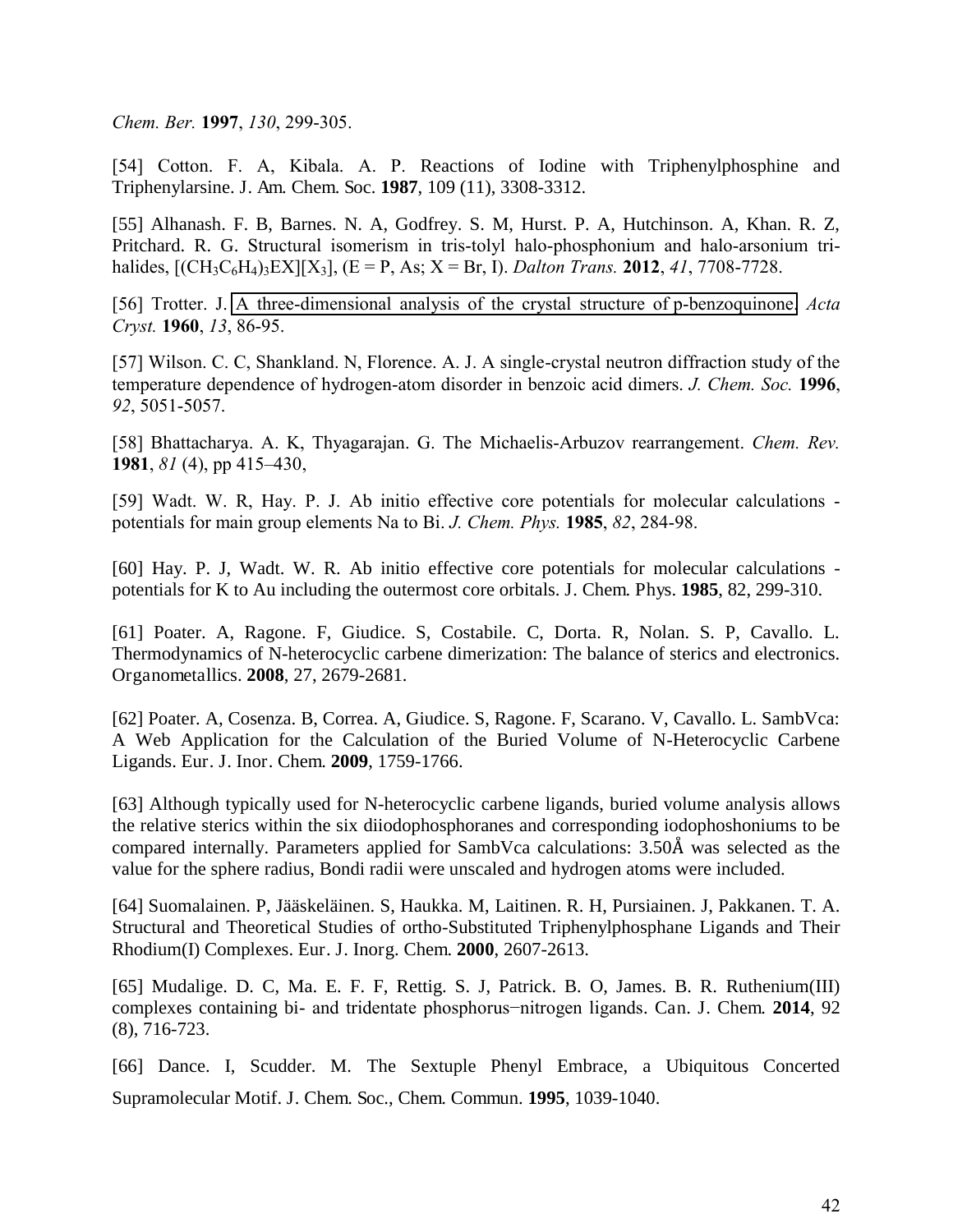*Chem. Ber.* **1997**, *130*, 299-305.

[54] Cotton. F. A, Kibala. A. P. Reactions of Iodine with Triphenylphosphine and Triphenylarsine. J. Am. Chem. Soc. **1987**, 109 (11), 3308-3312.

[55] Alhanash. F. B, Barnes. N. A, Godfrey. S. M, Hurst. P. A, Hutchinson. A, Khan. R. Z, Pritchard. R. G. Structural isomerism in tris-tolyl halo-phosphonium and halo-arsonium trihalides,  $[(CH_3C_6H_4)_3EX][X_3]$ ,  $(E = P, As; X = Br, I)$ . *Dalton Trans.* **2012**, *41*, 7708-7728.

[56] Trotter. J. [A three-dimensional analysis of the crystal structure of p-benzoquinone.](http://journals.iucr.org/q/issues/1960/02/00/a02740/a02740.pdf) *Acta Cryst.* **1960**, *13*, 86-95.

[57] Wilson. C. C, Shankland. N, Florence. A. J. A single-crystal neutron diffraction study of the temperature dependence of hydrogen-atom disorder in benzoic acid dimers. *J. Chem. Soc.* **1996**, *92*, 5051-5057.

[58] Bhattacharya. A. K, Thyagarajan. G. The Michaelis-Arbuzov rearrangement. *Chem. Rev.* **1981**, *81* (4), pp 415–430,

[59] Wadt. W. R, Hay. P. J. Ab initio effective core potentials for molecular calculations potentials for main group elements Na to Bi. *J. Chem. Phys.* **1985**, *82*, 284-98.

[60] Hay. P. J, Wadt. W. R. Ab initio effective core potentials for molecular calculations potentials for K to Au including the outermost core orbitals. J. Chem. Phys. **1985**, 82, 299-310.

[61] Poater. A, Ragone. F, Giudice. S, Costabile. C, Dorta. R, Nolan. S. P, Cavallo. L. Thermodynamics of N-heterocyclic carbene dimerization: The balance of sterics and electronics. Organometallics. **2008**, 27, 2679-2681.

[62] Poater. A, Cosenza. B, Correa. A, Giudice. S, Ragone. F, Scarano. V, Cavallo. L. SambVca: A Web Application for the Calculation of the Buried Volume of N-Heterocyclic Carbene Ligands. Eur. J. Inor. Chem. **2009**, 1759-1766.

[63] Although typically used for N-heterocyclic carbene ligands, buried volume analysis allows the relative sterics within the six diiodophosphoranes and corresponding iodophoshoniums to be compared internally. Parameters applied for SambVca calculations: 3.50Å was selected as the value for the sphere radius, Bondi radii were unscaled and hydrogen atoms were included.

[64] Suomalainen. P, Jääskeläinen. S, Haukka. M, Laitinen. R. H, Pursiainen. J, Pakkanen. T. A. Structural and Theoretical Studies of ortho-Substituted Triphenylphosphane Ligands and Their Rhodium(I) Complexes. Eur. J. Inorg. Chem. **2000**, 2607-2613.

[65] Mudalige. D. C, Ma. E. F. F, Rettig. S. J, Patrick. B. O, James. B. R. Ruthenium(III) complexes containing bi- and tridentate phosphorus−nitrogen ligands. Can. J. Chem. **2014**, 92 (8), 716-723.

[66] Dance. I, Scudder. M. The Sextuple Phenyl Embrace, a Ubiquitous Concerted Supramolecular Motif. J. Chem. Soc., Chem. Commun. **1995**, 1039-1040.